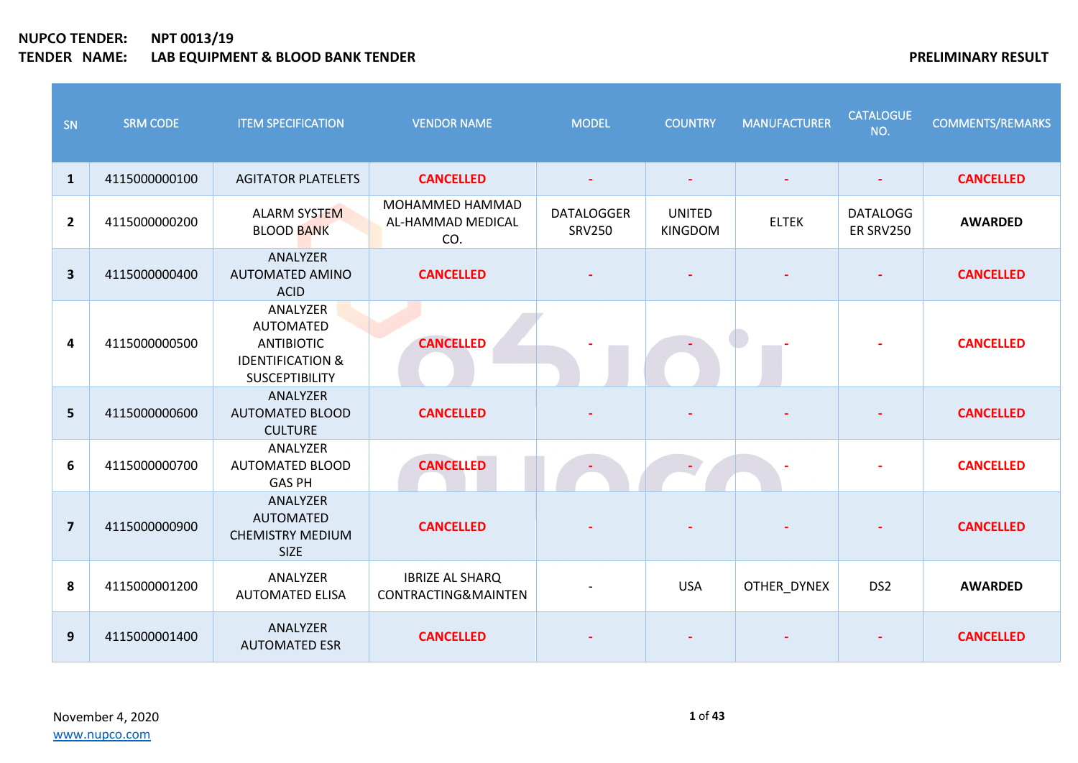| SN                      | <b>SRM CODE</b> | <b>ITEM SPECIFICATION</b>                                                                                 | <b>VENDOR NAME</b>                            | <b>MODEL</b>                       | <b>COUNTRY</b>                  | <b>MANUFACTURER</b> | <b>CATALOGUE</b><br>NO.      | <b>COMMENTS/REMARKS</b> |
|-------------------------|-----------------|-----------------------------------------------------------------------------------------------------------|-----------------------------------------------|------------------------------------|---------------------------------|---------------------|------------------------------|-------------------------|
| $\mathbf{1}$            | 4115000000100   | <b>AGITATOR PLATELETS</b>                                                                                 | <b>CANCELLED</b>                              |                                    | $\blacksquare$                  |                     | $\overline{\phantom{a}}$     | <b>CANCELLED</b>        |
| $\overline{2}$          | 4115000000200   | <b>ALARM SYSTEM</b><br><b>BLOOD BANK</b>                                                                  | MOHAMMED HAMMAD<br>AL-HAMMAD MEDICAL<br>CO.   | <b>DATALOGGER</b><br><b>SRV250</b> | <b>UNITED</b><br><b>KINGDOM</b> | <b>ELTEK</b>        | <b>DATALOGG</b><br>ER SRV250 | <b>AWARDED</b>          |
| $\overline{\mathbf{3}}$ | 4115000000400   | ANALYZER<br><b>AUTOMATED AMINO</b><br><b>ACID</b>                                                         | <b>CANCELLED</b>                              |                                    |                                 |                     |                              | <b>CANCELLED</b>        |
| 4                       | 4115000000500   | ANALYZER<br><b>AUTOMATED</b><br><b>ANTIBIOTIC</b><br><b>IDENTIFICATION &amp;</b><br><b>SUSCEPTIBILITY</b> | <b>CANCELLED</b>                              |                                    |                                 |                     |                              | <b>CANCELLED</b>        |
| 5                       | 4115000000600   | ANALYZER<br><b>AUTOMATED BLOOD</b><br><b>CULTURE</b>                                                      | <b>CANCELLED</b>                              |                                    |                                 |                     |                              | <b>CANCELLED</b>        |
| 6                       | 4115000000700   | ANALYZER<br><b>AUTOMATED BLOOD</b><br><b>GAS PH</b>                                                       | <b>CANCELLED</b>                              |                                    |                                 |                     |                              | <b>CANCELLED</b>        |
| $\overline{7}$          | 4115000000900   | ANALYZER<br>AUTOMATED<br><b>CHEMISTRY MEDIUM</b><br><b>SIZE</b>                                           | <b>CANCELLED</b>                              |                                    |                                 |                     |                              | <b>CANCELLED</b>        |
| 8                       | 4115000001200   | ANALYZER<br><b>AUTOMATED ELISA</b>                                                                        | <b>IBRIZE AL SHARQ</b><br>CONTRACTING&MAINTEN |                                    | <b>USA</b>                      | OTHER_DYNEX         | DS <sub>2</sub>              | <b>AWARDED</b>          |
| 9                       | 4115000001400   | ANALYZER<br><b>AUTOMATED ESR</b>                                                                          | <b>CANCELLED</b>                              |                                    |                                 |                     |                              | <b>CANCELLED</b>        |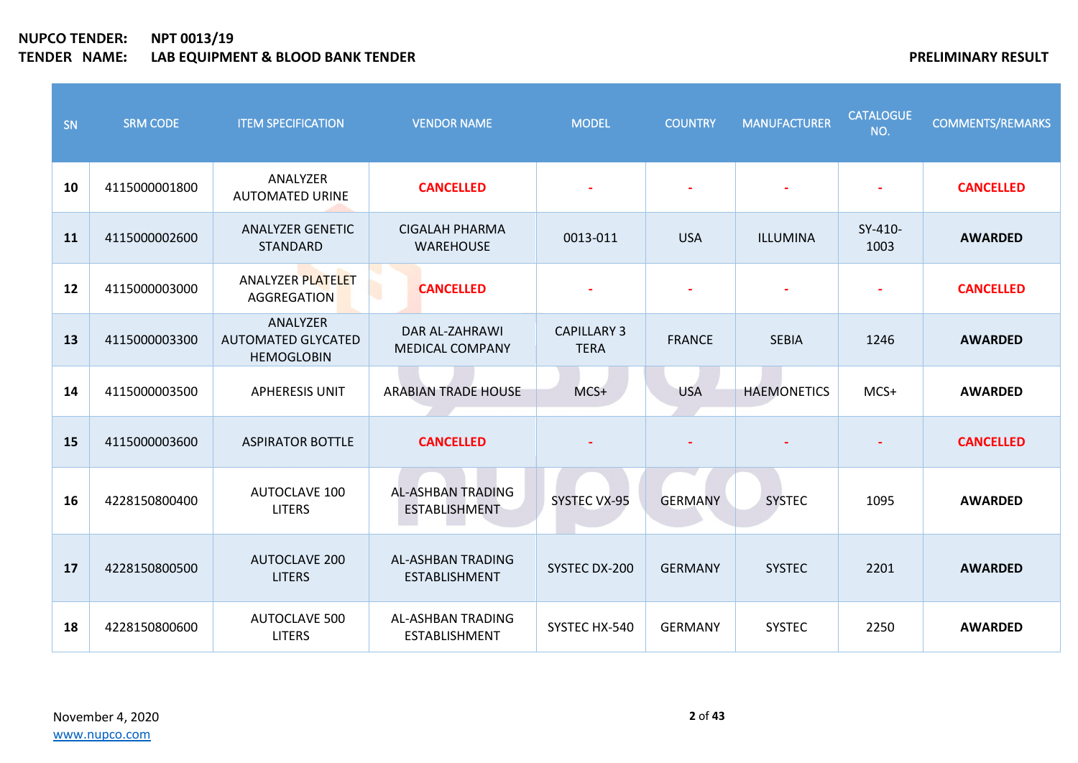| SN | <b>SRM CODE</b> | <b>ITEM SPECIFICATION</b>                                  | <b>VENDOR NAME</b>                               | <b>MODEL</b>                      | <b>COUNTRY</b> | <b>MANUFACTURER</b> | <b>CATALOGUE</b><br>NO. | <b>COMMENTS/REMARKS</b> |
|----|-----------------|------------------------------------------------------------|--------------------------------------------------|-----------------------------------|----------------|---------------------|-------------------------|-------------------------|
| 10 | 4115000001800   | ANALYZER<br><b>AUTOMATED URINE</b>                         | <b>CANCELLED</b>                                 |                                   |                |                     |                         | <b>CANCELLED</b>        |
| 11 | 4115000002600   | <b>ANALYZER GENETIC</b><br><b>STANDARD</b>                 | <b>CIGALAH PHARMA</b><br><b>WAREHOUSE</b>        | 0013-011                          | <b>USA</b>     | ILLUMINA            | SY-410-<br>1003         | <b>AWARDED</b>          |
| 12 | 4115000003000   | <b>ANALYZER PLATELET</b><br>AGGREGATION                    | <b>CANCELLED</b>                                 |                                   |                |                     | $\blacksquare$          | <b>CANCELLED</b>        |
| 13 | 4115000003300   | ANALYZER<br><b>AUTOMATED GLYCATED</b><br><b>HEMOGLOBIN</b> | DAR AL-ZAHRAWI<br><b>MEDICAL COMPANY</b>         | <b>CAPILLARY 3</b><br><b>TERA</b> | <b>FRANCE</b>  | <b>SEBIA</b>        | 1246                    | <b>AWARDED</b>          |
| 14 | 4115000003500   | <b>APHERESIS UNIT</b>                                      | <b>ARABIAN TRADE HOUSE</b>                       | MCS+                              | <b>USA</b>     | <b>HAEMONETICS</b>  | MCS+                    | <b>AWARDED</b>          |
| 15 | 4115000003600   | <b>ASPIRATOR BOTTLE</b>                                    | <b>CANCELLED</b>                                 |                                   |                |                     |                         | <b>CANCELLED</b>        |
| 16 | 4228150800400   | <b>AUTOCLAVE 100</b><br><b>LITERS</b>                      | <b>AL-ASHBAN TRADING</b><br><b>ESTABLISHMENT</b> | SYSTEC VX-95                      | <b>GERMANY</b> | <b>SYSTEC</b>       | 1095                    | <b>AWARDED</b>          |
| 17 | 4228150800500   | <b>AUTOCLAVE 200</b><br><b>LITERS</b>                      | AL-ASHBAN TRADING<br><b>ESTABLISHMENT</b>        | SYSTEC DX-200                     | <b>GERMANY</b> | <b>SYSTEC</b>       | 2201                    | <b>AWARDED</b>          |
| 18 | 4228150800600   | <b>AUTOCLAVE 500</b><br><b>LITERS</b>                      | AL-ASHBAN TRADING<br><b>ESTABLISHMENT</b>        | SYSTEC HX-540                     | <b>GERMANY</b> | <b>SYSTEC</b>       | 2250                    | <b>AWARDED</b>          |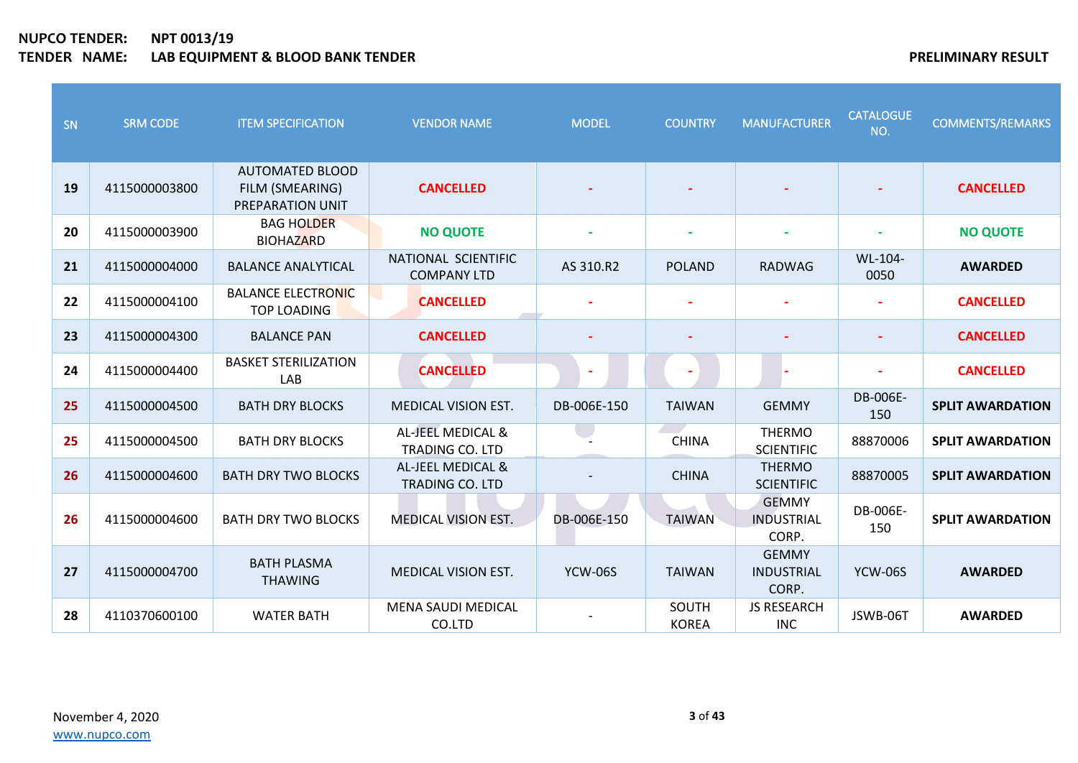| SN | <b>SRM CODE</b> | <b>ITEM SPECIFICATION</b>                                     | <b>VENDOR NAME</b>                                     | <b>MODEL</b>   | <b>COUNTRY</b>        | <b>MANUFACTURER</b>                 | <b>CATALOGUE</b><br>NO. | <b>COMMENTS/REMARKS</b> |
|----|-----------------|---------------------------------------------------------------|--------------------------------------------------------|----------------|-----------------------|-------------------------------------|-------------------------|-------------------------|
| 19 | 4115000003800   | <b>AUTOMATED BLOOD</b><br>FILM (SMEARING)<br>PREPARATION UNIT | <b>CANCELLED</b>                                       |                |                       |                                     |                         | <b>CANCELLED</b>        |
| 20 | 4115000003900   | <b>BAG HOLDER</b><br><b>BIOHAZARD</b>                         | <b>NO QUOTE</b>                                        |                |                       |                                     |                         | <b>NO QUOTE</b>         |
| 21 | 4115000004000   | <b>BALANCE ANALYTICAL</b>                                     | NATIONAL SCIENTIFIC<br><b>COMPANY LTD</b>              | AS 310.R2      | <b>POLAND</b>         | <b>RADWAG</b>                       | WL-104-<br>0050         | <b>AWARDED</b>          |
| 22 | 4115000004100   | <b>BALANCE ELECTRONIC</b><br><b>TOP LOADING</b>               | <b>CANCELLED</b>                                       |                |                       |                                     |                         | <b>CANCELLED</b>        |
| 23 | 4115000004300   | <b>BALANCE PAN</b>                                            | <b>CANCELLED</b>                                       |                |                       |                                     | $\blacksquare$          | <b>CANCELLED</b>        |
| 24 | 4115000004400   | <b>BASKET STERILIZATION</b><br>LAB                            | <b>CANCELLED</b>                                       | $\blacksquare$ |                       |                                     |                         | <b>CANCELLED</b>        |
| 25 | 4115000004500   | <b>BATH DRY BLOCKS</b>                                        | <b>MEDICAL VISION EST.</b>                             | DB-006E-150    | <b>TAIWAN</b>         | <b>GEMMY</b>                        | DB-006E-<br>150         | <b>SPLIT AWARDATION</b> |
| 25 | 4115000004500   | <b>BATH DRY BLOCKS</b>                                        | AL-JEEL MEDICAL &<br>TRADING CO. LTD                   |                | <b>CHINA</b>          | <b>THERMO</b><br><b>SCIENTIFIC</b>  | 88870006                | <b>SPLIT AWARDATION</b> |
| 26 | 4115000004600   | <b>BATH DRY TWO BLOCKS</b>                                    | <b>AL-JEEL MEDICAL &amp;</b><br><b>TRADING CO. LTD</b> |                | <b>CHINA</b>          | <b>THERMO</b><br><b>SCIENTIFIC</b>  | 88870005                | <b>SPLIT AWARDATION</b> |
| 26 | 4115000004600   | <b>BATH DRY TWO BLOCKS</b>                                    | <b>MEDICAL VISION EST.</b>                             | DB-006E-150    | <b>TAIWAN</b>         | <b>GEMMY</b><br>INDUSTRIAL<br>CORP. | DB-006E-<br>150         | <b>SPLIT AWARDATION</b> |
| 27 | 4115000004700   | <b>BATH PLASMA</b><br><b>THAWING</b>                          | <b>MEDICAL VISION EST.</b>                             | <b>YCW-06S</b> | <b>TAIWAN</b>         | <b>GEMMY</b><br>INDUSTRIAL<br>CORP. | <b>YCW-06S</b>          | <b>AWARDED</b>          |
| 28 | 4110370600100   | <b>WATER BATH</b>                                             | <b>MENA SAUDI MEDICAL</b><br>CO.LTD                    |                | SOUTH<br><b>KOREA</b> | <b>JS RESEARCH</b><br><b>INC</b>    | JSWB-06T                | <b>AWARDED</b>          |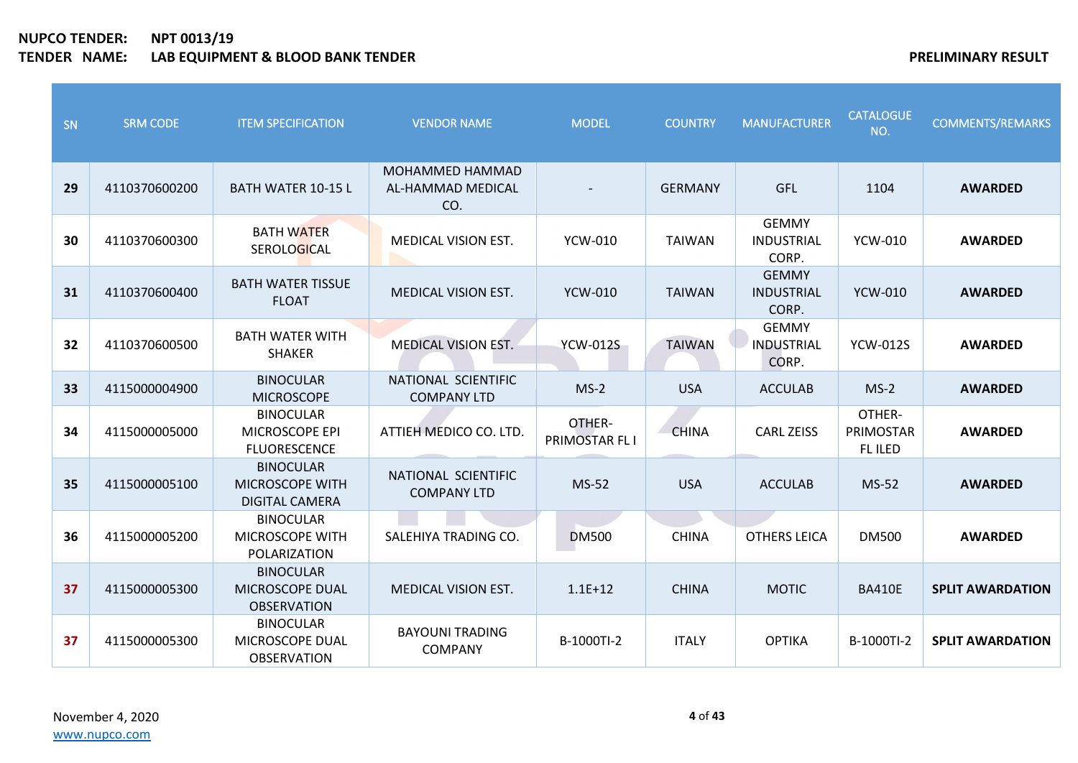| SN | <b>SRM CODE</b> | <b>ITEM SPECIFICATION</b>                                    | <b>VENDOR NAME</b>                          | <b>MODEL</b>             | <b>COUNTRY</b> | <b>MANUFACTURER</b>                        | <b>CATALOGUE</b><br>NO.        | <b>COMMENTS/REMARKS</b> |
|----|-----------------|--------------------------------------------------------------|---------------------------------------------|--------------------------|----------------|--------------------------------------------|--------------------------------|-------------------------|
| 29 | 4110370600200   | <b>BATH WATER 10-15 L</b>                                    | MOHAMMED HAMMAD<br>AL-HAMMAD MEDICAL<br>CO. |                          | <b>GERMANY</b> | <b>GFL</b>                                 | 1104                           | <b>AWARDED</b>          |
| 30 | 4110370600300   | <b>BATH WATER</b><br><b>SEROLOGICAL</b>                      | <b>MEDICAL VISION EST.</b>                  | <b>YCW-010</b>           | <b>TAIWAN</b>  | <b>GEMMY</b><br>INDUSTRIAL<br>CORP.        | <b>YCW-010</b>                 | <b>AWARDED</b>          |
| 31 | 4110370600400   | <b>BATH WATER TISSUE</b><br><b>FLOAT</b>                     | <b>MEDICAL VISION EST.</b>                  | <b>YCW-010</b>           | <b>TAIWAN</b>  | <b>GEMMY</b><br><b>INDUSTRIAL</b><br>CORP. | <b>YCW-010</b>                 | <b>AWARDED</b>          |
| 32 | 4110370600500   | <b>BATH WATER WITH</b><br><b>SHAKER</b>                      | <b>MEDICAL VISION EST.</b>                  | <b>YCW-012S</b>          | <b>TAIWAN</b>  | <b>GEMMY</b><br>INDUSTRIAL<br>CORP.        | <b>YCW-012S</b>                | <b>AWARDED</b>          |
| 33 | 4115000004900   | <b>BINOCULAR</b><br><b>MICROSCOPE</b>                        | NATIONAL SCIENTIFIC<br><b>COMPANY LTD</b>   | $MS-2$                   | <b>USA</b>     | <b>ACCULAB</b>                             | $MS-2$                         | <b>AWARDED</b>          |
| 34 | 4115000005000   | <b>BINOCULAR</b><br>MICROSCOPE EPI<br><b>FLUORESCENCE</b>    | ATTIEH MEDICO CO. LTD.                      | OTHER-<br>PRIMOSTAR FL I | <b>CHINA</b>   | <b>CARL ZEISS</b>                          | OTHER-<br>PRIMOSTAR<br>FL ILED | <b>AWARDED</b>          |
| 35 | 4115000005100   | <b>BINOCULAR</b><br>MICROSCOPE WITH<br><b>DIGITAL CAMERA</b> | NATIONAL SCIENTIFIC<br><b>COMPANY LTD</b>   | MS-52                    | <b>USA</b>     | <b>ACCULAB</b>                             | MS-52                          | <b>AWARDED</b>          |
| 36 | 4115000005200   | <b>BINOCULAR</b><br><b>MICROSCOPE WITH</b><br>POLARIZATION   | SALEHIYA TRADING CO.                        | <b>DM500</b>             | <b>CHINA</b>   | <b>OTHERS LEICA</b>                        | <b>DM500</b>                   | <b>AWARDED</b>          |
| 37 | 4115000005300   | <b>BINOCULAR</b><br>MICROSCOPE DUAL<br><b>OBSERVATION</b>    | <b>MEDICAL VISION EST.</b>                  | $1.1E + 12$              | <b>CHINA</b>   | <b>MOTIC</b>                               | <b>BA410E</b>                  | <b>SPLIT AWARDATION</b> |
| 37 | 4115000005300   | <b>BINOCULAR</b><br>MICROSCOPE DUAL<br><b>OBSERVATION</b>    | <b>BAYOUNI TRADING</b><br><b>COMPANY</b>    | B-1000TI-2               | <b>ITALY</b>   | <b>OPTIKA</b>                              | B-1000TI-2                     | <b>SPLIT AWARDATION</b> |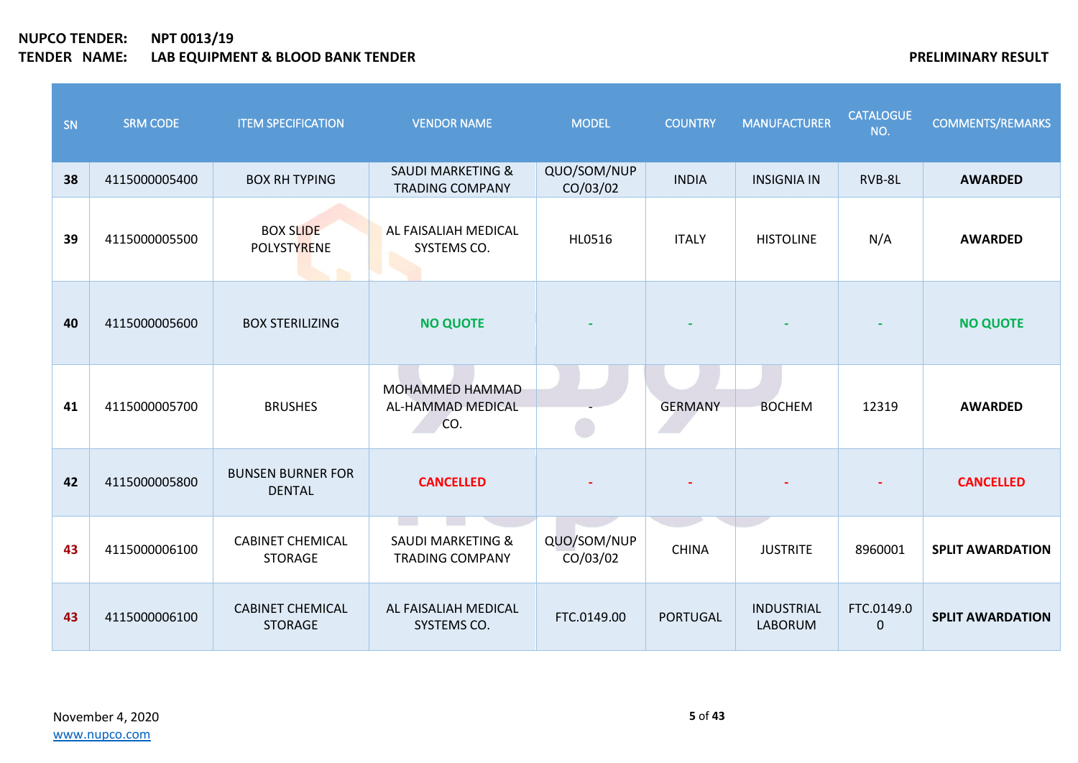| SN | <b>SRM CODE</b> | <b>ITEM SPECIFICATION</b>                 | <b>VENDOR NAME</b>                                     | <b>MODEL</b>            | <b>COUNTRY</b>  | <b>MANUFACTURER</b>                 | <b>CATALOGUE</b><br>NO. | <b>COMMENTS/REMARKS</b> |
|----|-----------------|-------------------------------------------|--------------------------------------------------------|-------------------------|-----------------|-------------------------------------|-------------------------|-------------------------|
| 38 | 4115000005400   | <b>BOX RH TYPING</b>                      | <b>SAUDI MARKETING &amp;</b><br><b>TRADING COMPANY</b> | QUO/SOM/NUP<br>CO/03/02 | <b>INDIA</b>    | <b>INSIGNIA IN</b>                  | RVB-8L                  | <b>AWARDED</b>          |
| 39 | 4115000005500   | <b>BOX SLIDE</b><br>POLYSTYRENE           | AL FAISALIAH MEDICAL<br>SYSTEMS CO.                    | HL0516                  | <b>ITALY</b>    | <b>HISTOLINE</b>                    | N/A                     | <b>AWARDED</b>          |
| 40 | 4115000005600   | <b>BOX STERILIZING</b>                    | <b>NO QUOTE</b>                                        |                         |                 |                                     |                         | <b>NO QUOTE</b>         |
| 41 | 4115000005700   | <b>BRUSHES</b>                            | MOHAMMED HAMMAD<br>AL-HAMMAD MEDICAL<br>CO.            |                         | <b>GERMANY</b>  | <b>BOCHEM</b>                       | 12319                   | <b>AWARDED</b>          |
| 42 | 4115000005800   | <b>BUNSEN BURNER FOR</b><br><b>DENTAL</b> | <b>CANCELLED</b>                                       |                         |                 |                                     |                         | <b>CANCELLED</b>        |
| 43 | 4115000006100   | <b>CABINET CHEMICAL</b><br><b>STORAGE</b> | <b>SAUDI MARKETING &amp;</b><br><b>TRADING COMPANY</b> | QUO/SOM/NUP<br>CO/03/02 | <b>CHINA</b>    | <b>JUSTRITE</b>                     | 8960001                 | <b>SPLIT AWARDATION</b> |
| 43 | 4115000006100   | <b>CABINET CHEMICAL</b><br><b>STORAGE</b> | AL FAISALIAH MEDICAL<br>SYSTEMS CO.                    | FTC.0149.00             | <b>PORTUGAL</b> | <b>INDUSTRIAL</b><br><b>LABORUM</b> | FTC.0149.0<br>$\Omega$  | <b>SPLIT AWARDATION</b> |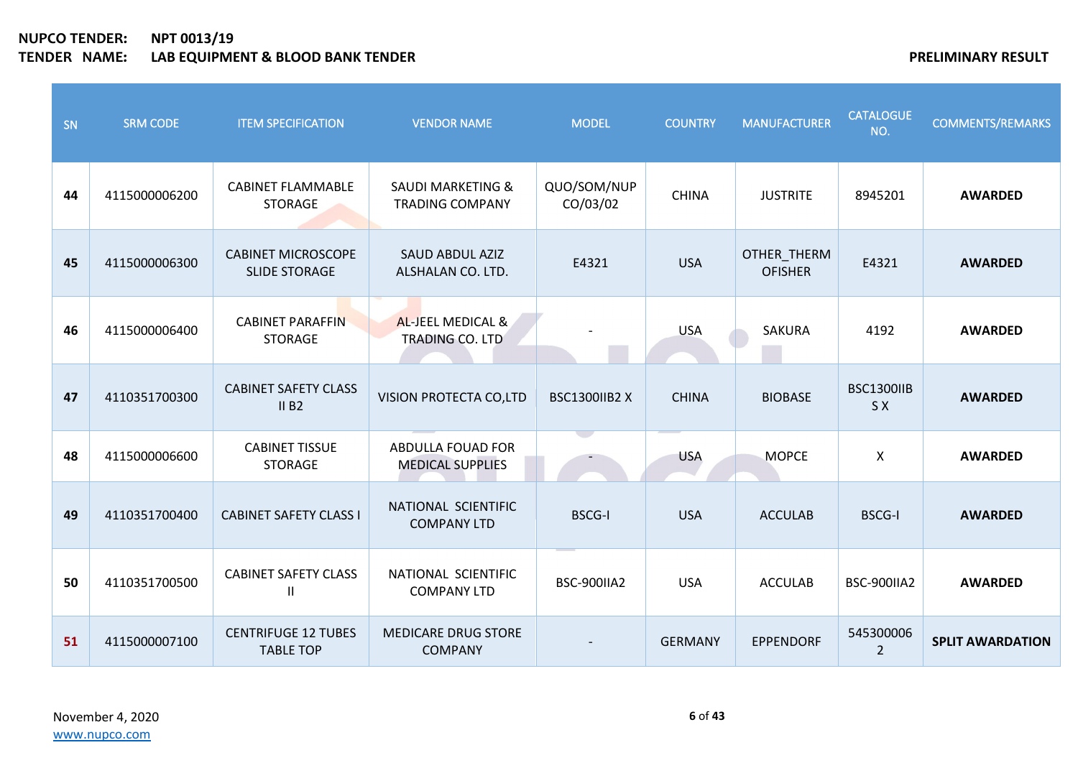| SN | <b>SRM CODE</b> | <b>ITEM SPECIFICATION</b>                         | <b>VENDOR NAME</b>                                     | <b>MODEL</b>            | <b>COUNTRY</b> | <b>MANUFACTURER</b>           | <b>CATALOGUE</b><br>NO.     | <b>COMMENTS/REMARKS</b> |
|----|-----------------|---------------------------------------------------|--------------------------------------------------------|-------------------------|----------------|-------------------------------|-----------------------------|-------------------------|
| 44 | 4115000006200   | <b>CABINET FLAMMABLE</b><br><b>STORAGE</b>        | <b>SAUDI MARKETING &amp;</b><br><b>TRADING COMPANY</b> | QUO/SOM/NUP<br>CO/03/02 | <b>CHINA</b>   | <b>JUSTRITE</b>               | 8945201                     | <b>AWARDED</b>          |
| 45 | 4115000006300   | <b>CABINET MICROSCOPE</b><br><b>SLIDE STORAGE</b> | <b>SAUD ABDUL AZIZ</b><br>ALSHALAN CO. LTD.            | E4321                   | <b>USA</b>     | OTHER_THERM<br><b>OFISHER</b> | E4321                       | <b>AWARDED</b>          |
| 46 | 4115000006400   | <b>CABINET PARAFFIN</b><br><b>STORAGE</b>         | AL-JEEL MEDICAL &<br>TRADING CO. LTD                   |                         | <b>USA</b>     | <b>SAKURA</b>                 | 4192                        | <b>AWARDED</b>          |
| 47 | 4110351700300   | <b>CABINET SAFETY CLASS</b><br>II B2              | VISION PROTECTA CO,LTD                                 | BSC1300IIB2 X           | <b>CHINA</b>   | <b>BIOBASE</b>                | BSC1300IIB<br>S X           | <b>AWARDED</b>          |
| 48 | 4115000006600   | <b>CABINET TISSUE</b><br><b>STORAGE</b>           | ABDULLA FOUAD FOR<br><b>MEDICAL SUPPLIES</b>           |                         | <b>USA</b>     | <b>MOPCE</b>                  | $\mathsf{X}$                | <b>AWARDED</b>          |
| 49 | 4110351700400   | <b>CABINET SAFETY CLASS I</b>                     | NATIONAL SCIENTIFIC<br><b>COMPANY LTD</b>              | <b>BSCG-I</b>           | <b>USA</b>     | <b>ACCULAB</b>                | <b>BSCG-I</b>               | <b>AWARDED</b>          |
| 50 | 4110351700500   | <b>CABINET SAFETY CLASS</b><br>Ш                  | NATIONAL SCIENTIFIC<br><b>COMPANY LTD</b>              | BSC-900IIA2             | <b>USA</b>     | <b>ACCULAB</b>                | BSC-900IIA2                 | <b>AWARDED</b>          |
| 51 | 4115000007100   | <b>CENTRIFUGE 12 TUBES</b><br><b>TABLE TOP</b>    | <b>MEDICARE DRUG STORE</b><br><b>COMPANY</b>           |                         | <b>GERMANY</b> | <b>EPPENDORF</b>              | 545300006<br>$\overline{2}$ | <b>SPLIT AWARDATION</b> |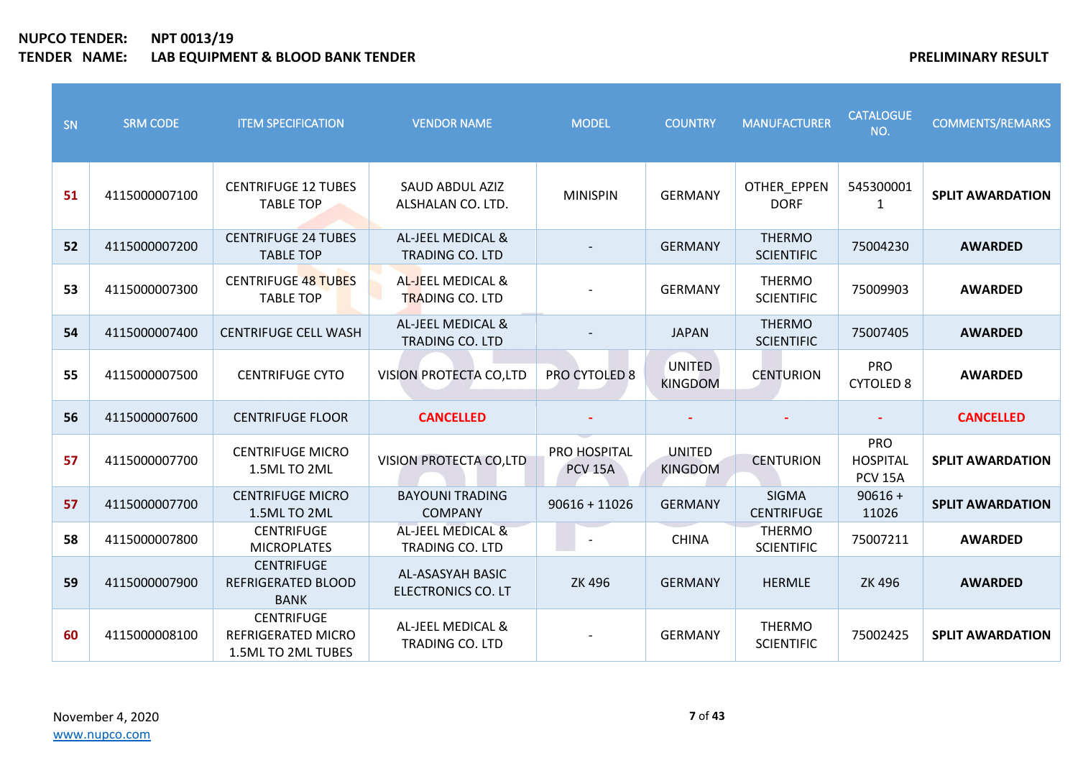| SN | <b>SRM CODE</b> | <b>ITEM SPECIFICATION</b>                                     | <b>VENDOR NAME</b>                                     | <b>MODEL</b>                   | <b>COUNTRY</b>           | <b>MANUFACTURER</b>                | <b>CATALOGUE</b><br>NO.                         | <b>COMMENTS/REMARKS</b> |
|----|-----------------|---------------------------------------------------------------|--------------------------------------------------------|--------------------------------|--------------------------|------------------------------------|-------------------------------------------------|-------------------------|
| 51 | 4115000007100   | <b>CENTRIFUGE 12 TUBES</b><br><b>TABLE TOP</b>                | SAUD ABDUL AZIZ<br>ALSHALAN CO. LTD.                   | <b>MINISPIN</b>                | <b>GERMANY</b>           | OTHER_EPPEN<br><b>DORF</b>         | 545300001<br>1                                  | <b>SPLIT AWARDATION</b> |
| 52 | 4115000007200   | <b>CENTRIFUGE 24 TUBES</b><br><b>TABLE TOP</b>                | AL-JEEL MEDICAL &<br>TRADING CO. LTD                   |                                | <b>GERMANY</b>           | <b>THERMO</b><br><b>SCIENTIFIC</b> | 75004230                                        | <b>AWARDED</b>          |
| 53 | 4115000007300   | <b>CENTRIFUGE 48 TUBES</b><br><b>TABLE TOP</b>                | AL-JEEL MEDICAL &<br><b>TRADING CO. LTD</b>            |                                | <b>GERMANY</b>           | <b>THERMO</b><br><b>SCIENTIFIC</b> | 75009903                                        | <b>AWARDED</b>          |
| 54 | 4115000007400   | <b>CENTRIFUGE CELL WASH</b>                                   | <b>AL-JEEL MEDICAL &amp;</b><br><b>TRADING CO. LTD</b> |                                | <b>JAPAN</b>             | <b>THERMO</b><br><b>SCIENTIFIC</b> | 75007405                                        | <b>AWARDED</b>          |
| 55 | 4115000007500   | <b>CENTRIFUGE CYTO</b>                                        | VISION PROTECTA CO,LTD                                 | <b>PRO CYTOLED 8</b>           | UNITED<br><b>KINGDOM</b> | <b>CENTURION</b>                   | <b>PRO</b><br><b>CYTOLED 8</b>                  | <b>AWARDED</b>          |
| 56 | 4115000007600   | <b>CENTRIFUGE FLOOR</b>                                       | <b>CANCELLED</b>                                       |                                |                          |                                    |                                                 | <b>CANCELLED</b>        |
| 57 | 4115000007700   | <b>CENTRIFUGE MICRO</b><br>1.5ML TO 2ML                       | <b>VISION PROTECTA CO,LTD</b>                          | PRO HOSPITAL<br><b>PCV 15A</b> | UNITED<br><b>KINGDOM</b> | <b>CENTURION</b>                   | <b>PRO</b><br><b>HOSPITAL</b><br><b>PCV 15A</b> | <b>SPLIT AWARDATION</b> |
| 57 | 4115000007700   | <b>CENTRIFUGE MICRO</b><br>1.5ML TO 2ML                       | <b>BAYOUNI TRADING</b><br><b>COMPANY</b>               | $90616 + 11026$                | <b>GERMANY</b>           | <b>SIGMA</b><br><b>CENTRIFUGE</b>  | $90616 +$<br>11026                              | <b>SPLIT AWARDATION</b> |
| 58 | 4115000007800   | <b>CENTRIFUGE</b><br><b>MICROPLATES</b>                       | <b>AL-JEEL MEDICAL &amp;</b><br>TRADING CO. LTD        |                                | <b>CHINA</b>             | <b>THERMO</b><br><b>SCIENTIFIC</b> | 75007211                                        | <b>AWARDED</b>          |
| 59 | 4115000007900   | <b>CENTRIFUGE</b><br><b>REFRIGERATED BLOOD</b><br><b>BANK</b> | AL-ASASYAH BASIC<br><b>ELECTRONICS CO. LT</b>          | <b>ZK 496</b>                  | <b>GERMANY</b>           | <b>HERMLE</b>                      | <b>ZK 496</b>                                   | <b>AWARDED</b>          |
| 60 | 4115000008100   | <b>CENTRIFUGE</b><br>REFRIGERATED MICRO<br>1.5ML TO 2ML TUBES | AL-JEEL MEDICAL &<br><b>TRADING CO. LTD</b>            |                                | <b>GERMANY</b>           | <b>THERMO</b><br><b>SCIENTIFIC</b> | 75002425                                        | <b>SPLIT AWARDATION</b> |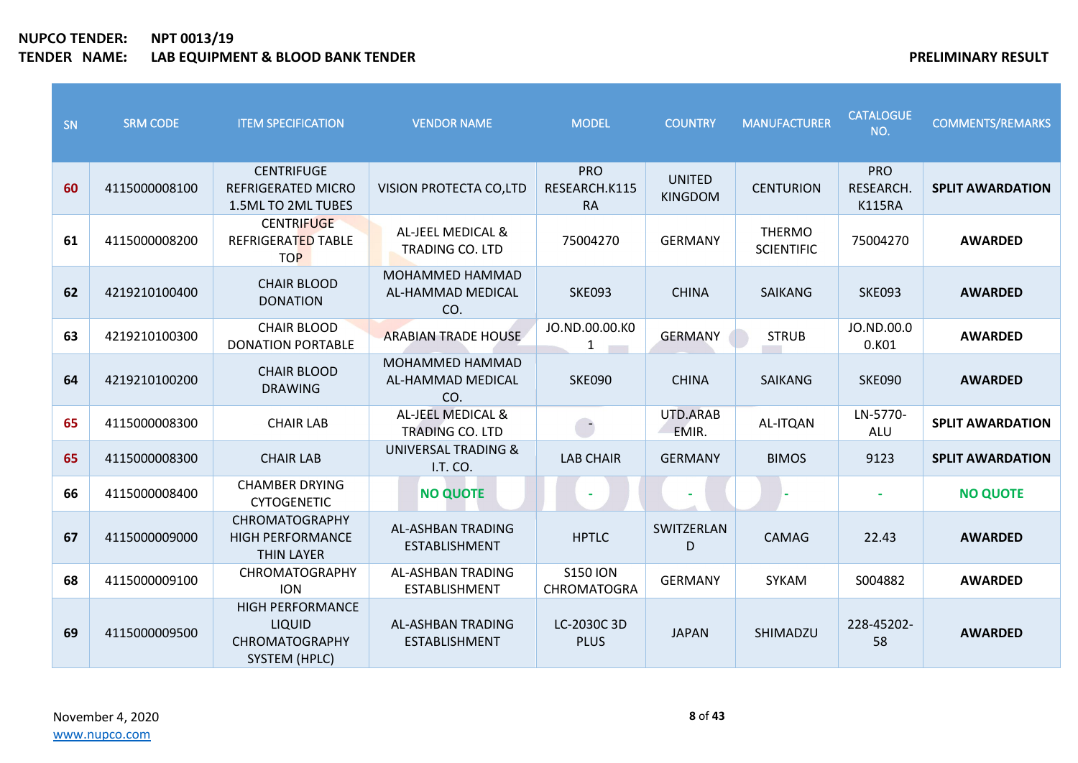| SN | <b>SRM CODE</b> | <b>ITEM SPECIFICATION</b>                                                                 | <b>VENDOR NAME</b>                                 | <b>MODEL</b>                             | <b>COUNTRY</b>                  | <b>MANUFACTURER</b>                | <b>CATALOGUE</b><br>NO.                  | <b>COMMENTS/REMARKS</b> |
|----|-----------------|-------------------------------------------------------------------------------------------|----------------------------------------------------|------------------------------------------|---------------------------------|------------------------------------|------------------------------------------|-------------------------|
| 60 | 4115000008100   | <b>CENTRIFUGE</b><br><b>REFRIGERATED MICRO</b><br>1.5ML TO 2ML TUBES                      | VISION PROTECTA CO,LTD                             | <b>PRO</b><br>RESEARCH.K115<br><b>RA</b> | <b>UNITED</b><br><b>KINGDOM</b> | <b>CENTURION</b>                   | <b>PRO</b><br>RESEARCH.<br><b>K115RA</b> | <b>SPLIT AWARDATION</b> |
| 61 | 4115000008200   | <b>CENTRIFUGE</b><br>REFRIGERATED TABLE<br><b>TOP</b>                                     | AL-JEEL MEDICAL &<br><b>TRADING CO. LTD</b>        | 75004270                                 | <b>GERMANY</b>                  | <b>THERMO</b><br><b>SCIENTIFIC</b> | 75004270                                 | <b>AWARDED</b>          |
| 62 | 4219210100400   | <b>CHAIR BLOOD</b><br><b>DONATION</b>                                                     | <b>MOHAMMED HAMMAD</b><br>AL-HAMMAD MEDICAL<br>CO. | <b>SKE093</b>                            | <b>CHINA</b>                    | <b>SAIKANG</b>                     | <b>SKE093</b>                            | <b>AWARDED</b>          |
| 63 | 4219210100300   | <b>CHAIR BLOOD</b><br><b>DONATION PORTABLE</b>                                            | <b>ARABIAN TRADE HOUSE</b>                         | JO.ND.00.00.KO<br>1                      | <b>GERMANY</b>                  | <b>STRUB</b>                       | JO.ND.00.0<br>0.K01                      | <b>AWARDED</b>          |
| 64 | 4219210100200   | <b>CHAIR BLOOD</b><br><b>DRAWING</b>                                                      | MOHAMMED HAMMAD<br>AL-HAMMAD MEDICAL<br>CO.        | <b>SKE090</b>                            | <b>CHINA</b>                    | <b>SAIKANG</b>                     | <b>SKE090</b>                            | <b>AWARDED</b>          |
| 65 | 4115000008300   | <b>CHAIR LAB</b>                                                                          | AL-JEEL MEDICAL &<br><b>TRADING CO. LTD</b>        | $\rightarrow$                            | UTD.ARAB<br>EMIR.               | AL-ITQAN                           | LN-5770-<br>ALU                          | <b>SPLIT AWARDATION</b> |
| 65 | 4115000008300   | <b>CHAIR LAB</b>                                                                          | UNIVERSAL TRADING &<br>I.T. CO.                    | <b>LAB CHAIR</b>                         | <b>GERMANY</b>                  | <b>BIMOS</b>                       | 9123                                     | <b>SPLIT AWARDATION</b> |
| 66 | 4115000008400   | <b>CHAMBER DRYING</b><br><b>CYTOGENETIC</b>                                               | <b>NO QUOTE</b>                                    |                                          |                                 |                                    | $\blacksquare$                           | <b>NO QUOTE</b>         |
| 67 | 4115000009000   | <b>CHROMATOGRAPHY</b><br><b>HIGH PERFORMANCE</b><br><b>THIN LAYER</b>                     | <b>AL-ASHBAN TRADING</b><br><b>ESTABLISHMENT</b>   | <b>HPTLC</b>                             | SWITZERLAN<br>D                 | CAMAG                              | 22.43                                    | <b>AWARDED</b>          |
| 68 | 4115000009100   | <b>CHROMATOGRAPHY</b><br><b>ION</b>                                                       | AL-ASHBAN TRADING<br><b>ESTABLISHMENT</b>          | <b>S150 ION</b><br><b>CHROMATOGRA</b>    | <b>GERMANY</b>                  | <b>SYKAM</b>                       | S004882                                  | <b>AWARDED</b>          |
| 69 | 4115000009500   | <b>HIGH PERFORMANCE</b><br><b>LIQUID</b><br><b>CHROMATOGRAPHY</b><br><b>SYSTEM (HPLC)</b> | AL-ASHBAN TRADING<br><b>ESTABLISHMENT</b>          | LC-2030C 3D<br><b>PLUS</b>               | <b>JAPAN</b>                    | SHIMADZU                           | 228-45202-<br>58                         | <b>AWARDED</b>          |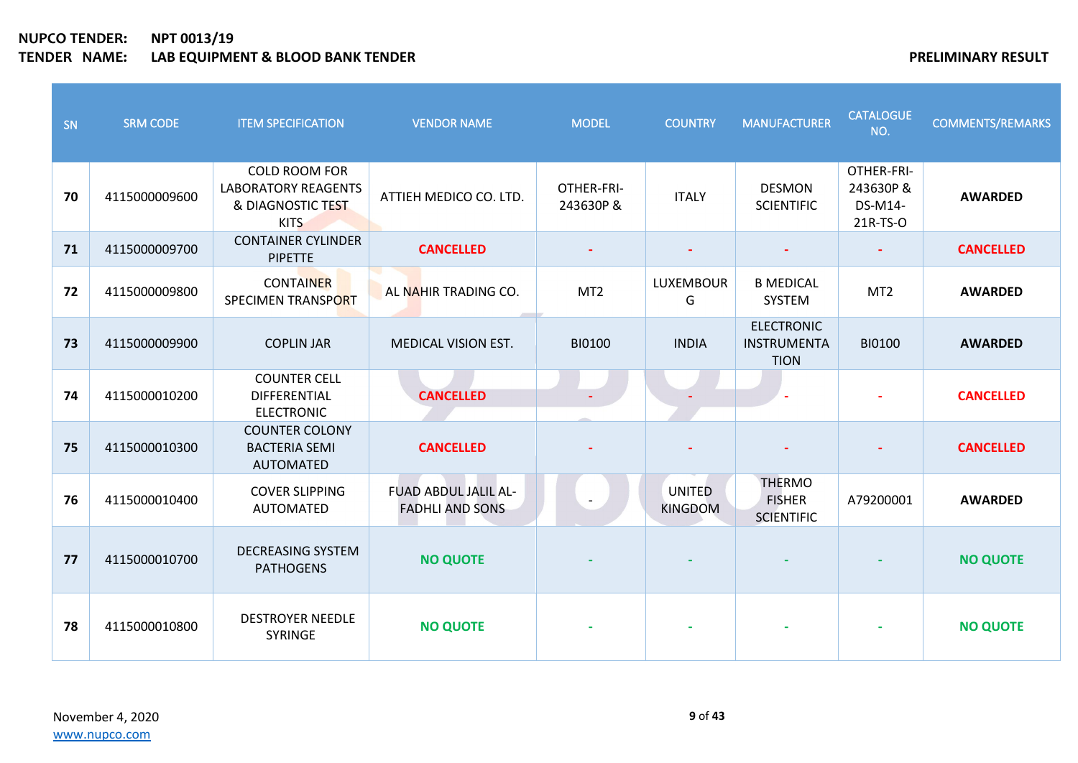| SN | <b>SRM CODE</b> | <b>ITEM SPECIFICATION</b>                                                              | <b>VENDOR NAME</b>                                    | <b>MODEL</b>            | <b>COUNTRY</b>           | <b>MANUFACTURER</b>                                 | <b>CATALOGUE</b><br>NO.                        | <b>COMMENTS/REMARKS</b> |
|----|-----------------|----------------------------------------------------------------------------------------|-------------------------------------------------------|-------------------------|--------------------------|-----------------------------------------------------|------------------------------------------------|-------------------------|
| 70 | 4115000009600   | <b>COLD ROOM FOR</b><br><b>LABORATORY REAGENTS</b><br>& DIAGNOSTIC TEST<br><b>KITS</b> | ATTIEH MEDICO CO. LTD.                                | OTHER-FRI-<br>243630P & | <b>ITALY</b>             | <b>DESMON</b><br><b>SCIENTIFIC</b>                  | OTHER-FRI-<br>243630P &<br>DS-M14-<br>21R-TS-O | <b>AWARDED</b>          |
| 71 | 4115000009700   | <b>CONTAINER CYLINDER</b><br><b>PIPETTE</b>                                            | <b>CANCELLED</b>                                      |                         |                          |                                                     |                                                | <b>CANCELLED</b>        |
| 72 | 4115000009800   | <b>CONTAINER</b><br>SPECIMEN TRANSPORT                                                 | AL NAHIR TRADING CO.                                  | MT <sub>2</sub>         | <b>LUXEMBOUR</b><br>G    | <b>B MEDICAL</b><br><b>SYSTEM</b>                   | MT <sub>2</sub>                                | <b>AWARDED</b>          |
| 73 | 4115000009900   | <b>COPLIN JAR</b>                                                                      | <b>MEDICAL VISION EST.</b>                            | <b>BI0100</b>           | <b>INDIA</b>             | <b>ELECTRONIC</b><br>INSTRUMENTA<br><b>TION</b>     | <b>BI0100</b>                                  | <b>AWARDED</b>          |
| 74 | 4115000010200   | <b>COUNTER CELL</b><br>DIFFERENTIAL<br><b>ELECTRONIC</b>                               | <b>CANCELLED</b>                                      |                         |                          |                                                     |                                                | <b>CANCELLED</b>        |
| 75 | 4115000010300   | <b>COUNTER COLONY</b><br><b>BACTERIA SEMI</b><br><b>AUTOMATED</b>                      | <b>CANCELLED</b>                                      |                         |                          |                                                     |                                                | <b>CANCELLED</b>        |
| 76 | 4115000010400   | <b>COVER SLIPPING</b><br><b>AUTOMATED</b>                                              | <b>FUAD ABDUL JALIL AL-</b><br><b>FADHLI AND SONS</b> |                         | UNITED<br><b>KINGDOM</b> | <b>THERMO</b><br><b>FISHER</b><br><b>SCIENTIFIC</b> | A79200001                                      | <b>AWARDED</b>          |
| 77 | 4115000010700   | <b>DECREASING SYSTEM</b><br><b>PATHOGENS</b>                                           | <b>NO QUOTE</b>                                       |                         |                          |                                                     |                                                | <b>NO QUOTE</b>         |
| 78 | 4115000010800   | <b>DESTROYER NEEDLE</b><br><b>SYRINGE</b>                                              | <b>NO QUOTE</b>                                       |                         |                          |                                                     |                                                | <b>NO QUOTE</b>         |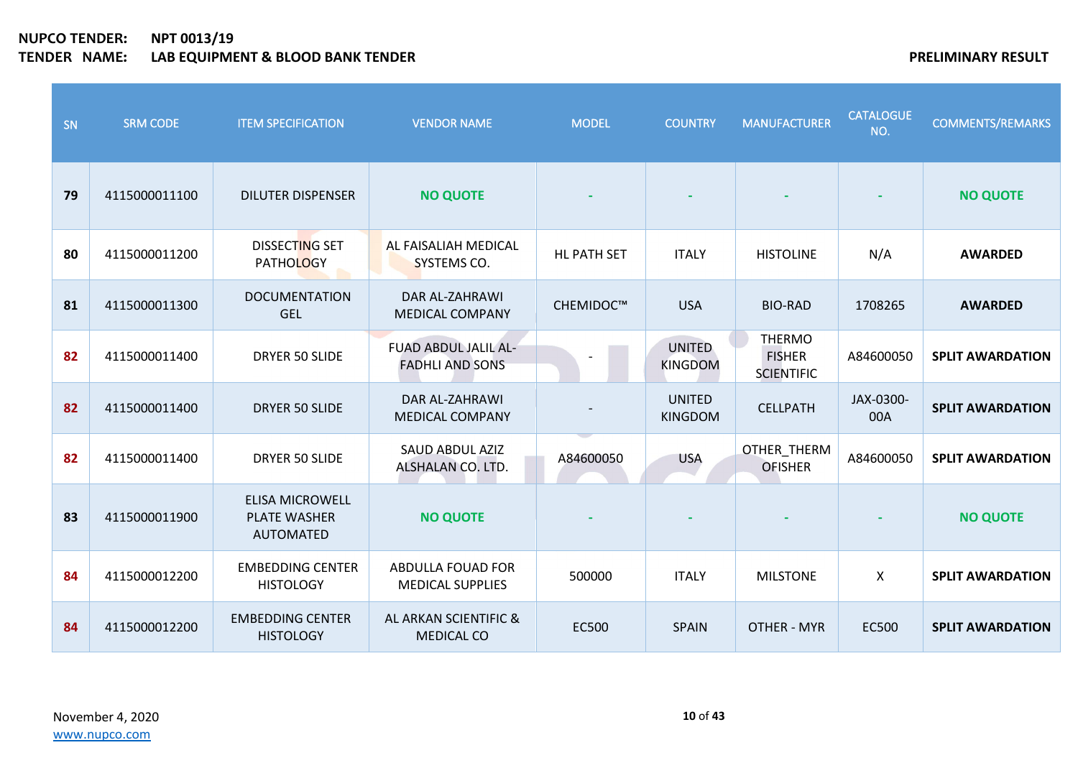| SN | <b>SRM CODE</b> | <b>ITEM SPECIFICATION</b>                                  | <b>VENDOR NAME</b>                             | <b>MODEL</b>       | <b>COUNTRY</b>                  | <b>MANUFACTURER</b>                                 | <b>CATALOGUE</b><br>NO. | <b>COMMENTS/REMARKS</b> |
|----|-----------------|------------------------------------------------------------|------------------------------------------------|--------------------|---------------------------------|-----------------------------------------------------|-------------------------|-------------------------|
| 79 | 4115000011100   | <b>DILUTER DISPENSER</b>                                   | <b>NO QUOTE</b>                                |                    |                                 |                                                     |                         | <b>NO QUOTE</b>         |
| 80 | 4115000011200   | <b>DISSECTING SET</b><br>PATHOLOGY                         | AL FAISALIAH MEDICAL<br>SYSTEMS CO.            | <b>HL PATH SET</b> | <b>ITALY</b>                    | <b>HISTOLINE</b>                                    | N/A                     | <b>AWARDED</b>          |
| 81 | 4115000011300   | <b>DOCUMENTATION</b><br><b>GEL</b>                         | DAR AL-ZAHRAWI<br><b>MEDICAL COMPANY</b>       | CHEMIDOC™          | <b>USA</b>                      | <b>BIO-RAD</b>                                      | 1708265                 | <b>AWARDED</b>          |
| 82 | 4115000011400   | DRYER 50 SLIDE                                             | FUAD ABDUL JALIL AL-<br><b>FADHLI AND SONS</b> |                    | <b>UNITED</b><br><b>KINGDOM</b> | <b>THERMO</b><br><b>FISHER</b><br><b>SCIENTIFIC</b> | A84600050               | <b>SPLIT AWARDATION</b> |
| 82 | 4115000011400   | DRYER 50 SLIDE                                             | DAR AL-ZAHRAWI<br><b>MEDICAL COMPANY</b>       |                    | <b>UNITED</b><br><b>KINGDOM</b> | <b>CELLPATH</b>                                     | JAX-0300-<br>00A        | <b>SPLIT AWARDATION</b> |
| 82 | 4115000011400   | <b>DRYER 50 SLIDE</b>                                      | SAUD ABDUL AZIZ<br>ALSHALAN CO. LTD.           | A84600050          | <b>USA</b>                      | OTHER_THERM<br><b>OFISHER</b>                       | A84600050               | <b>SPLIT AWARDATION</b> |
| 83 | 4115000011900   | <b>ELISA MICROWELL</b><br><b>PLATE WASHER</b><br>AUTOMATED | <b>NO QUOTE</b>                                |                    |                                 |                                                     |                         | <b>NO QUOTE</b>         |
| 84 | 4115000012200   | <b>EMBEDDING CENTER</b><br><b>HISTOLOGY</b>                | ABDULLA FOUAD FOR<br><b>MEDICAL SUPPLIES</b>   | 500000             | <b>ITALY</b>                    | <b>MILSTONE</b>                                     | $\pmb{\mathsf{X}}$      | <b>SPLIT AWARDATION</b> |
| 84 | 4115000012200   | <b>EMBEDDING CENTER</b><br><b>HISTOLOGY</b>                | AL ARKAN SCIENTIFIC &<br><b>MEDICAL CO</b>     | <b>EC500</b>       | <b>SPAIN</b>                    | <b>OTHER - MYR</b>                                  | EC500                   | <b>SPLIT AWARDATION</b> |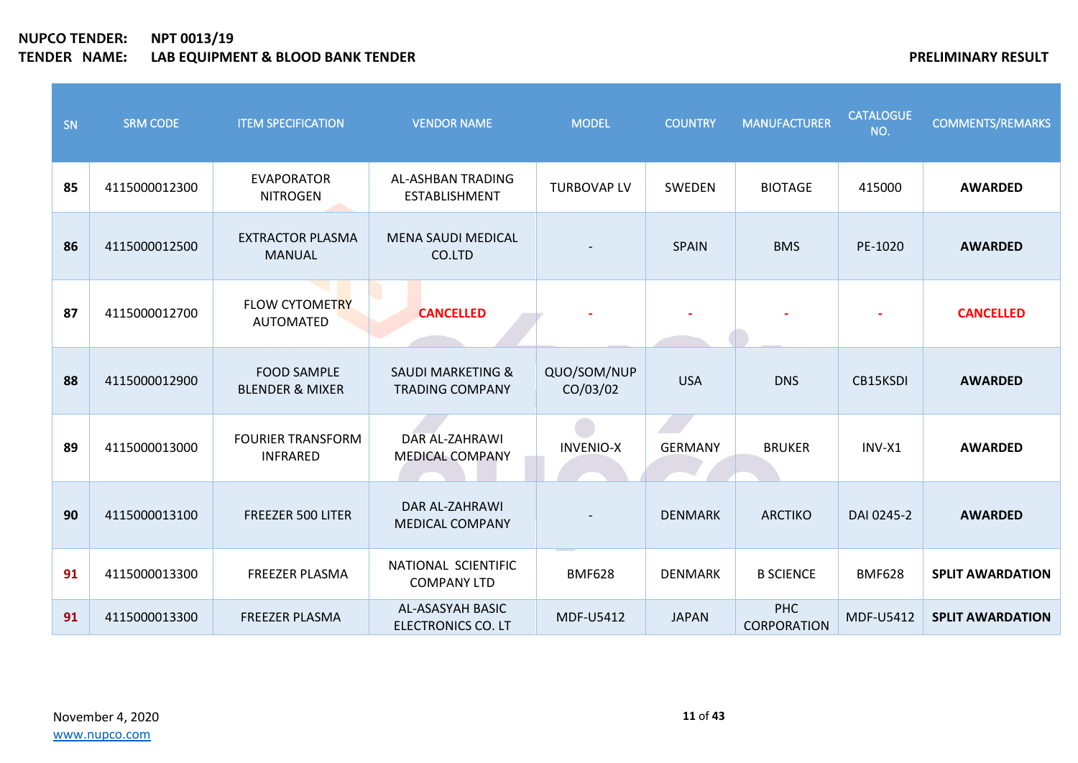| SN | <b>SRM CODE</b> | <b>ITEM SPECIFICATION</b>                        | <b>VENDOR NAME</b>                                     | <b>MODEL</b>            | <b>COUNTRY</b> | <b>MANUFACTURER</b>              | <b>CATALOGUE</b><br>NO. | <b>COMMENTS/REMARKS</b> |
|----|-----------------|--------------------------------------------------|--------------------------------------------------------|-------------------------|----------------|----------------------------------|-------------------------|-------------------------|
| 85 | 4115000012300   | <b>EVAPORATOR</b><br><b>NITROGEN</b>             | AL-ASHBAN TRADING<br><b>ESTABLISHMENT</b>              | <b>TURBOVAP LV</b>      | SWEDEN         | <b>BIOTAGE</b>                   | 415000                  | <b>AWARDED</b>          |
| 86 | 4115000012500   | <b>EXTRACTOR PLASMA</b><br><b>MANUAL</b>         | <b>MENA SAUDI MEDICAL</b><br>CO.LTD                    |                         | <b>SPAIN</b>   | <b>BMS</b>                       | PE-1020                 | <b>AWARDED</b>          |
| 87 | 4115000012700   | <b>FLOW CYTOMETRY</b><br><b>AUTOMATED</b>        | <b>CANCELLED</b>                                       |                         |                |                                  |                         | <b>CANCELLED</b>        |
| 88 | 4115000012900   | <b>FOOD SAMPLE</b><br><b>BLENDER &amp; MIXER</b> | <b>SAUDI MARKETING &amp;</b><br><b>TRADING COMPANY</b> | QUO/SOM/NUP<br>CO/03/02 | <b>USA</b>     | <b>DNS</b>                       | CB15KSDI                | <b>AWARDED</b>          |
| 89 | 4115000013000   | <b>FOURIER TRANSFORM</b><br><b>INFRARED</b>      | DAR AL-ZAHRAWI<br><b>MEDICAL COMPANY</b>               | <b>INVENIO-X</b>        | <b>GERMANY</b> | <b>BRUKER</b>                    | INV-X1                  | <b>AWARDED</b>          |
| 90 | 4115000013100   | <b>FREEZER 500 LITER</b>                         | DAR AL-ZAHRAWI<br><b>MEDICAL COMPANY</b>               |                         | <b>DENMARK</b> | <b>ARCTIKO</b>                   | DAI 0245-2              | <b>AWARDED</b>          |
| 91 | 4115000013300   | <b>FREEZER PLASMA</b>                            | NATIONAL SCIENTIFIC<br><b>COMPANY LTD</b>              | <b>BMF628</b>           | <b>DENMARK</b> | <b>B SCIENCE</b>                 | <b>BMF628</b>           | <b>SPLIT AWARDATION</b> |
| 91 | 4115000013300   | <b>FREEZER PLASMA</b>                            | AL-ASASYAH BASIC<br><b>ELECTRONICS CO. LT</b>          | MDF-U5412               | <b>JAPAN</b>   | <b>PHC</b><br><b>CORPORATION</b> | MDF-U5412               | <b>SPLIT AWARDATION</b> |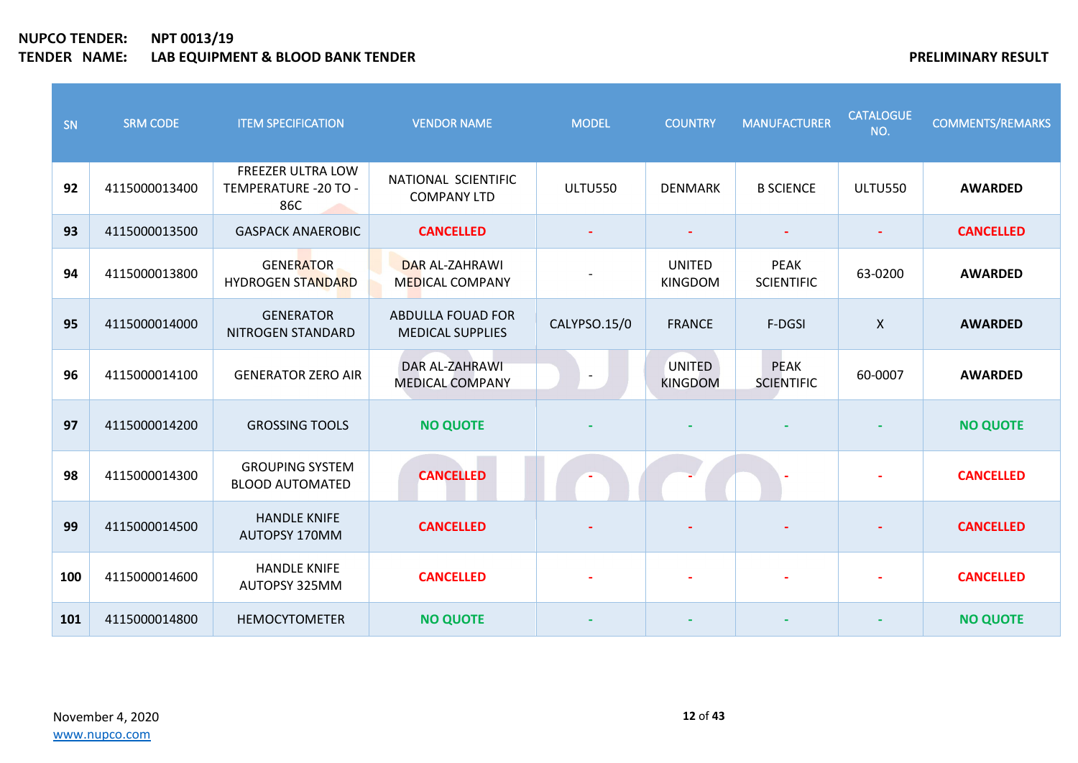| SN  | <b>SRM CODE</b> | <b>ITEM SPECIFICATION</b>                         | <b>VENDOR NAME</b>                                  | <b>MODEL</b>   | <b>COUNTRY</b>                  | <b>MANUFACTURER</b>              | <b>CATALOGUE</b><br>NO.   | <b>COMMENTS/REMARKS</b> |
|-----|-----------------|---------------------------------------------------|-----------------------------------------------------|----------------|---------------------------------|----------------------------------|---------------------------|-------------------------|
| 92  | 4115000013400   | FREEZER ULTRA LOW<br>TEMPERATURE - 20 TO -<br>86C | NATIONAL SCIENTIFIC<br><b>COMPANY LTD</b>           | <b>ULTU550</b> | <b>DENMARK</b>                  | <b>B SCIENCE</b>                 | <b>ULTU550</b>            | <b>AWARDED</b>          |
| 93  | 4115000013500   | <b>GASPACK ANAEROBIC</b>                          | <b>CANCELLED</b>                                    |                | $\blacksquare$                  | $\overline{\phantom{a}}$         | $\blacksquare$            | <b>CANCELLED</b>        |
| 94  | 4115000013800   | <b>GENERATOR</b><br><b>HYDROGEN STANDARD</b>      | <b>DAR AL-ZAHRAWI</b><br><b>MEDICAL COMPANY</b>     |                | <b>UNITED</b><br><b>KINGDOM</b> | <b>PEAK</b><br><b>SCIENTIFIC</b> | 63-0200                   | <b>AWARDED</b>          |
| 95  | 4115000014000   | <b>GENERATOR</b><br>NITROGEN STANDARD             | <b>ABDULLA FOUAD FOR</b><br><b>MEDICAL SUPPLIES</b> | CALYPSO.15/0   | <b>FRANCE</b>                   | F-DGSI                           | $\boldsymbol{\mathsf{X}}$ | <b>AWARDED</b>          |
| 96  | 4115000014100   | <b>GENERATOR ZERO AIR</b>                         | <b>DAR AL-ZAHRAWI</b><br><b>MEDICAL COMPANY</b>     |                | UNITED<br><b>KINGDOM</b>        | <b>PEAK</b><br><b>SCIENTIFIC</b> | 60-0007                   | <b>AWARDED</b>          |
| 97  | 4115000014200   | <b>GROSSING TOOLS</b>                             | <b>NO QUOTE</b>                                     |                |                                 |                                  |                           | <b>NO QUOTE</b>         |
| 98  | 4115000014300   | <b>GROUPING SYSTEM</b><br><b>BLOOD AUTOMATED</b>  | <b>CANCELLED</b>                                    |                |                                 |                                  |                           | <b>CANCELLED</b>        |
| 99  | 4115000014500   | <b>HANDLE KNIFE</b><br>AUTOPSY 170MM              | <b>CANCELLED</b>                                    |                |                                 |                                  |                           | <b>CANCELLED</b>        |
| 100 | 4115000014600   | <b>HANDLE KNIFE</b><br>AUTOPSY 325MM              | <b>CANCELLED</b>                                    |                | $\sim$                          |                                  |                           | <b>CANCELLED</b>        |
| 101 | 4115000014800   | <b>HEMOCYTOMETER</b>                              | <b>NO QUOTE</b>                                     |                |                                 |                                  |                           | <b>NO QUOTE</b>         |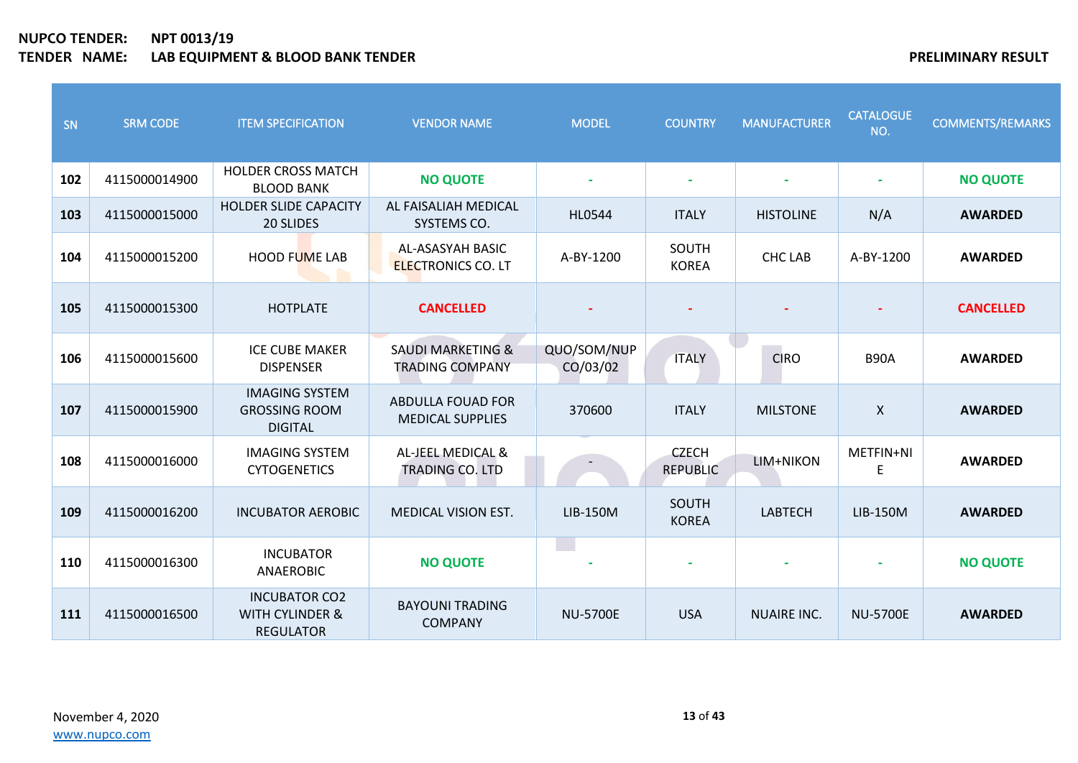| SN  | <b>SRM CODE</b> | <b>ITEM SPECIFICATION</b>                                              | <b>VENDOR NAME</b>                                     | <b>MODEL</b>            | <b>COUNTRY</b>                  | <b>MANUFACTURER</b> | <b>CATALOGUE</b><br>NO.   | <b>COMMENTS/REMARKS</b> |
|-----|-----------------|------------------------------------------------------------------------|--------------------------------------------------------|-------------------------|---------------------------------|---------------------|---------------------------|-------------------------|
| 102 | 4115000014900   | <b>HOLDER CROSS MATCH</b><br><b>BLOOD BANK</b>                         | <b>NO QUOTE</b>                                        |                         | ÷                               |                     |                           | <b>NO QUOTE</b>         |
| 103 | 4115000015000   | <b>HOLDER SLIDE CAPACITY</b><br>20 SLIDES                              | AL FAISALIAH MEDICAL<br>SYSTEMS CO.                    | <b>HL0544</b>           | <b>ITALY</b>                    | <b>HISTOLINE</b>    | N/A                       | <b>AWARDED</b>          |
| 104 | 4115000015200   | <b>HOOD FUME LAB</b>                                                   | AL-ASASYAH BASIC<br><b>ELECTRONICS CO. LT</b>          | A-BY-1200               | SOUTH<br><b>KOREA</b>           | <b>CHC LAB</b>      | A-BY-1200                 | <b>AWARDED</b>          |
| 105 | 4115000015300   | <b>HOTPLATE</b>                                                        | <b>CANCELLED</b>                                       |                         |                                 |                     |                           | <b>CANCELLED</b>        |
| 106 | 4115000015600   | <b>ICE CUBE MAKER</b><br><b>DISPENSER</b>                              | <b>SAUDI MARKETING &amp;</b><br><b>TRADING COMPANY</b> | QUO/SOM/NUP<br>CO/03/02 | <b>ITALY</b>                    | <b>CIRO</b>         | <b>B90A</b>               | <b>AWARDED</b>          |
| 107 | 4115000015900   | <b>IMAGING SYSTEM</b><br><b>GROSSING ROOM</b><br><b>DIGITAL</b>        | ABDULLA FOUAD FOR<br><b>MEDICAL SUPPLIES</b>           | 370600                  | <b>ITALY</b>                    | <b>MILSTONE</b>     | $\boldsymbol{\mathsf{X}}$ | <b>AWARDED</b>          |
| 108 | 4115000016000   | <b>IMAGING SYSTEM</b><br><b>CYTOGENETICS</b>                           | AL-JEEL MEDICAL &<br><b>TRADING CO. LTD</b>            |                         | <b>CZECH</b><br><b>REPUBLIC</b> | LIM+NIKON           | METFIN+NI<br>E            | <b>AWARDED</b>          |
| 109 | 4115000016200   | <b>INCUBATOR AEROBIC</b>                                               | <b>MEDICAL VISION EST.</b>                             | LIB-150M                | SOUTH<br><b>KOREA</b>           | <b>LABTECH</b>      | LIB-150M                  | <b>AWARDED</b>          |
| 110 | 4115000016300   | <b>INCUBATOR</b><br>ANAEROBIC                                          | <b>NO QUOTE</b>                                        | <b>Side</b>             |                                 |                     |                           | <b>NO QUOTE</b>         |
| 111 | 4115000016500   | <b>INCUBATOR CO2</b><br><b>WITH CYLINDER &amp;</b><br><b>REGULATOR</b> | <b>BAYOUNI TRADING</b><br><b>COMPANY</b>               | <b>NU-5700E</b>         | <b>USA</b>                      | <b>NUAIRE INC.</b>  | <b>NU-5700E</b>           | <b>AWARDED</b>          |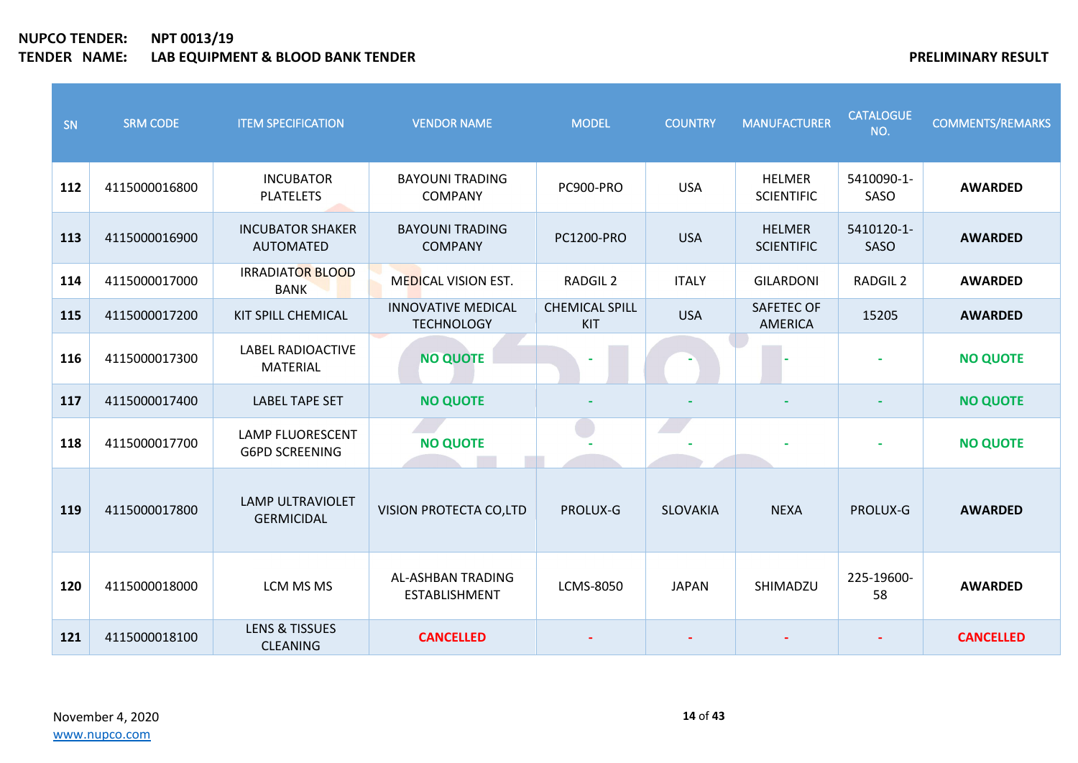| SN  | <b>SRM CODE</b> | <b>ITEM SPECIFICATION</b>                        | <b>VENDOR NAME</b>                             | <b>MODEL</b>                        | <b>COUNTRY</b>  | <b>MANUFACTURER</b>                 | <b>CATALOGUE</b><br>NO. | <b>COMMENTS/REMARKS</b> |
|-----|-----------------|--------------------------------------------------|------------------------------------------------|-------------------------------------|-----------------|-------------------------------------|-------------------------|-------------------------|
| 112 | 4115000016800   | <b>INCUBATOR</b><br><b>PLATELETS</b>             | <b>BAYOUNI TRADING</b><br><b>COMPANY</b>       | PC900-PRO                           | <b>USA</b>      | <b>HELMER</b><br><b>SCIENTIFIC</b>  | 5410090-1-<br>SASO      | <b>AWARDED</b>          |
| 113 | 4115000016900   | <b>INCUBATOR SHAKER</b><br><b>AUTOMATED</b>      | <b>BAYOUNI TRADING</b><br><b>COMPANY</b>       | PC1200-PRO                          | <b>USA</b>      | <b>HELMER</b><br><b>SCIENTIFIC</b>  | 5410120-1-<br>SASO      | <b>AWARDED</b>          |
| 114 | 4115000017000   | <b>IRRADIATOR BLOOD</b><br><b>BANK</b>           | <b>MEDICAL VISION EST.</b>                     | RADGIL <sub>2</sub>                 | <b>ITALY</b>    | <b>GILARDONI</b>                    | RADGIL <sub>2</sub>     | <b>AWARDED</b>          |
| 115 | 4115000017200   | KIT SPILL CHEMICAL                               | <b>INNOVATIVE MEDICAL</b><br><b>TECHNOLOGY</b> | <b>CHEMICAL SPILL</b><br><b>KIT</b> | <b>USA</b>      | <b>SAFETEC OF</b><br><b>AMERICA</b> | 15205                   | <b>AWARDED</b>          |
| 116 | 4115000017300   | <b>LABEL RADIOACTIVE</b><br><b>MATERIAL</b>      | <b>NO QUOTE</b>                                |                                     |                 |                                     |                         | <b>NO QUOTE</b>         |
| 117 | 4115000017400   | <b>LABEL TAPE SET</b>                            | <b>NO QUOTE</b>                                |                                     |                 |                                     |                         | <b>NO QUOTE</b>         |
| 118 | 4115000017700   | <b>LAMP FLUORESCENT</b><br><b>G6PD SCREENING</b> | <b>NO QUOTE</b>                                |                                     |                 |                                     |                         | <b>NO QUOTE</b>         |
| 119 | 4115000017800   | <b>LAMP ULTRAVIOLET</b><br><b>GERMICIDAL</b>     | VISION PROTECTA CO,LTD                         | PROLUX-G                            | <b>SLOVAKIA</b> | <b>NEXA</b>                         | PROLUX-G                | <b>AWARDED</b>          |
| 120 | 4115000018000   | LCM MS MS                                        | AL-ASHBAN TRADING<br><b>ESTABLISHMENT</b>      | LCMS-8050                           | <b>JAPAN</b>    | SHIMADZU                            | 225-19600-<br>58        | <b>AWARDED</b>          |
| 121 | 4115000018100   | <b>LENS &amp; TISSUES</b><br><b>CLEANING</b>     | <b>CANCELLED</b>                               |                                     |                 |                                     |                         | <b>CANCELLED</b>        |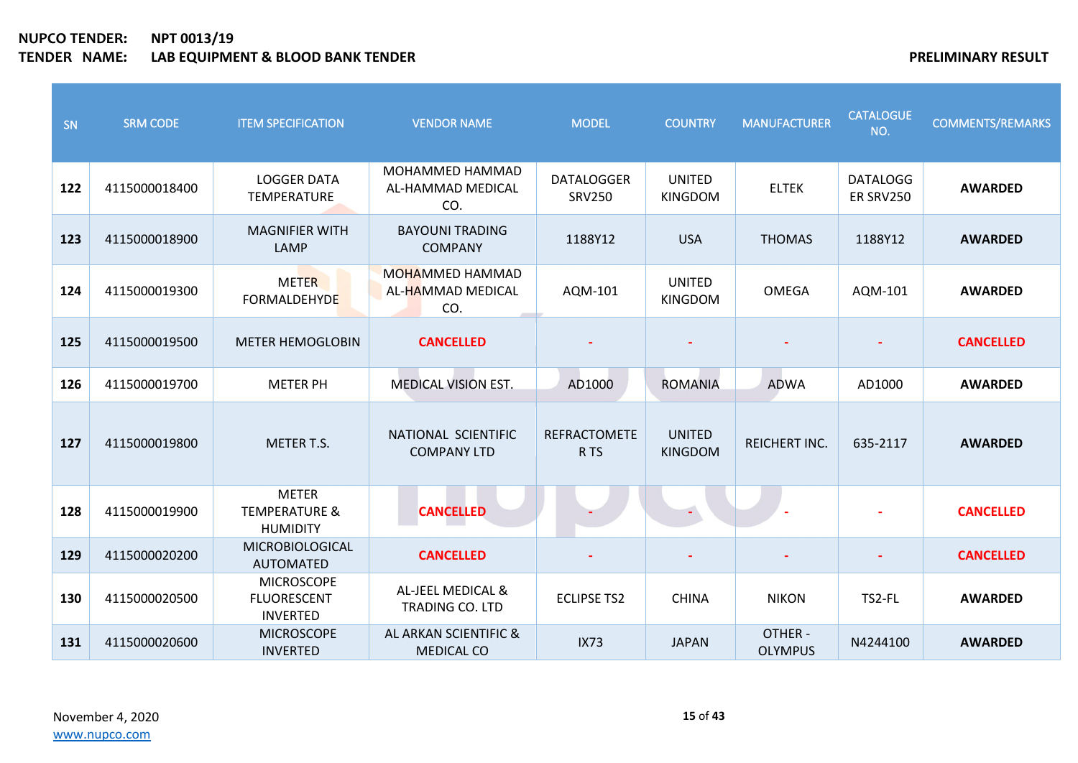| SN  | <b>SRM CODE</b> | <b>ITEM SPECIFICATION</b>                                   | <b>VENDOR NAME</b>                                 | <b>MODEL</b>                       | <b>COUNTRY</b>                  | <b>MANUFACTURER</b>       | <b>CATALOGUE</b><br>NO.      | <b>COMMENTS/REMARKS</b> |
|-----|-----------------|-------------------------------------------------------------|----------------------------------------------------|------------------------------------|---------------------------------|---------------------------|------------------------------|-------------------------|
| 122 | 4115000018400   | <b>LOGGER DATA</b><br><b>TEMPERATURE</b>                    | <b>MOHAMMED HAMMAD</b><br>AL-HAMMAD MEDICAL<br>CO. | <b>DATALOGGER</b><br><b>SRV250</b> | <b>UNITED</b><br><b>KINGDOM</b> | <b>ELTEK</b>              | <b>DATALOGG</b><br>ER SRV250 | <b>AWARDED</b>          |
| 123 | 4115000018900   | <b>MAGNIFIER WITH</b><br>LAMP                               | <b>BAYOUNI TRADING</b><br><b>COMPANY</b>           | 1188Y12                            | <b>USA</b>                      | <b>THOMAS</b>             | 1188Y12                      | <b>AWARDED</b>          |
| 124 | 4115000019300   | <b>METER</b><br><b>FORMALDEHYDE</b>                         | <b>MOHAMMED HAMMAD</b><br>AL-HAMMAD MEDICAL<br>CO. | AQM-101                            | <b>UNITED</b><br><b>KINGDOM</b> | <b>OMEGA</b>              | AQM-101                      | <b>AWARDED</b>          |
| 125 | 4115000019500   | <b>METER HEMOGLOBIN</b>                                     | <b>CANCELLED</b>                                   |                                    |                                 |                           |                              | <b>CANCELLED</b>        |
| 126 | 4115000019700   | <b>METER PH</b>                                             | <b>MEDICAL VISION EST.</b>                         | AD1000                             | <b>ROMANIA</b>                  | <b>ADWA</b>               | AD1000                       | <b>AWARDED</b>          |
| 127 | 4115000019800   | <b>METER T.S.</b>                                           | NATIONAL SCIENTIFIC<br><b>COMPANY LTD</b>          | <b>REFRACTOMETE</b><br>R TS        | <b>UNITED</b><br><b>KINGDOM</b> | <b>REICHERT INC.</b>      | 635-2117                     | <b>AWARDED</b>          |
| 128 | 4115000019900   | <b>METER</b><br><b>TEMPERATURE &amp;</b><br><b>HUMIDITY</b> | <b>CANCELLED</b>                                   |                                    |                                 |                           |                              | <b>CANCELLED</b>        |
| 129 | 4115000020200   | <b>MICROBIOLOGICAL</b><br><b>AUTOMATED</b>                  | <b>CANCELLED</b>                                   |                                    |                                 |                           |                              | <b>CANCELLED</b>        |
| 130 | 4115000020500   | <b>MICROSCOPE</b><br><b>FLUORESCENT</b><br><b>INVERTED</b>  | AL-JEEL MEDICAL &<br><b>TRADING CO. LTD</b>        | <b>ECLIPSE TS2</b>                 | <b>CHINA</b>                    | <b>NIKON</b>              | TS2-FL                       | <b>AWARDED</b>          |
| 131 | 4115000020600   | <b>MICROSCOPE</b><br><b>INVERTED</b>                        | AL ARKAN SCIENTIFIC &<br><b>MEDICAL CO</b>         | <b>IX73</b>                        | <b>JAPAN</b>                    | OTHER -<br><b>OLYMPUS</b> | N4244100                     | <b>AWARDED</b>          |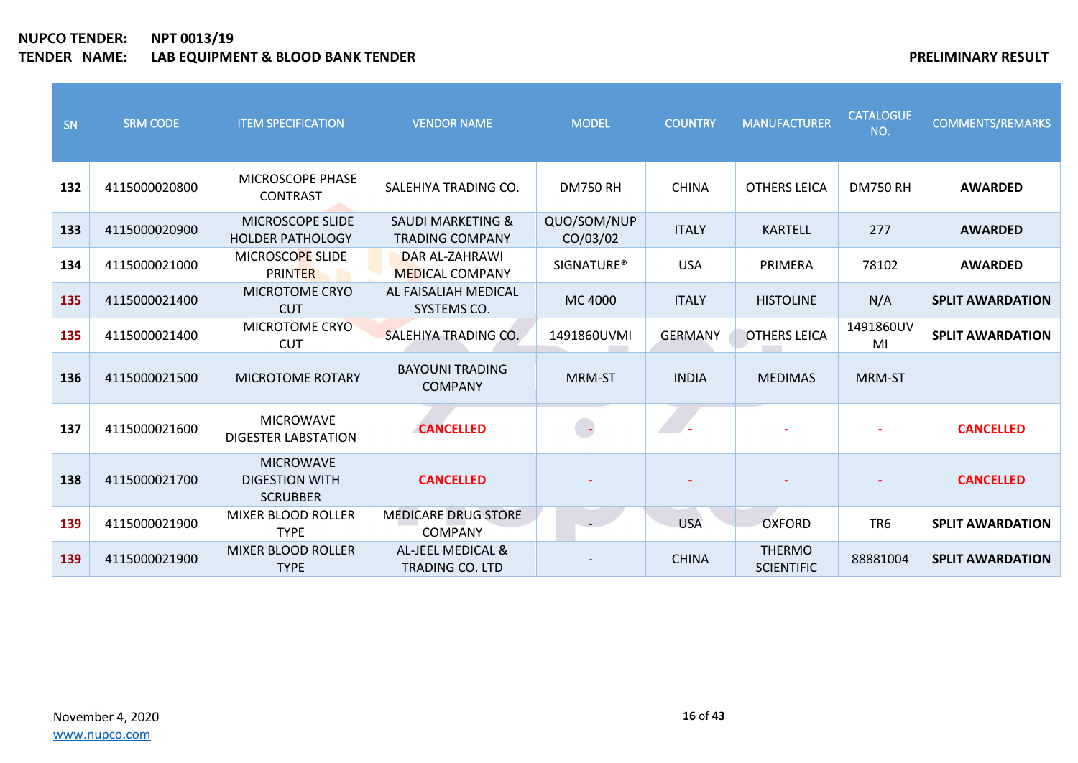| SN  | <b>SRM CODE</b> | <b>ITEM SPECIFICATION</b>                                    | <b>VENDOR NAME</b>                                     | <b>MODEL</b>             | <b>COUNTRY</b> | <b>MANUFACTURER</b>                | <b>CATALOGUE</b><br>NO. | <b>COMMENTS/REMARKS</b> |
|-----|-----------------|--------------------------------------------------------------|--------------------------------------------------------|--------------------------|----------------|------------------------------------|-------------------------|-------------------------|
| 132 | 4115000020800   | MICROSCOPE PHASE<br><b>CONTRAST</b>                          | SALEHIYA TRADING CO.                                   | <b>DM750 RH</b>          | <b>CHINA</b>   | <b>OTHERS LEICA</b>                | <b>DM750 RH</b>         | <b>AWARDED</b>          |
| 133 | 4115000020900   | MICROSCOPE SLIDE<br><b>HOLDER PATHOLOGY</b>                  | <b>SAUDI MARKETING &amp;</b><br><b>TRADING COMPANY</b> | QUO/SOM/NUP<br>CO/03/02  | <b>ITALY</b>   | <b>KARTELL</b>                     | 277                     | <b>AWARDED</b>          |
| 134 | 4115000021000   | MICROSCOPE SLIDE<br><b>PRINTER</b>                           | DAR AL-ZAHRAWI<br><b>MEDICAL COMPANY</b>               | <b>SIGNATURE®</b>        | <b>USA</b>     | PRIMERA                            | 78102                   | <b>AWARDED</b>          |
| 135 | 4115000021400   | MICROTOME CRYO<br><b>CUT</b>                                 | AL FAISALIAH MEDICAL<br>SYSTEMS CO.                    | MC 4000                  | <b>ITALY</b>   | <b>HISTOLINE</b>                   | N/A                     | <b>SPLIT AWARDATION</b> |
| 135 | 4115000021400   | MICROTOME CRYO<br><b>CUT</b>                                 | SALEHIYA TRADING CO.                                   | 1491860UVMI              | <b>GERMANY</b> | <b>OTHERS LEICA</b>                | 1491860UV<br>MI         | <b>SPLIT AWARDATION</b> |
| 136 | 4115000021500   | <b>MICROTOME ROTARY</b>                                      | <b>BAYOUNI TRADING</b><br><b>COMPANY</b>               | MRM-ST                   | <b>INDIA</b>   | <b>MEDIMAS</b>                     | <b>MRM-ST</b>           |                         |
| 137 | 4115000021600   | <b>MICROWAVE</b><br><b>DIGESTER LABSTATION</b>               | <b>CANCELLED</b>                                       | $\overline{\phantom{a}}$ |                |                                    |                         | <b>CANCELLED</b>        |
| 138 | 4115000021700   | <b>MICROWAVE</b><br><b>DIGESTION WITH</b><br><b>SCRUBBER</b> | <b>CANCELLED</b>                                       |                          |                |                                    |                         | <b>CANCELLED</b>        |
| 139 | 4115000021900   | <b>MIXER BLOOD ROLLER</b><br><b>TYPE</b>                     | <b>MEDICARE DRUG STORE</b><br><b>COMPANY</b>           | $\sim$                   | <b>USA</b>     | <b>OXFORD</b>                      | TR <sub>6</sub>         | <b>SPLIT AWARDATION</b> |
| 139 | 4115000021900   | <b>MIXER BLOOD ROLLER</b><br><b>TYPE</b>                     | AL-JEEL MEDICAL &<br><b>TRADING CO. LTD</b>            |                          | <b>CHINA</b>   | <b>THERMO</b><br><b>SCIENTIFIC</b> | 88881004                | <b>SPLIT AWARDATION</b> |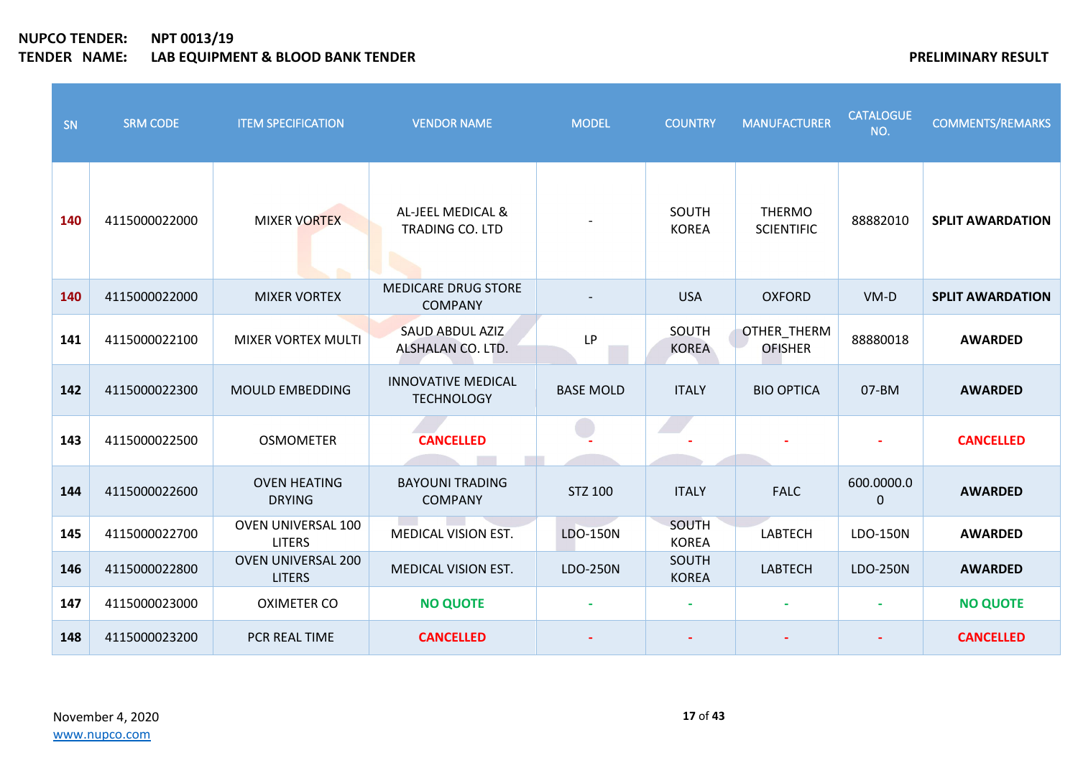| SN  | <b>SRM CODE</b> | <b>ITEM SPECIFICATION</b>                  | <b>VENDOR NAME</b>                             | <b>MODEL</b>     | <b>COUNTRY</b>        | <b>MANUFACTURER</b>                  | <b>CATALOGUE</b><br>NO. | <b>COMMENTS/REMARKS</b> |
|-----|-----------------|--------------------------------------------|------------------------------------------------|------------------|-----------------------|--------------------------------------|-------------------------|-------------------------|
| 140 | 4115000022000   | <b>MIXER VORTEX</b><br><b>COLL</b>         | AL-JEEL MEDICAL &<br>TRADING CO. LTD           |                  | SOUTH<br><b>KOREA</b> | <b>THERMO</b><br><b>SCIENTIFIC</b>   | 88882010                | <b>SPLIT AWARDATION</b> |
| 140 | 4115000022000   | <b>MIXER VORTEX</b>                        | <b>MEDICARE DRUG STORE</b><br><b>COMPANY</b>   |                  | <b>USA</b>            | <b>OXFORD</b>                        | $VM-D$                  | <b>SPLIT AWARDATION</b> |
| 141 | 4115000022100   | <b>MIXER VORTEX MULTI</b>                  | <b>SAUD ABDUL AZIZ</b><br>ALSHALAN CO. LTD.    | LP               | SOUTH<br><b>KOREA</b> | <b>OTHER THERM</b><br><b>OFISHER</b> | 88880018                | <b>AWARDED</b>          |
| 142 | 4115000022300   | <b>MOULD EMBEDDING</b>                     | <b>INNOVATIVE MEDICAL</b><br><b>TECHNOLOGY</b> | <b>BASE MOLD</b> | <b>ITALY</b>          | <b>BIO OPTICA</b>                    | 07-BM                   | <b>AWARDED</b>          |
| 143 | 4115000022500   | <b>OSMOMETER</b>                           | <b>CANCELLED</b>                               |                  |                       |                                      |                         | <b>CANCELLED</b>        |
| 144 | 4115000022600   | <b>OVEN HEATING</b><br><b>DRYING</b>       | <b>BAYOUNI TRADING</b><br><b>COMPANY</b>       | <b>STZ 100</b>   | <b>ITALY</b>          | <b>FALC</b>                          | 600.0000.0<br>$\pmb{0}$ | <b>AWARDED</b>          |
| 145 | 4115000022700   | OVEN UNIVERSAL 100<br><b>LITERS</b>        | MEDICAL VISION EST.                            | LDO-150N         | SOUTH<br><b>KOREA</b> | <b>LABTECH</b>                       | LDO-150N                | <b>AWARDED</b>          |
| 146 | 4115000022800   | <b>OVEN UNIVERSAL 200</b><br><b>LITERS</b> | <b>MEDICAL VISION EST.</b>                     | LDO-250N         | SOUTH<br><b>KOREA</b> | <b>LABTECH</b>                       | LDO-250N                | <b>AWARDED</b>          |
| 147 | 4115000023000   | <b>OXIMETER CO</b>                         | <b>NO QUOTE</b>                                |                  | ÷                     | $\blacksquare$                       |                         | <b>NO QUOTE</b>         |
| 148 | 4115000023200   | PCR REAL TIME                              | <b>CANCELLED</b>                               |                  |                       |                                      |                         | <b>CANCELLED</b>        |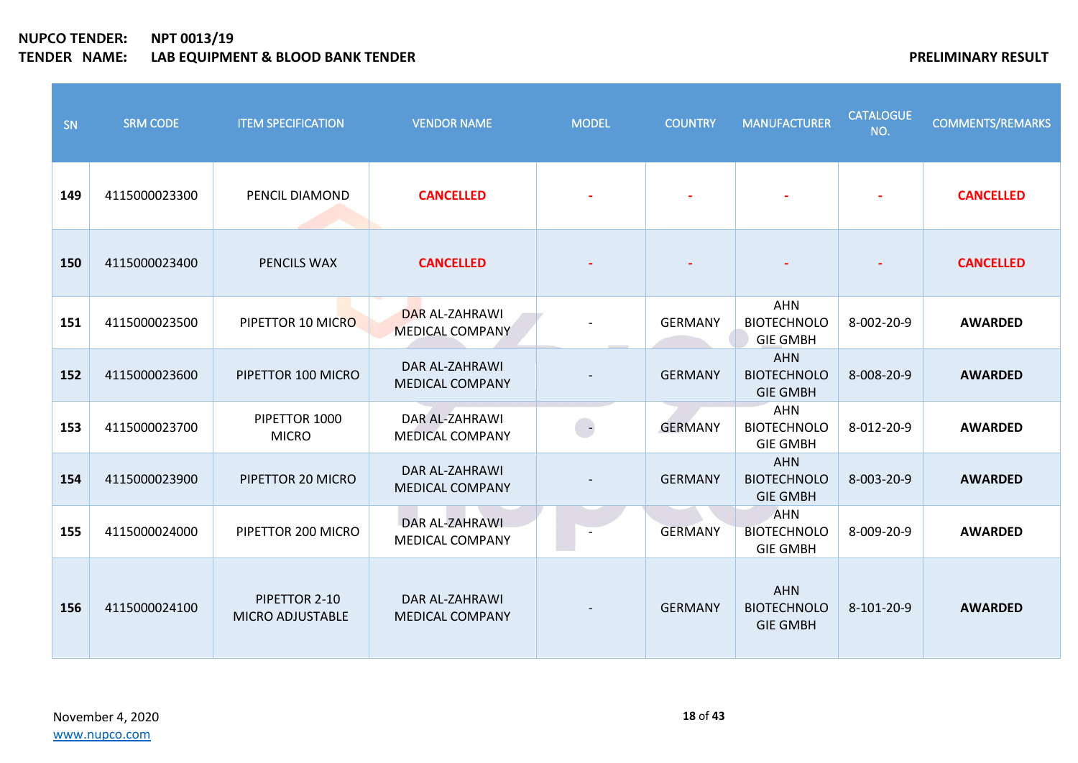| SN  | <b>SRM CODE</b> | <b>ITEM SPECIFICATION</b>         | <b>VENDOR NAME</b>                              | <b>MODEL</b>  | <b>COUNTRY</b> | <b>MANUFACTURER</b>                                 | <b>CATALOGUE</b><br>NO. | <b>COMMENTS/REMARKS</b> |
|-----|-----------------|-----------------------------------|-------------------------------------------------|---------------|----------------|-----------------------------------------------------|-------------------------|-------------------------|
| 149 | 4115000023300   | PENCIL DIAMOND                    | <b>CANCELLED</b>                                |               |                |                                                     |                         | <b>CANCELLED</b>        |
| 150 | 4115000023400   | PENCILS WAX                       | <b>CANCELLED</b>                                |               |                |                                                     |                         | <b>CANCELLED</b>        |
| 151 | 4115000023500   | PIPETTOR 10 MICRO                 | <b>DAR AL-ZAHRAWI</b><br><b>MEDICAL COMPANY</b> |               | <b>GERMANY</b> | <b>AHN</b><br><b>BIOTECHNOLO</b><br><b>GIE GMBH</b> | 8-002-20-9              | <b>AWARDED</b>          |
| 152 | 4115000023600   | PIPETTOR 100 MICRO                | DAR AL-ZAHRAWI<br><b>MEDICAL COMPANY</b>        |               | <b>GERMANY</b> | <b>AHN</b><br><b>BIOTECHNOLO</b><br><b>GIE GMBH</b> | 8-008-20-9              | <b>AWARDED</b>          |
| 153 | 4115000023700   | PIPETTOR 1000<br><b>MICRO</b>     | DAR AL-ZAHRAWI<br><b>MEDICAL COMPANY</b>        | $\rightarrow$ | <b>GERMANY</b> | <b>AHN</b><br><b>BIOTECHNOLO</b><br><b>GIE GMBH</b> | 8-012-20-9              | <b>AWARDED</b>          |
| 154 | 4115000023900   | PIPETTOR 20 MICRO                 | DAR AL-ZAHRAWI<br><b>MEDICAL COMPANY</b>        |               | <b>GERMANY</b> | <b>AHN</b><br><b>BIOTECHNOLO</b><br><b>GIE GMBH</b> | 8-003-20-9              | <b>AWARDED</b>          |
| 155 | 4115000024000   | PIPETTOR 200 MICRO                | DAR AL-ZAHRAWI<br>MEDICAL COMPANY               |               | <b>GERMANY</b> | <b>AHN</b><br><b>BIOTECHNOLO</b><br><b>GIE GMBH</b> | 8-009-20-9              | <b>AWARDED</b>          |
| 156 | 4115000024100   | PIPETTOR 2-10<br>MICRO ADJUSTABLE | DAR AL-ZAHRAWI<br><b>MEDICAL COMPANY</b>        |               | <b>GERMANY</b> | <b>AHN</b><br><b>BIOTECHNOLO</b><br><b>GIE GMBH</b> | 8-101-20-9              | <b>AWARDED</b>          |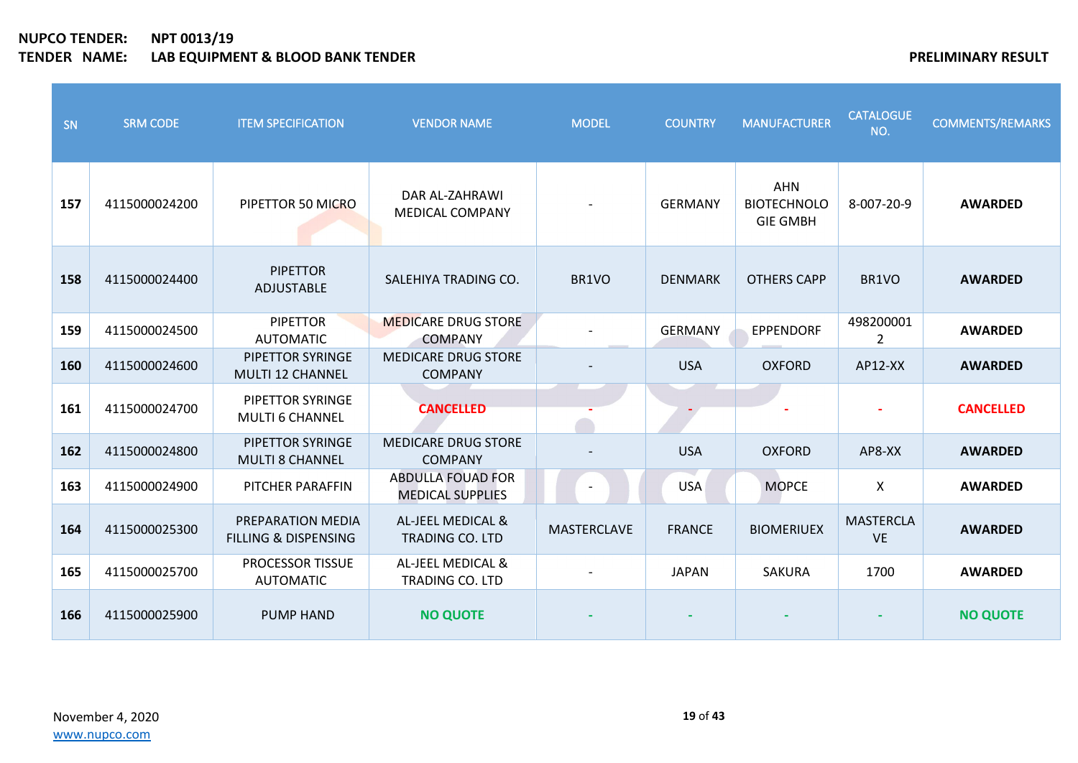| SN  | <b>SRM CODE</b> | <b>ITEM SPECIFICATION</b>                            | <b>VENDOR NAME</b>                                  | <b>MODEL</b>       | <b>COUNTRY</b> | <b>MANUFACTURER</b>                                 | <b>CATALOGUE</b><br>NO.       | <b>COMMENTS/REMARKS</b> |
|-----|-----------------|------------------------------------------------------|-----------------------------------------------------|--------------------|----------------|-----------------------------------------------------|-------------------------------|-------------------------|
| 157 | 4115000024200   | PIPETTOR 50 MICRO                                    | DAR AL-ZAHRAWI<br><b>MEDICAL COMPANY</b>            |                    | <b>GERMANY</b> | <b>AHN</b><br><b>BIOTECHNOLO</b><br><b>GIE GMBH</b> | 8-007-20-9                    | <b>AWARDED</b>          |
| 158 | 4115000024400   | <b>PIPETTOR</b><br>ADJUSTABLE                        | SALEHIYA TRADING CO.                                | BR1VO              | <b>DENMARK</b> | <b>OTHERS CAPP</b>                                  | BR1VO                         | <b>AWARDED</b>          |
| 159 | 4115000024500   | <b>PIPETTOR</b><br><b>AUTOMATIC</b>                  | <b>MEDICARE DRUG STORE</b><br><b>COMPANY</b>        |                    | <b>GERMANY</b> | <b>EPPENDORF</b>                                    | 498200001<br>2                | <b>AWARDED</b>          |
| 160 | 4115000024600   | PIPETTOR SYRINGE<br><b>MULTI 12 CHANNEL</b>          | <b>MEDICARE DRUG STORE</b><br><b>COMPANY</b>        |                    | <b>USA</b>     | <b>OXFORD</b>                                       | AP12-XX                       | <b>AWARDED</b>          |
| 161 | 4115000024700   | PIPETTOR SYRINGE<br><b>MULTI 6 CHANNEL</b>           | <b>CANCELLED</b>                                    |                    |                |                                                     |                               | <b>CANCELLED</b>        |
| 162 | 4115000024800   | PIPETTOR SYRINGE<br><b>MULTI 8 CHANNEL</b>           | <b>MEDICARE DRUG STORE</b><br><b>COMPANY</b>        |                    | <b>USA</b>     | <b>OXFORD</b>                                       | AP8-XX                        | <b>AWARDED</b>          |
| 163 | 4115000024900   | PITCHER PARAFFIN                                     | <b>ABDULLA FOUAD FOR</b><br><b>MEDICAL SUPPLIES</b> |                    | <b>USA</b>     | <b>MOPCE</b>                                        | X                             | <b>AWARDED</b>          |
| 164 | 4115000025300   | PREPARATION MEDIA<br><b>FILLING &amp; DISPENSING</b> | AL-JEEL MEDICAL &<br><b>TRADING CO. LTD</b>         | <b>MASTERCLAVE</b> | <b>FRANCE</b>  | <b>BIOMERIUEX</b>                                   | <b>MASTERCLA</b><br><b>VE</b> | <b>AWARDED</b>          |
| 165 | 4115000025700   | <b>PROCESSOR TISSUE</b><br><b>AUTOMATIC</b>          | AL-JEEL MEDICAL &<br><b>TRADING CO. LTD</b>         |                    | <b>JAPAN</b>   | <b>SAKURA</b>                                       | 1700                          | <b>AWARDED</b>          |
| 166 | 4115000025900   | <b>PUMP HAND</b>                                     | <b>NO QUOTE</b>                                     |                    |                |                                                     |                               | <b>NO QUOTE</b>         |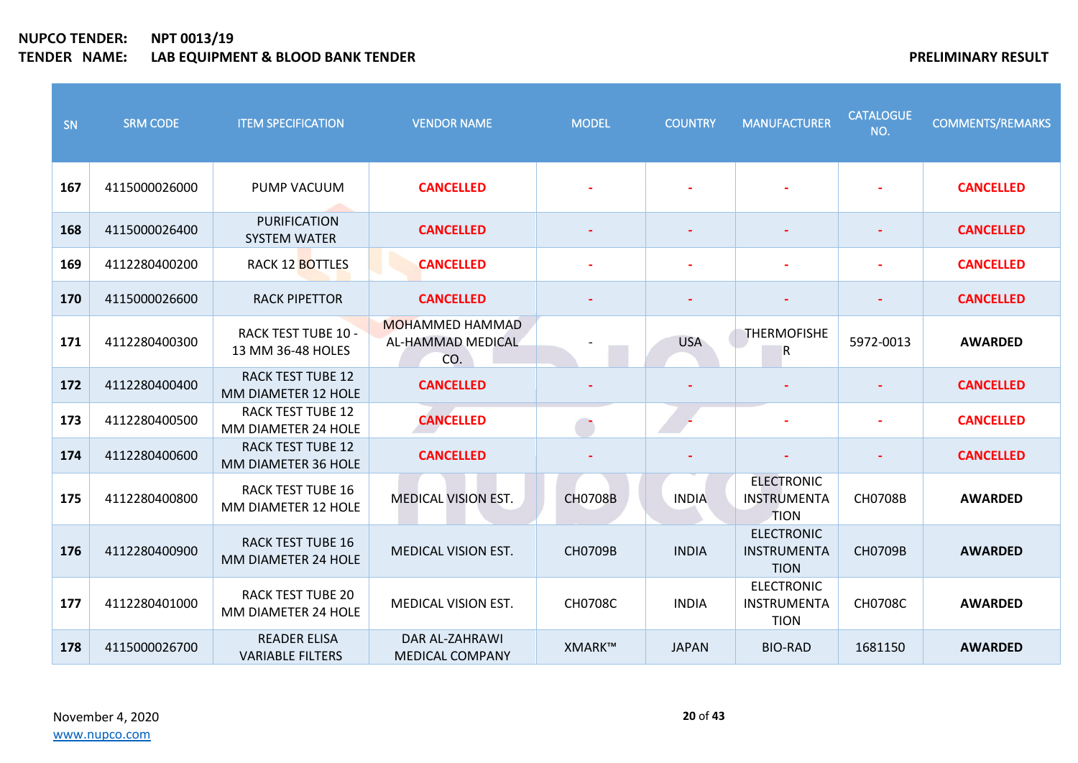| SN  | <b>SRM CODE</b> | <b>ITEM SPECIFICATION</b>                       | <b>VENDOR NAME</b>                                 | <b>MODEL</b>   | <b>COUNTRY</b> | <b>MANUFACTURER</b>                             | <b>CATALOGUE</b><br>NO. | <b>COMMENTS/REMARKS</b> |
|-----|-----------------|-------------------------------------------------|----------------------------------------------------|----------------|----------------|-------------------------------------------------|-------------------------|-------------------------|
| 167 | 4115000026000   | PUMP VACUUM                                     | <b>CANCELLED</b>                                   |                |                |                                                 |                         | <b>CANCELLED</b>        |
| 168 | 4115000026400   | <b>PURIFICATION</b><br><b>SYSTEM WATER</b>      | <b>CANCELLED</b>                                   |                |                |                                                 |                         | <b>CANCELLED</b>        |
| 169 | 4112280400200   | <b>RACK 12 BOTTLES</b>                          | <b>CANCELLED</b>                                   |                |                |                                                 |                         | <b>CANCELLED</b>        |
| 170 | 4115000026600   | <b>RACK PIPETTOR</b>                            | <b>CANCELLED</b>                                   |                |                |                                                 |                         | <b>CANCELLED</b>        |
| 171 | 4112280400300   | <b>RACK TEST TUBE 10 -</b><br>13 MM 36-48 HOLES | <b>MOHAMMED HAMMAD</b><br>AL-HAMMAD MEDICAL<br>CO. |                | <b>USA</b>     | <b>THERMOFISHE</b><br>R                         | 5972-0013               | <b>AWARDED</b>          |
| 172 | 4112280400400   | <b>RACK TEST TUBE 12</b><br>MM DIAMETER 12 HOLE | <b>CANCELLED</b>                                   |                |                |                                                 |                         | <b>CANCELLED</b>        |
| 173 | 4112280400500   | <b>RACK TEST TUBE 12</b><br>MM DIAMETER 24 HOLE | <b>CANCELLED</b>                                   |                |                |                                                 |                         | <b>CANCELLED</b>        |
| 174 | 4112280400600   | <b>RACK TEST TUBE 12</b><br>MM DIAMETER 36 HOLE | <b>CANCELLED</b>                                   |                |                |                                                 |                         | <b>CANCELLED</b>        |
| 175 | 4112280400800   | <b>RACK TEST TUBE 16</b><br>MM DIAMETER 12 HOLE | <b>MEDICAL VISION EST.</b>                         | <b>CH0708B</b> | <b>INDIA</b>   | <b>ELECTRONIC</b><br>INSTRUMENTA<br><b>TION</b> | <b>CH0708B</b>          | <b>AWARDED</b>          |
| 176 | 4112280400900   | <b>RACK TEST TUBE 16</b><br>MM DIAMETER 24 HOLE | <b>MEDICAL VISION EST.</b>                         | <b>CH0709B</b> | <b>INDIA</b>   | <b>ELECTRONIC</b><br>INSTRUMENTA<br><b>TION</b> | <b>CH0709B</b>          | <b>AWARDED</b>          |
| 177 | 4112280401000   | <b>RACK TEST TUBE 20</b><br>MM DIAMETER 24 HOLE | <b>MEDICAL VISION EST.</b>                         | <b>CH0708C</b> | <b>INDIA</b>   | <b>ELECTRONIC</b><br>INSTRUMENTA<br><b>TION</b> | <b>CH0708C</b>          | <b>AWARDED</b>          |
| 178 | 4115000026700   | <b>READER ELISA</b><br><b>VARIABLE FILTERS</b>  | DAR AL-ZAHRAWI<br><b>MEDICAL COMPANY</b>           | XMARK™         | <b>JAPAN</b>   | <b>BIO-RAD</b>                                  | 1681150                 | <b>AWARDED</b>          |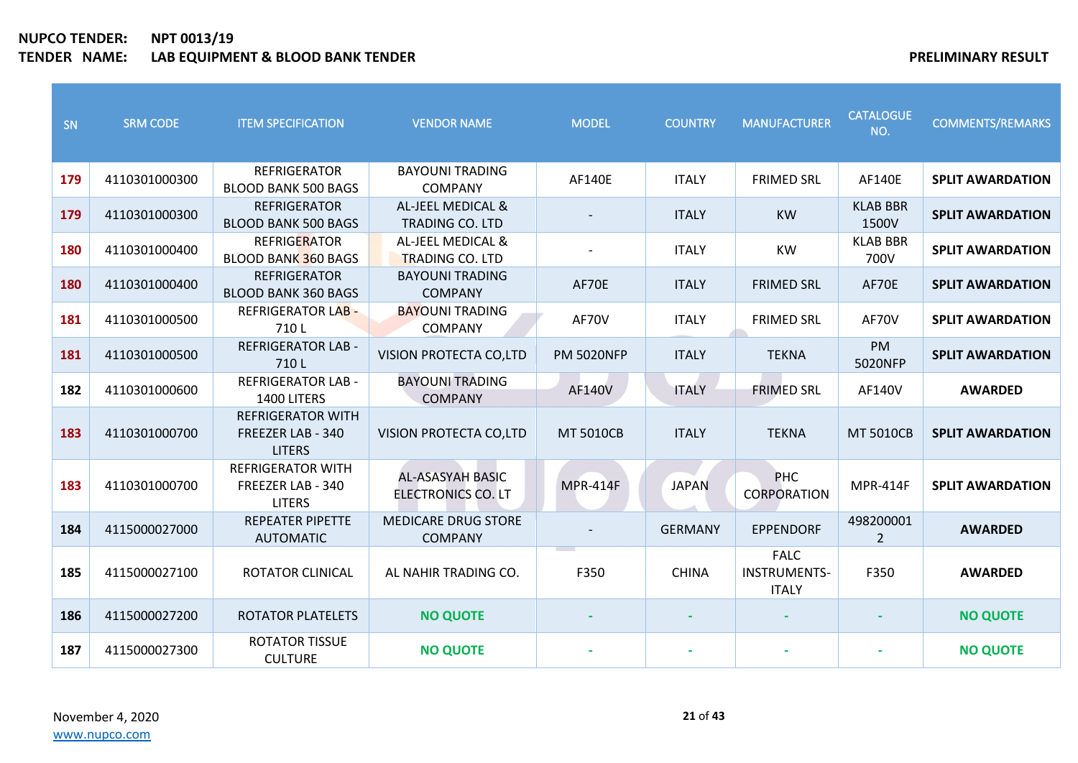| SN  | <b>SRM CODE</b> | <b>ITEM SPECIFICATION</b>                                      | <b>VENDOR NAME</b>                            | <b>MODEL</b>      | <b>COUNTRY</b> | <b>MANUFACTURER</b>                                | <b>CATALOGUE</b><br>NO.     | <b>COMMENTS/REMARKS</b> |
|-----|-----------------|----------------------------------------------------------------|-----------------------------------------------|-------------------|----------------|----------------------------------------------------|-----------------------------|-------------------------|
| 179 | 4110301000300   | <b>REFRIGERATOR</b><br><b>BLOOD BANK 500 BAGS</b>              | <b>BAYOUNI TRADING</b><br><b>COMPANY</b>      | AF140E            | <b>ITALY</b>   | <b>FRIMED SRL</b>                                  | AF140E                      | <b>SPLIT AWARDATION</b> |
| 179 | 4110301000300   | <b>REFRIGERATOR</b><br><b>BLOOD BANK 500 BAGS</b>              | AL-JEEL MEDICAL &<br><b>TRADING CO. LTD</b>   |                   | <b>ITALY</b>   | <b>KW</b>                                          | <b>KLAB BBR</b><br>1500V    | <b>SPLIT AWARDATION</b> |
| 180 | 4110301000400   | <b>REFRIGERATOR</b><br><b>BLOOD BANK 360 BAGS</b>              | AL-JEEL MEDICAL &<br><b>TRADING CO. LTD</b>   |                   | <b>ITALY</b>   | <b>KW</b>                                          | <b>KLAB BBR</b><br>700V     | <b>SPLIT AWARDATION</b> |
| 180 | 4110301000400   | <b>REFRIGERATOR</b><br><b>BLOOD BANK 360 BAGS</b>              | <b>BAYOUNI TRADING</b><br><b>COMPANY</b>      | AF70E             | <b>ITALY</b>   | <b>FRIMED SRL</b>                                  | AF70E                       | <b>SPLIT AWARDATION</b> |
| 181 | 4110301000500   | <b>REFRIGERATOR LAB -</b><br>710L                              | <b>BAYOUNI TRADING</b><br><b>COMPANY</b>      | AF70V             | <b>ITALY</b>   | <b>FRIMED SRL</b>                                  | AF70V                       | <b>SPLIT AWARDATION</b> |
| 181 | 4110301000500   | <b>REFRIGERATOR LAB -</b><br>710L                              | VISION PROTECTA CO,LTD                        | <b>PM 5020NFP</b> | <b>ITALY</b>   | <b>TEKNA</b>                                       | PM<br>5020NFP               | <b>SPLIT AWARDATION</b> |
| 182 | 4110301000600   | <b>REFRIGERATOR LAB -</b><br>1400 LITERS                       | <b>BAYOUNI TRADING</b><br><b>COMPANY</b>      | <b>AF140V</b>     | <b>ITALY</b>   | <b>FRIMED SRL</b>                                  | <b>AF140V</b>               | <b>AWARDED</b>          |
| 183 | 4110301000700   | <b>REFRIGERATOR WITH</b><br>FREEZER LAB - 340<br><b>LITERS</b> | <b>VISION PROTECTA CO,LTD</b>                 | <b>MT 5010CB</b>  | <b>ITALY</b>   | <b>TEKNA</b>                                       | <b>MT 5010CB</b>            | <b>SPLIT AWARDATION</b> |
| 183 | 4110301000700   | <b>REFRIGERATOR WITH</b><br>FREEZER LAB - 340<br><b>LITERS</b> | <b>AL-ASASYAH BASIC</b><br>ELECTRONICS CO. LT | <b>MPR-414F</b>   | <b>JAPAN</b>   | <b>PHC</b><br>CORPORATION                          | <b>MPR-414F</b>             | <b>SPLIT AWARDATION</b> |
| 184 | 4115000027000   | <b>REPEATER PIPETTE</b><br><b>AUTOMATIC</b>                    | <b>MEDICARE DRUG STORE</b><br><b>COMPANY</b>  |                   | <b>GERMANY</b> | <b>EPPENDORF</b>                                   | 498200001<br>$\overline{2}$ | <b>AWARDED</b>          |
| 185 | 4115000027100   | <b>ROTATOR CLINICAL</b>                                        | AL NAHIR TRADING CO.                          | F350              | <b>CHINA</b>   | <b>FALC</b><br><b>INSTRUMENTS-</b><br><b>ITALY</b> | F350                        | <b>AWARDED</b>          |
| 186 | 4115000027200   | <b>ROTATOR PLATELETS</b>                                       | <b>NO QUOTE</b>                               |                   |                |                                                    |                             | <b>NO QUOTE</b>         |
| 187 | 4115000027300   | <b>ROTATOR TISSUE</b><br><b>CULTURE</b>                        | <b>NO QUOTE</b>                               |                   |                |                                                    |                             | <b>NO QUOTE</b>         |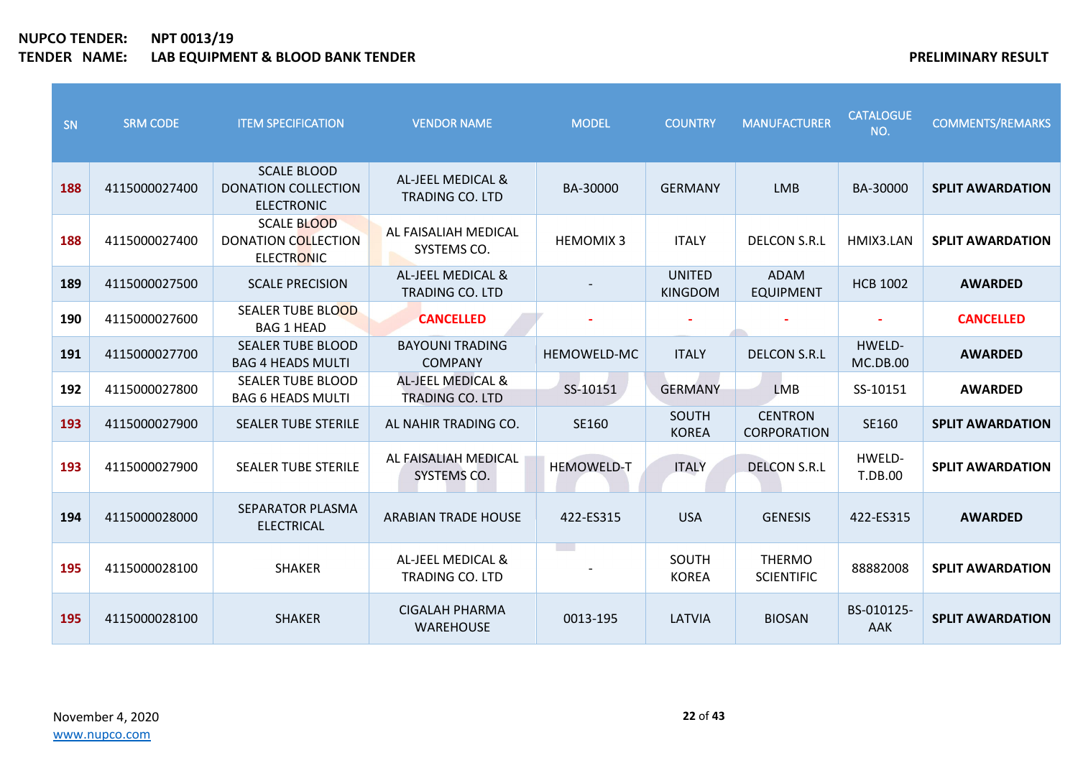| SN  | <b>SRM CODE</b> | <b>ITEM SPECIFICATION</b>                                             | <b>VENDOR NAME</b>                          | <b>MODEL</b>             | <b>COUNTRY</b>                  | <b>MANUFACTURER</b>                  | <b>CATALOGUE</b><br>NO.   | <b>COMMENTS/REMARKS</b> |
|-----|-----------------|-----------------------------------------------------------------------|---------------------------------------------|--------------------------|---------------------------------|--------------------------------------|---------------------------|-------------------------|
| 188 | 4115000027400   | <b>SCALE BLOOD</b><br><b>DONATION COLLECTION</b><br><b>ELECTRONIC</b> | AL-JEEL MEDICAL &<br><b>TRADING CO. LTD</b> | BA-30000                 | <b>GERMANY</b>                  | <b>LMB</b>                           | BA-30000                  | <b>SPLIT AWARDATION</b> |
| 188 | 4115000027400   | <b>SCALE BLOOD</b><br><b>DONATION COLLECTION</b><br><b>ELECTRONIC</b> | AL FAISALIAH MEDICAL<br>SYSTEMS CO.         | <b>HEMOMIX3</b>          | <b>ITALY</b>                    | <b>DELCON S.R.L</b>                  | HMIX3.LAN                 | <b>SPLIT AWARDATION</b> |
| 189 | 4115000027500   | <b>SCALE PRECISION</b>                                                | AL-JEEL MEDICAL &<br>TRADING CO. LTD        |                          | <b>UNITED</b><br><b>KINGDOM</b> | <b>ADAM</b><br><b>EQUIPMENT</b>      | <b>HCB 1002</b>           | <b>AWARDED</b>          |
| 190 | 4115000027600   | <b>SEALER TUBE BLOOD</b><br><b>BAG 1 HEAD</b>                         | <b>CANCELLED</b>                            |                          |                                 |                                      |                           | <b>CANCELLED</b>        |
| 191 | 4115000027700   | <b>SEALER TUBE BLOOD</b><br><b>BAG 4 HEADS MULTI</b>                  | <b>BAYOUNI TRADING</b><br><b>COMPANY</b>    | HEMOWELD-MC              | <b>ITALY</b>                    | <b>DELCON S.R.L</b>                  | HWELD-<br><b>MC.DB.00</b> | <b>AWARDED</b>          |
| 192 | 4115000027800   | <b>SEALER TUBE BLOOD</b><br><b>BAG 6 HEADS MULTI</b>                  | AL-JEEL MEDICAL &<br><b>TRADING CO. LTD</b> | SS-10151                 | <b>GERMANY</b>                  | <b>LMB</b>                           | SS-10151                  | <b>AWARDED</b>          |
| 193 | 4115000027900   | <b>SEALER TUBE STERILE</b>                                            | AL NAHIR TRADING CO.                        | SE160                    | SOUTH<br><b>KOREA</b>           | <b>CENTRON</b><br><b>CORPORATION</b> | SE160                     | <b>SPLIT AWARDATION</b> |
| 193 | 4115000027900   | <b>SEALER TUBE STERILE</b>                                            | AL FAISALIAH MEDICAL<br>SYSTEMS CO.         | <b>HEMOWELD-T</b>        | <b>ITALY</b>                    | <b>DELCON S.R.L</b>                  | HWELD-<br><b>T.DB.00</b>  | <b>SPLIT AWARDATION</b> |
| 194 | 4115000028000   | <b>SEPARATOR PLASMA</b><br><b>ELECTRICAL</b>                          | <b>ARABIAN TRADE HOUSE</b>                  | 422-ES315                | <b>USA</b>                      | <b>GENESIS</b>                       | 422-ES315                 | <b>AWARDED</b>          |
| 195 | 4115000028100   | <b>SHAKER</b>                                                         | AL-JEEL MEDICAL &<br><b>TRADING CO. LTD</b> | $\overline{\phantom{a}}$ | SOUTH<br><b>KOREA</b>           | <b>THERMO</b><br><b>SCIENTIFIC</b>   | 88882008                  | <b>SPLIT AWARDATION</b> |
| 195 | 4115000028100   | <b>SHAKER</b>                                                         | CIGALAH PHARMA<br><b>WAREHOUSE</b>          | 0013-195                 | LATVIA                          | <b>BIOSAN</b>                        | BS-010125-<br><b>AAK</b>  | <b>SPLIT AWARDATION</b> |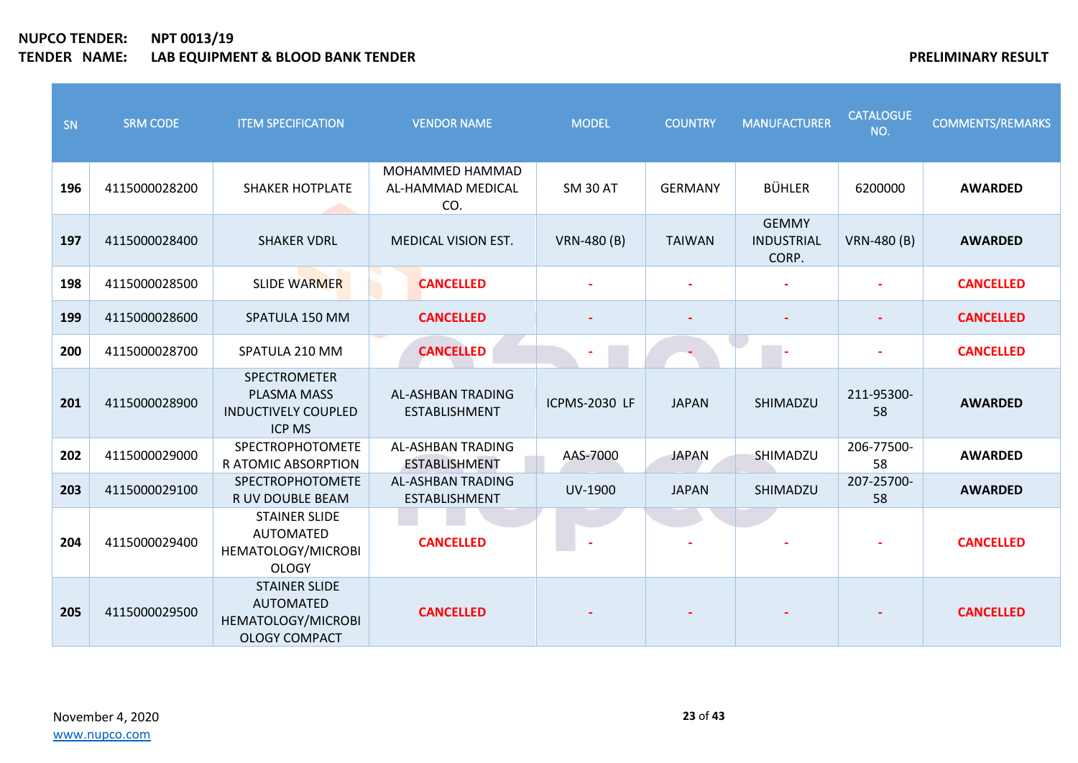| SN  | <b>SRM CODE</b> | <b>ITEM SPECIFICATION</b>                                                              | <b>VENDOR NAME</b>                               | <b>MODEL</b>         | <b>COUNTRY</b> | <b>MANUFACTURER</b>                 | <b>CATALOGUE</b><br>NO.  | <b>COMMENTS/REMARKS</b> |
|-----|-----------------|----------------------------------------------------------------------------------------|--------------------------------------------------|----------------------|----------------|-------------------------------------|--------------------------|-------------------------|
| 196 | 4115000028200   | <b>SHAKER HOTPLATE</b>                                                                 | MOHAMMED HAMMAD<br>AL-HAMMAD MEDICAL<br>CO.      | <b>SM 30 AT</b>      | <b>GERMANY</b> | <b>BÜHLER</b>                       | 6200000                  | <b>AWARDED</b>          |
| 197 | 4115000028400   | <b>SHAKER VDRL</b>                                                                     | <b>MEDICAL VISION EST.</b>                       | VRN-480 (B)          | <b>TAIWAN</b>  | <b>GEMMY</b><br>INDUSTRIAL<br>CORP. | VRN-480 (B)              | <b>AWARDED</b>          |
| 198 | 4115000028500   | <b>SLIDE WARMER</b>                                                                    | <b>CANCELLED</b>                                 |                      |                |                                     | $\overline{\phantom{a}}$ | <b>CANCELLED</b>        |
| 199 | 4115000028600   | SPATULA 150 MM                                                                         | <b>CANCELLED</b>                                 |                      |                |                                     |                          | <b>CANCELLED</b>        |
| 200 | 4115000028700   | SPATULA 210 MM                                                                         | <b>CANCELLED</b>                                 |                      |                |                                     |                          | <b>CANCELLED</b>        |
| 201 | 4115000028900   | SPECTROMETER<br>PLASMA MASS<br><b>INDUCTIVELY COUPLED</b><br><b>ICP MS</b>             | <b>AL-ASHBAN TRADING</b><br><b>ESTABLISHMENT</b> | <b>ICPMS-2030 LF</b> | <b>JAPAN</b>   | SHIMADZU                            | 211-95300-<br>58         | <b>AWARDED</b>          |
| 202 | 4115000029000   | SPECTROPHOTOMETE<br>R ATOMIC ABSORPTION                                                | <b>AL-ASHBAN TRADING</b><br><b>ESTABLISHMENT</b> | AAS-7000             | <b>JAPAN</b>   | SHIMADZU                            | 206-77500-<br>58         | <b>AWARDED</b>          |
| 203 | 4115000029100   | SPECTROPHOTOMETE<br>R UV DOUBLE BEAM                                                   | <b>AL-ASHBAN TRADING</b><br><b>ESTABLISHMENT</b> | UV-1900              | <b>JAPAN</b>   | SHIMADZU                            | 207-25700-<br>58         | <b>AWARDED</b>          |
| 204 | 4115000029400   | <b>STAINER SLIDE</b><br><b>AUTOMATED</b><br>HEMATOLOGY/MICROBI<br><b>OLOGY</b>         | <b>CANCELLED</b>                                 |                      |                |                                     |                          | <b>CANCELLED</b>        |
| 205 | 4115000029500   | <b>STAINER SLIDE</b><br><b>AUTOMATED</b><br>HEMATOLOGY/MICROBI<br><b>OLOGY COMPACT</b> | <b>CANCELLED</b>                                 |                      |                |                                     |                          | <b>CANCELLED</b>        |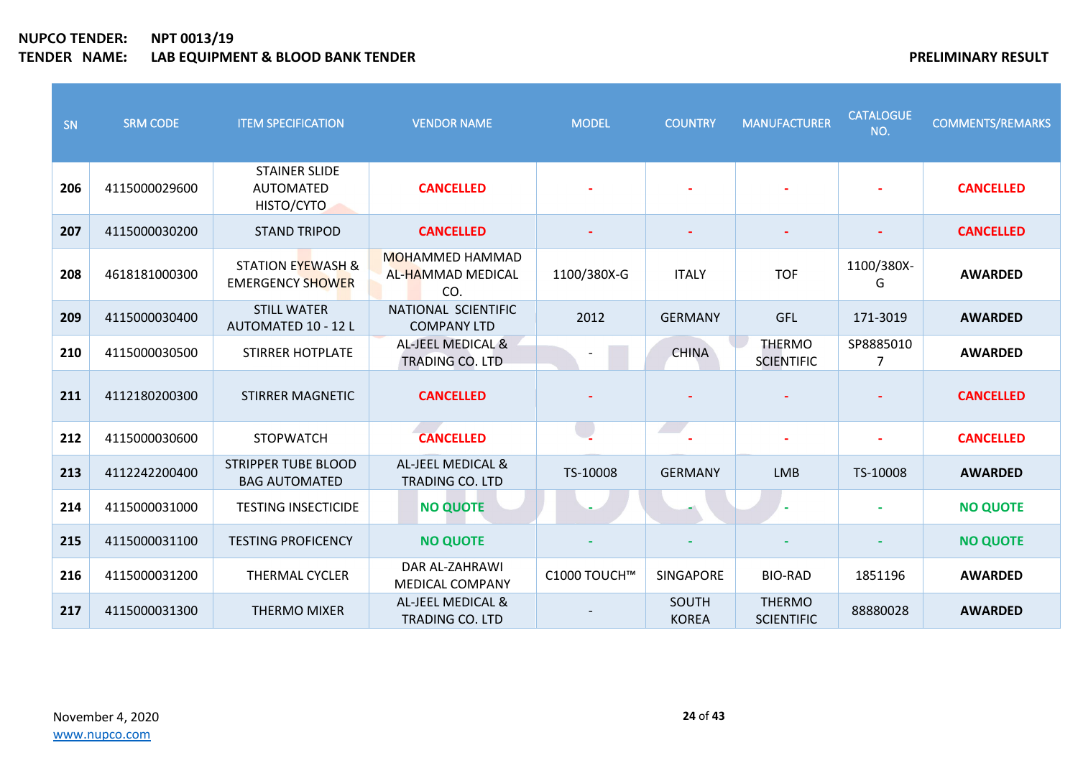| SN  | <b>SRM CODE</b> | <b>ITEM SPECIFICATION</b>                               | <b>VENDOR NAME</b>                                 | <b>MODEL</b> | <b>COUNTRY</b>                        | <b>MANUFACTURER</b>                | <b>CATALOGUE</b><br>NO. | <b>COMMENTS/REMARKS</b> |
|-----|-----------------|---------------------------------------------------------|----------------------------------------------------|--------------|---------------------------------------|------------------------------------|-------------------------|-------------------------|
| 206 | 4115000029600   | <b>STAINER SLIDE</b><br><b>AUTOMATED</b><br>HISTO/CYTO  | <b>CANCELLED</b>                                   |              |                                       |                                    |                         | <b>CANCELLED</b>        |
| 207 | 4115000030200   | <b>STAND TRIPOD</b>                                     | <b>CANCELLED</b>                                   |              |                                       |                                    |                         | <b>CANCELLED</b>        |
| 208 | 4618181000300   | <b>STATION EYEWASH &amp;</b><br><b>EMERGENCY SHOWER</b> | <b>MOHAMMED HAMMAD</b><br>AL-HAMMAD MEDICAL<br>CO. | 1100/380X-G  | <b>ITALY</b>                          | <b>TOF</b>                         | 1100/380X-<br>G         | <b>AWARDED</b>          |
| 209 | 4115000030400   | <b>STILL WATER</b><br>AUTOMATED 10 - 12 L               | NATIONAL SCIENTIFIC<br><b>COMPANY LTD</b>          | 2012         | <b>GERMANY</b>                        | <b>GFL</b>                         | 171-3019                | <b>AWARDED</b>          |
| 210 | 4115000030500   | STIRRER HOTPLATE                                        | AL-JEEL MEDICAL &<br><b>TRADING CO. LTD</b>        |              | <b>CHINA</b>                          | <b>THERMO</b><br><b>SCIENTIFIC</b> | SP8885010<br>7          | <b>AWARDED</b>          |
| 211 | 4112180200300   | STIRRER MAGNETIC                                        | <b>CANCELLED</b>                                   |              |                                       |                                    |                         | <b>CANCELLED</b>        |
| 212 | 4115000030600   | <b>STOPWATCH</b>                                        | <b>CANCELLED</b>                                   |              | $\mathcal{L} \rightarrow \mathcal{L}$ |                                    |                         | <b>CANCELLED</b>        |
| 213 | 4112242200400   | <b>STRIPPER TUBE BLOOD</b><br><b>BAG AUTOMATED</b>      | AL-JEEL MEDICAL &<br><b>TRADING CO. LTD</b>        | TS-10008     | <b>GERMANY</b>                        | <b>LMB</b>                         | TS-10008                | <b>AWARDED</b>          |
| 214 | 4115000031000   | <b>TESTING INSECTICIDE</b>                              | <b>NO QUOTE</b>                                    |              |                                       |                                    |                         | <b>NO QUOTE</b>         |
| 215 | 4115000031100   | <b>TESTING PROFICENCY</b>                               | <b>NO QUOTE</b>                                    |              |                                       |                                    |                         | <b>NO QUOTE</b>         |
| 216 | 4115000031200   | <b>THERMAL CYCLER</b>                                   | DAR AL-ZAHRAWI<br><b>MEDICAL COMPANY</b>           | C1000 TOUCH™ | <b>SINGAPORE</b>                      | <b>BIO-RAD</b>                     | 1851196                 | <b>AWARDED</b>          |
| 217 | 4115000031300   | <b>THERMO MIXER</b>                                     | AL-JEEL MEDICAL &<br>TRADING CO. LTD               |              | SOUTH<br><b>KOREA</b>                 | <b>THERMO</b><br><b>SCIENTIFIC</b> | 88880028                | <b>AWARDED</b>          |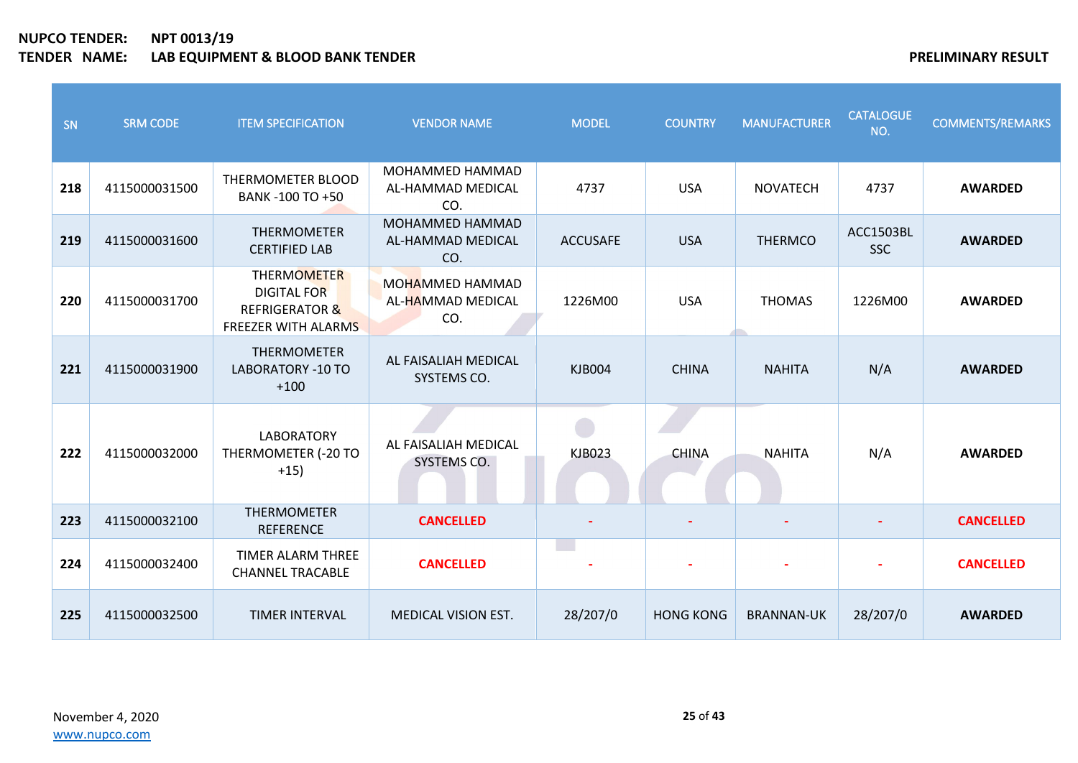| SN  | <b>SRM CODE</b> | <b>ITEM SPECIFICATION</b>                                                                           | <b>VENDOR NAME</b>                                 | <b>MODEL</b>    | <b>COUNTRY</b>   | <b>MANUFACTURER</b> | <b>CATALOGUE</b><br>NO.        | <b>COMMENTS/REMARKS</b> |
|-----|-----------------|-----------------------------------------------------------------------------------------------------|----------------------------------------------------|-----------------|------------------|---------------------|--------------------------------|-------------------------|
| 218 | 4115000031500   | THERMOMETER BLOOD<br>BANK -100 TO +50                                                               | <b>MOHAMMED HAMMAD</b><br>AL-HAMMAD MEDICAL<br>CO. | 4737            | <b>USA</b>       | <b>NOVATECH</b>     | 4737                           | <b>AWARDED</b>          |
| 219 | 4115000031600   | <b>THERMOMETER</b><br><b>CERTIFIED LAB</b>                                                          | MOHAMMED HAMMAD<br>AL-HAMMAD MEDICAL<br>CO.        | <b>ACCUSAFE</b> | <b>USA</b>       | <b>THERMCO</b>      | <b>ACC1503BL</b><br><b>SSC</b> | <b>AWARDED</b>          |
| 220 | 4115000031700   | <b>THERMOMETER</b><br><b>DIGITAL FOR</b><br><b>REFRIGERATOR &amp;</b><br><b>FREEZER WITH ALARMS</b> | MOHAMMED HAMMAD<br>AL-HAMMAD MEDICAL<br>CO.        | 1226M00         | <b>USA</b>       | <b>THOMAS</b>       | 1226M00                        | <b>AWARDED</b>          |
| 221 | 4115000031900   | THERMOMETER<br><b>LABORATORY -10 TO</b><br>$+100$                                                   | AL FAISALIAH MEDICAL<br>SYSTEMS CO.                | <b>KJB004</b>   | <b>CHINA</b>     | <b>NAHITA</b>       | N/A                            | <b>AWARDED</b>          |
| 222 | 4115000032000   | <b>LABORATORY</b><br>THERMOMETER (-20 TO<br>$+15)$                                                  | AL FAISALIAH MEDICAL<br>SYSTEMS CO.                | <b>KJB023</b>   | <b>CHINA</b>     | <b>NAHITA</b>       | N/A                            | <b>AWARDED</b>          |
| 223 | 4115000032100   | <b>THERMOMETER</b><br><b>REFERENCE</b>                                                              | <b>CANCELLED</b>                                   |                 |                  |                     |                                | <b>CANCELLED</b>        |
| 224 | 4115000032400   | <b>TIMER ALARM THREE</b><br><b>CHANNEL TRACABLE</b>                                                 | <b>CANCELLED</b>                                   | <b>College</b>  |                  |                     |                                | <b>CANCELLED</b>        |
| 225 | 4115000032500   | <b>TIMER INTERVAL</b>                                                                               | MEDICAL VISION EST.                                | 28/207/0        | <b>HONG KONG</b> | <b>BRANNAN-UK</b>   | 28/207/0                       | <b>AWARDED</b>          |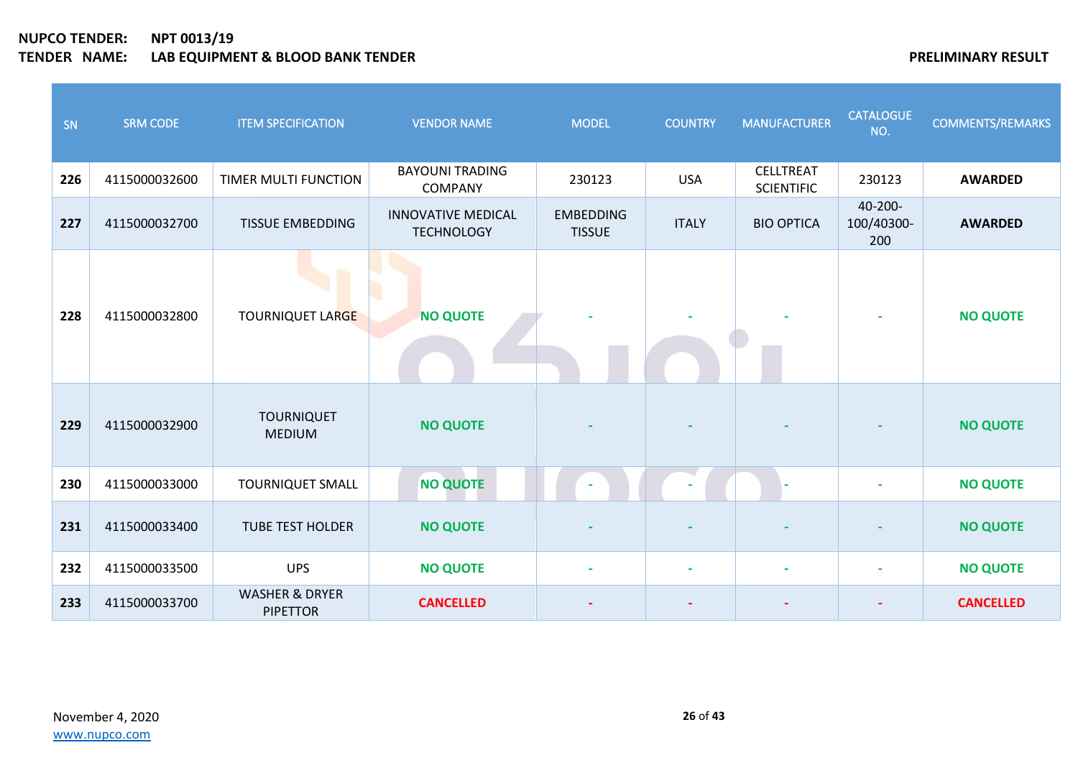| SN  | <b>SRM CODE</b> | <b>ITEM SPECIFICATION</b>                    | <b>VENDOR NAME</b>                             | <b>MODEL</b>                      | <b>COUNTRY</b> | <b>MANUFACTURER</b>                   | <b>CATALOGUE</b><br>NO.      | <b>COMMENTS/REMARKS</b> |
|-----|-----------------|----------------------------------------------|------------------------------------------------|-----------------------------------|----------------|---------------------------------------|------------------------------|-------------------------|
| 226 | 4115000032600   | TIMER MULTI FUNCTION                         | <b>BAYOUNI TRADING</b><br><b>COMPANY</b>       | 230123                            | <b>USA</b>     | <b>CELLTREAT</b><br><b>SCIENTIFIC</b> | 230123                       | <b>AWARDED</b>          |
| 227 | 4115000032700   | <b>TISSUE EMBEDDING</b>                      | <b>INNOVATIVE MEDICAL</b><br><b>TECHNOLOGY</b> | <b>EMBEDDING</b><br><b>TISSUE</b> | <b>ITALY</b>   | <b>BIO OPTICA</b>                     | 40-200-<br>100/40300-<br>200 | <b>AWARDED</b>          |
| 228 | 4115000032800   | <b>TOURNIQUET LARGE</b>                      | <b>NO QUOTE</b>                                |                                   |                |                                       |                              | <b>NO QUOTE</b>         |
| 229 | 4115000032900   | <b>TOURNIQUET</b><br><b>MEDIUM</b>           | <b>NO QUOTE</b>                                |                                   |                |                                       |                              | <b>NO QUOTE</b>         |
| 230 | 4115000033000   | <b>TOURNIQUET SMALL</b>                      | <b>NO QUOTE</b>                                |                                   |                |                                       |                              | <b>NO QUOTE</b>         |
| 231 | 4115000033400   | <b>TUBE TEST HOLDER</b>                      | <b>NO QUOTE</b>                                |                                   |                |                                       |                              | <b>NO QUOTE</b>         |
| 232 | 4115000033500   | <b>UPS</b>                                   | <b>NO QUOTE</b>                                |                                   | $\blacksquare$ |                                       |                              | <b>NO QUOTE</b>         |
| 233 | 4115000033700   | <b>WASHER &amp; DRYER</b><br><b>PIPETTOR</b> | <b>CANCELLED</b>                               |                                   |                |                                       |                              | <b>CANCELLED</b>        |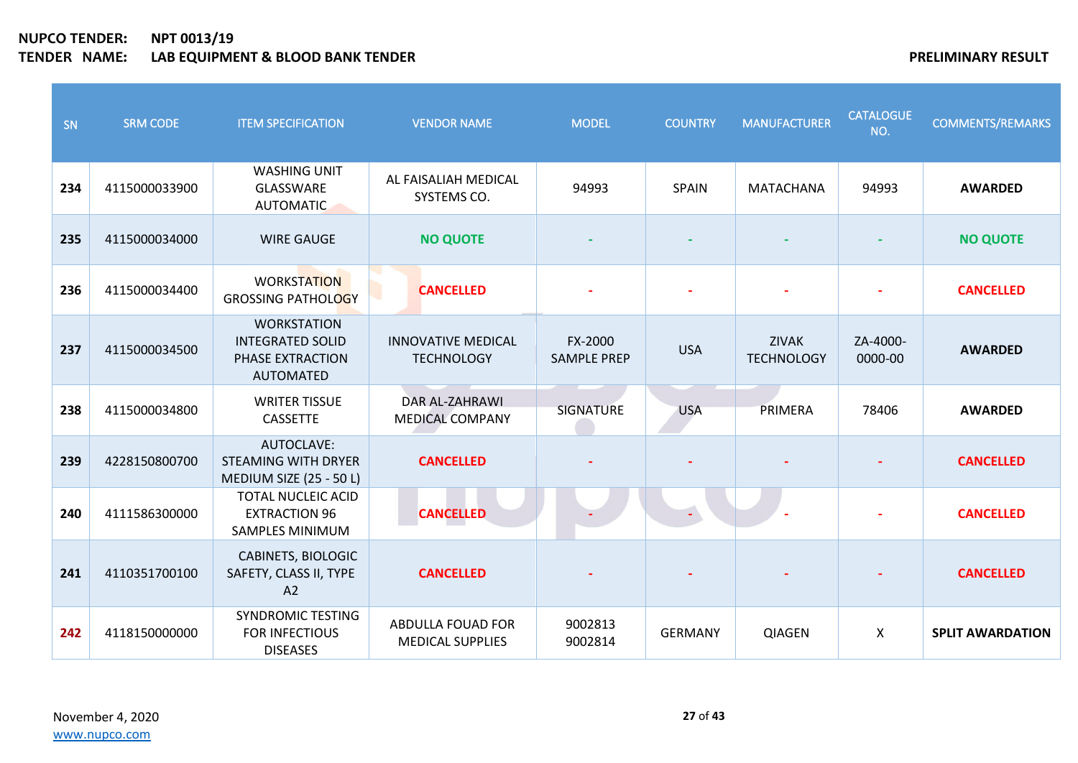| SN  | <b>SRM CODE</b> | <b>ITEM SPECIFICATION</b>                                                             | <b>VENDOR NAME</b>                                  | <b>MODEL</b>                  | <b>COUNTRY</b> | <b>MANUFACTURER</b>               | <b>CATALOGUE</b><br>NO.   | <b>COMMENTS/REMARKS</b> |
|-----|-----------------|---------------------------------------------------------------------------------------|-----------------------------------------------------|-------------------------------|----------------|-----------------------------------|---------------------------|-------------------------|
| 234 | 4115000033900   | <b>WASHING UNIT</b><br>GLASSWARE<br><b>AUTOMATIC</b>                                  | AL FAISALIAH MEDICAL<br>SYSTEMS CO.                 | 94993                         | SPAIN          | MATACHANA                         | 94993                     | <b>AWARDED</b>          |
| 235 | 4115000034000   | <b>WIRE GAUGE</b>                                                                     | <b>NO QUOTE</b>                                     |                               |                |                                   |                           | <b>NO QUOTE</b>         |
| 236 | 4115000034400   | <b>WORKSTATION</b><br><b>GROSSING PATHOLOGY</b>                                       | <b>CANCELLED</b>                                    |                               |                |                                   |                           | <b>CANCELLED</b>        |
| 237 | 4115000034500   | <b>WORKSTATION</b><br><b>INTEGRATED SOLID</b><br>PHASE EXTRACTION<br><b>AUTOMATED</b> | <b>INNOVATIVE MEDICAL</b><br><b>TECHNOLOGY</b>      | FX-2000<br><b>SAMPLE PREP</b> | <b>USA</b>     | <b>ZIVAK</b><br><b>TECHNOLOGY</b> | ZA-4000-<br>0000-00       | <b>AWARDED</b>          |
| 238 | 4115000034800   | <b>WRITER TISSUE</b><br><b>CASSETTE</b>                                               | <b>DAR AL-ZAHRAWI</b><br><b>MEDICAL COMPANY</b>     | <b>SIGNATURE</b>              | <b>USA</b>     | PRIMERA                           | 78406                     | <b>AWARDED</b>          |
| 239 | 4228150800700   | AUTOCLAVE:<br><b>STEAMING WITH DRYER</b><br>MEDIUM SIZE (25 - 50 L)                   | <b>CANCELLED</b>                                    |                               |                |                                   |                           | <b>CANCELLED</b>        |
| 240 | 4111586300000   | <b>TOTAL NUCLEIC ACID</b><br><b>EXTRACTION 96</b><br><b>SAMPLES MINIMUM</b>           | <b>CANCELLED</b>                                    |                               |                |                                   |                           | <b>CANCELLED</b>        |
| 241 | 4110351700100   | CABINETS, BIOLOGIC<br>SAFETY, CLASS II, TYPE<br>A2                                    | <b>CANCELLED</b>                                    |                               |                |                                   |                           | <b>CANCELLED</b>        |
| 242 | 4118150000000   | <b>SYNDROMIC TESTING</b><br><b>FOR INFECTIOUS</b><br><b>DISEASES</b>                  | <b>ABDULLA FOUAD FOR</b><br><b>MEDICAL SUPPLIES</b> | 9002813<br>9002814            | <b>GERMANY</b> | <b>QIAGEN</b>                     | $\boldsymbol{\mathsf{X}}$ | <b>SPLIT AWARDATION</b> |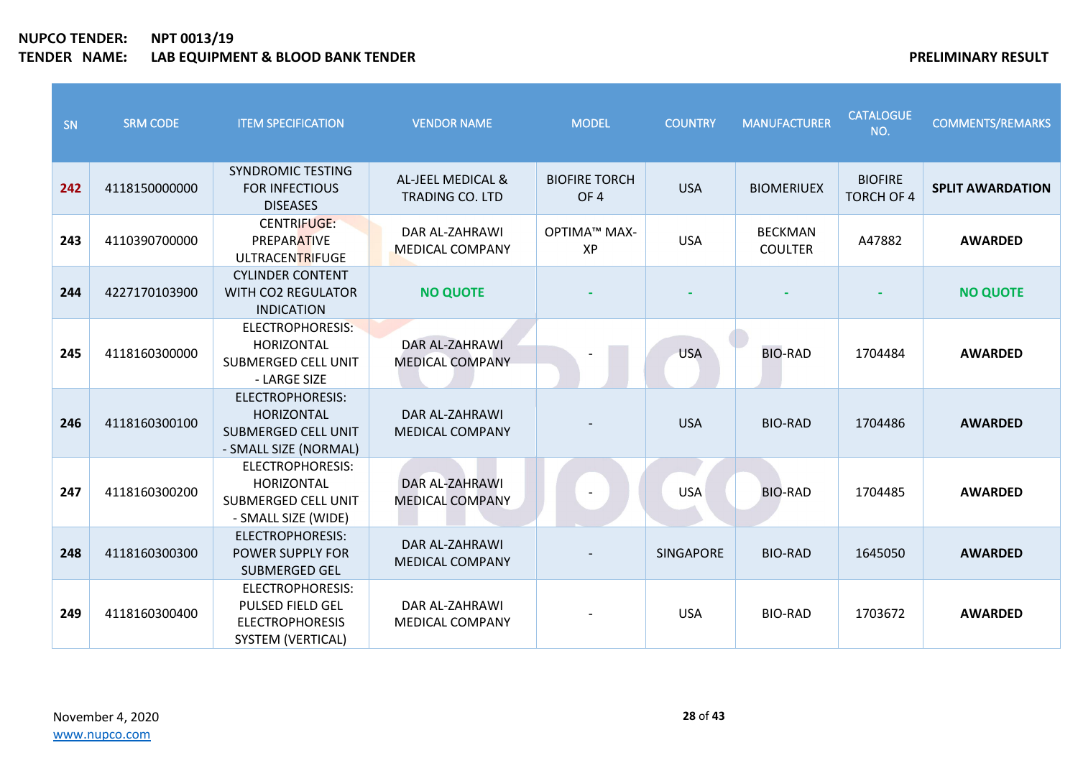| SN  | <b>SRM CODE</b> | <b>ITEM SPECIFICATION</b>                                                                           | <b>VENDOR NAME</b>                          | <b>MODEL</b>                            | <b>COUNTRY</b>   | <b>MANUFACTURER</b>              | <b>CATALOGUE</b><br>NO.             | <b>COMMENTS/REMARKS</b> |
|-----|-----------------|-----------------------------------------------------------------------------------------------------|---------------------------------------------|-----------------------------------------|------------------|----------------------------------|-------------------------------------|-------------------------|
| 242 | 4118150000000   | <b>SYNDROMIC TESTING</b><br><b>FOR INFECTIOUS</b><br><b>DISEASES</b>                                | AL-JEEL MEDICAL &<br><b>TRADING CO. LTD</b> | <b>BIOFIRE TORCH</b><br>OF <sub>4</sub> | <b>USA</b>       | <b>BIOMERIUEX</b>                | <b>BIOFIRE</b><br><b>TORCH OF 4</b> | <b>SPLIT AWARDATION</b> |
| 243 | 4110390700000   | <b>CENTRIFUGE:</b><br><b>PREPARATIVE</b><br>ULTRACENTRIFUGE                                         | DAR AL-ZAHRAWI<br><b>MEDICAL COMPANY</b>    | ΟΡΤΙΜΑ™ ΜΑΧ-<br>XP                      | <b>USA</b>       | <b>BECKMAN</b><br><b>COULTER</b> | A47882                              | <b>AWARDED</b>          |
| 244 | 4227170103900   | <b>CYLINDER CONTENT</b><br><b>WITH CO2 REGULATOR</b><br><b>INDICATION</b>                           | <b>NO QUOTE</b>                             |                                         |                  |                                  |                                     | <b>NO QUOTE</b>         |
| 245 | 4118160300000   | ELECTROPHORESIS:<br><b>HORIZONTAL</b><br><b>SUBMERGED CELL UNIT</b><br>- LARGE SIZE                 | DAR AL-ZAHRAWI<br><b>MEDICAL COMPANY</b>    |                                         | <b>USA</b>       | <b>BIO-RAD</b>                   | 1704484                             | <b>AWARDED</b>          |
| 246 | 4118160300100   | <b>ELECTROPHORESIS:</b><br><b>HORIZONTAL</b><br><b>SUBMERGED CELL UNIT</b><br>- SMALL SIZE (NORMAL) | DAR AL-ZAHRAWI<br><b>MEDICAL COMPANY</b>    |                                         | <b>USA</b>       | <b>BIO-RAD</b>                   | 1704486                             | <b>AWARDED</b>          |
| 247 | 4118160300200   | <b>ELECTROPHORESIS:</b><br><b>HORIZONTAL</b><br>SUBMERGED CELL UNIT<br>- SMALL SIZE (WIDE)          | DAR AL-ZAHRAWI<br><b>MEDICAL COMPANY</b>    |                                         | <b>USA</b>       | <b>BIO-RAD</b>                   | 1704485                             | <b>AWARDED</b>          |
| 248 | 4118160300300   | <b>ELECTROPHORESIS:</b><br>POWER SUPPLY FOR<br><b>SUBMERGED GEL</b>                                 | DAR AL-ZAHRAWI<br><b>MEDICAL COMPANY</b>    |                                         | <b>SINGAPORE</b> | <b>BIO-RAD</b>                   | 1645050                             | <b>AWARDED</b>          |
| 249 | 4118160300400   | <b>ELECTROPHORESIS:</b><br>PULSED FIELD GEL<br><b>ELECTROPHORESIS</b><br>SYSTEM (VERTICAL)          | DAR AL-ZAHRAWI<br><b>MEDICAL COMPANY</b>    |                                         | <b>USA</b>       | <b>BIO-RAD</b>                   | 1703672                             | <b>AWARDED</b>          |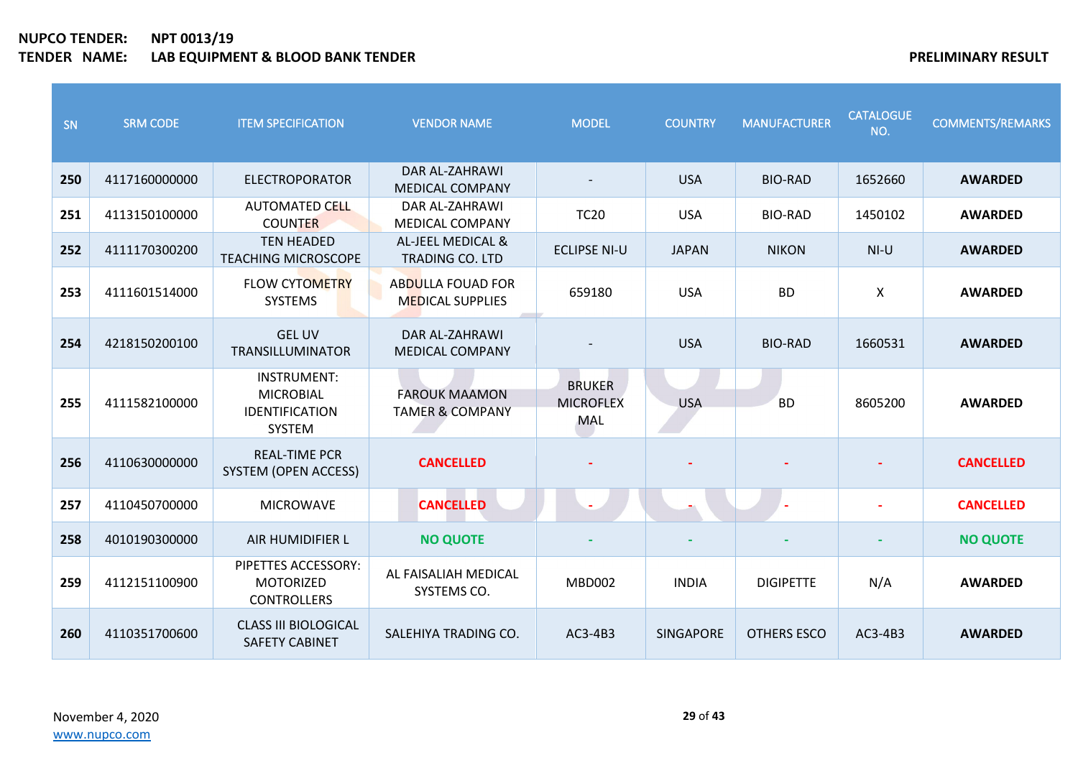| <b>SN</b> | <b>SRM CODE</b> | <b>ITEM SPECIFICATION</b>                                                 | <b>VENDOR NAME</b>                                  | <b>MODEL</b>                             | <b>COUNTRY</b>   | <b>MANUFACTURER</b> | <b>CATALOGUE</b><br>NO.   | <b>COMMENTS/REMARKS</b> |
|-----------|-----------------|---------------------------------------------------------------------------|-----------------------------------------------------|------------------------------------------|------------------|---------------------|---------------------------|-------------------------|
| 250       | 4117160000000   | <b>ELECTROPORATOR</b>                                                     | DAR AL-ZAHRAWI<br><b>MEDICAL COMPANY</b>            |                                          | <b>USA</b>       | <b>BIO-RAD</b>      | 1652660                   | <b>AWARDED</b>          |
| 251       | 4113150100000   | <b>AUTOMATED CELL</b><br><b>COUNTER</b>                                   | DAR AL-ZAHRAWI<br><b>MEDICAL COMPANY</b>            | <b>TC20</b>                              | <b>USA</b>       | <b>BIO-RAD</b>      | 1450102                   | <b>AWARDED</b>          |
| 252       | 4111170300200   | <b>TEN HEADED</b><br><b>TEACHING MICROSCOPE</b>                           | AL-JEEL MEDICAL &<br><b>TRADING CO. LTD</b>         | <b>ECLIPSE NI-U</b>                      | <b>JAPAN</b>     | <b>NIKON</b>        | $NI-U$                    | <b>AWARDED</b>          |
| 253       | 4111601514000   | <b>FLOW CYTOMETRY</b><br><b>SYSTEMS</b>                                   | <b>ABDULLA FOUAD FOR</b><br><b>MEDICAL SUPPLIES</b> | 659180                                   | <b>USA</b>       | <b>BD</b>           | $\boldsymbol{\mathsf{X}}$ | <b>AWARDED</b>          |
| 254       | 4218150200100   | <b>GEL UV</b><br>TRANSILLUMINATOR                                         | <b>DAR AL-ZAHRAWI</b><br><b>MEDICAL COMPANY</b>     |                                          | <b>USA</b>       | <b>BIO-RAD</b>      | 1660531                   | <b>AWARDED</b>          |
| 255       | 4111582100000   | <b>INSTRUMENT:</b><br><b>MICROBIAL</b><br><b>IDENTIFICATION</b><br>SYSTEM | <b>FAROUK MAAMON</b><br><b>TAMER &amp; COMPANY</b>  | <b>BRUKER</b><br><b>MICROFLEX</b><br>MAL | <b>USA</b>       | <b>BD</b>           | 8605200                   | <b>AWARDED</b>          |
| 256       | 4110630000000   | <b>REAL-TIME PCR</b><br>SYSTEM (OPEN ACCESS)                              | <b>CANCELLED</b>                                    |                                          |                  |                     |                           | <b>CANCELLED</b>        |
| 257       | 4110450700000   | <b>MICROWAVE</b>                                                          | <b>CANCELLED</b>                                    | $\sim$                                   |                  |                     |                           | <b>CANCELLED</b>        |
| 258       | 4010190300000   | AIR HUMIDIFIER L                                                          | <b>NO QUOTE</b>                                     |                                          |                  |                     |                           | <b>NO QUOTE</b>         |
| 259       | 4112151100900   | PIPETTES ACCESSORY:<br><b>MOTORIZED</b><br><b>CONTROLLERS</b>             | AL FAISALIAH MEDICAL<br>SYSTEMS CO.                 | <b>MBD002</b>                            | <b>INDIA</b>     | <b>DIGIPETTE</b>    | N/A                       | <b>AWARDED</b>          |
| 260       | 4110351700600   | <b>CLASS III BIOLOGICAL</b><br><b>SAFETY CABINET</b>                      | SALEHIYA TRADING CO.                                | AC3-4B3                                  | <b>SINGAPORE</b> | OTHERS ESCO         | AC3-4B3                   | <b>AWARDED</b>          |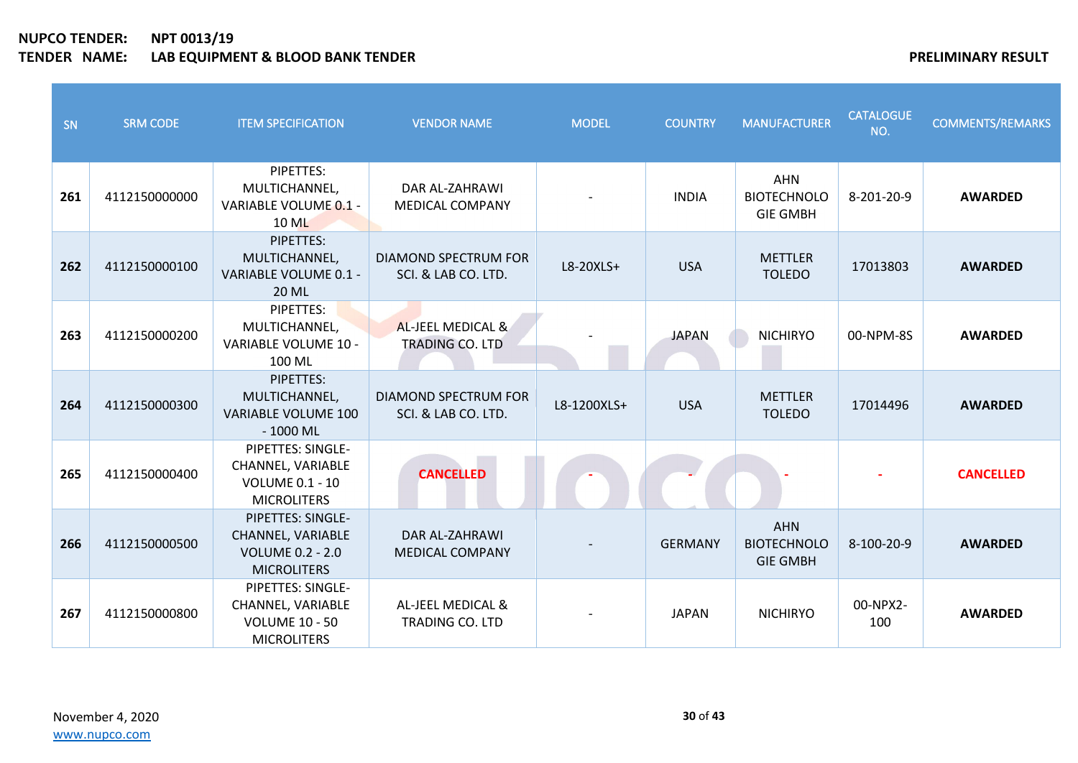| SN  | <b>SRM CODE</b> | <b>ITEM SPECIFICATION</b>                                                               | <b>VENDOR NAME</b>                                 | <b>MODEL</b> | <b>COUNTRY</b> | <b>MANUFACTURER</b>                                 | <b>CATALOGUE</b><br>NO. | <b>COMMENTS/REMARKS</b> |
|-----|-----------------|-----------------------------------------------------------------------------------------|----------------------------------------------------|--------------|----------------|-----------------------------------------------------|-------------------------|-------------------------|
| 261 | 4112150000000   | PIPETTES:<br>MULTICHANNEL,<br>VARIABLE VOLUME 0.1 -<br>10 ML                            | DAR AL-ZAHRAWI<br><b>MEDICAL COMPANY</b>           |              | <b>INDIA</b>   | <b>AHN</b><br><b>BIOTECHNOLO</b><br><b>GIE GMBH</b> | 8-201-20-9              | <b>AWARDED</b>          |
| 262 | 4112150000100   | PIPETTES:<br>MULTICHANNEL,<br>VARIABLE VOLUME 0.1 -<br><b>20 ML</b>                     | DIAMOND SPECTRUM FOR<br>SCI. & LAB CO. LTD.        | L8-20XLS+    | <b>USA</b>     | <b>METTLER</b><br><b>TOLEDO</b>                     | 17013803                | <b>AWARDED</b>          |
| 263 | 4112150000200   | PIPETTES:<br>MULTICHANNEL,<br><b>VARIABLE VOLUME 10 -</b><br>100 ML                     | AL-JEEL MEDICAL &<br><b>TRADING CO. LTD</b>        |              | <b>JAPAN</b>   | <b>NICHIRYO</b>                                     | 00-NPM-8S               | <b>AWARDED</b>          |
| 264 | 4112150000300   | PIPETTES:<br>MULTICHANNEL,<br><b>VARIABLE VOLUME 100</b><br>$-1000$ ML                  | <b>DIAMOND SPECTRUM FOR</b><br>SCI. & LAB CO. LTD. | L8-1200XLS+  | <b>USA</b>     | <b>METTLER</b><br><b>TOLEDO</b>                     | 17014496                | <b>AWARDED</b>          |
| 265 | 4112150000400   | PIPETTES: SINGLE-<br>CHANNEL, VARIABLE<br><b>VOLUME 0.1 - 10</b><br><b>MICROLITERS</b>  | <b>CANCELLED</b>                                   |              |                |                                                     |                         | <b>CANCELLED</b>        |
| 266 | 4112150000500   | PIPETTES: SINGLE-<br>CHANNEL, VARIABLE<br><b>VOLUME 0.2 - 2.0</b><br><b>MICROLITERS</b> | DAR AL-ZAHRAWI<br><b>MEDICAL COMPANY</b>           |              | <b>GERMANY</b> | <b>AHN</b><br><b>BIOTECHNOLO</b><br><b>GIE GMBH</b> | 8-100-20-9              | <b>AWARDED</b>          |
| 267 | 4112150000800   | PIPETTES: SINGLE-<br>CHANNEL, VARIABLE<br><b>VOLUME 10 - 50</b><br><b>MICROLITERS</b>   | AL-JEEL MEDICAL &<br><b>TRADING CO. LTD</b>        |              | <b>JAPAN</b>   | <b>NICHIRYO</b>                                     | 00-NPX2-<br>100         | <b>AWARDED</b>          |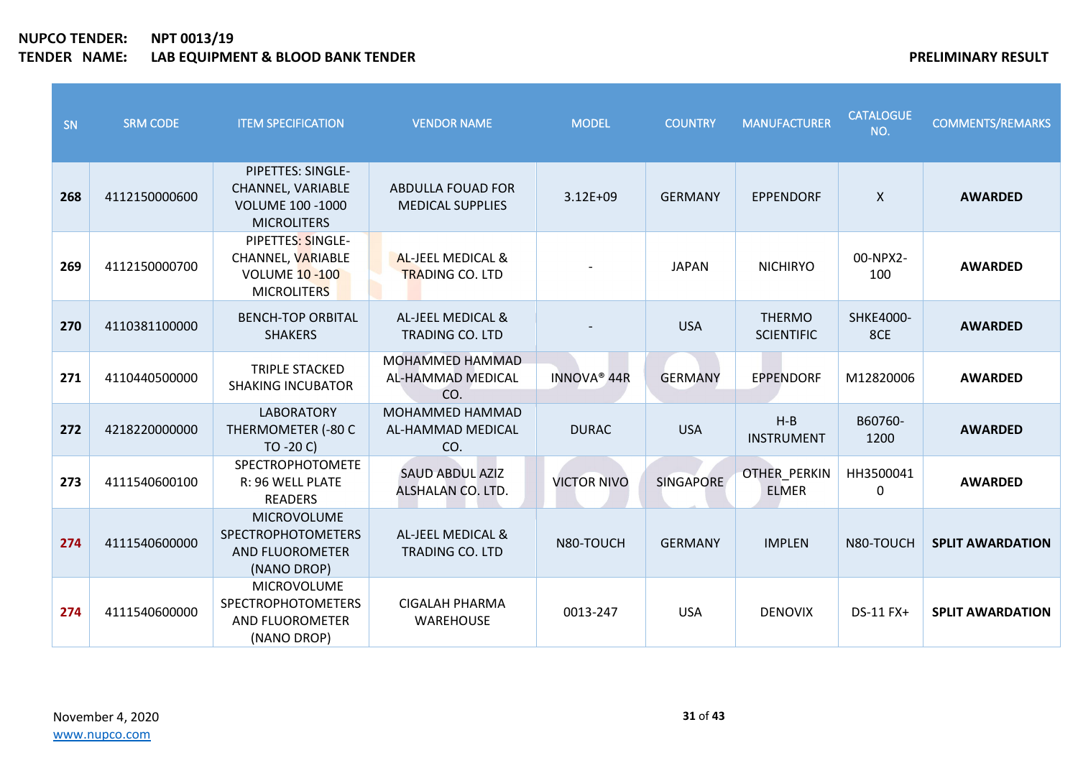| SN  | <b>SRM CODE</b> | <b>ITEM SPECIFICATION</b>                                                               | <b>VENDOR NAME</b>                                     | <b>MODEL</b>            | <b>COUNTRY</b>   | <b>MANUFACTURER</b>                | <b>CATALOGUE</b><br>NO.   | <b>COMMENTS/REMARKS</b> |
|-----|-----------------|-----------------------------------------------------------------------------------------|--------------------------------------------------------|-------------------------|------------------|------------------------------------|---------------------------|-------------------------|
| 268 | 4112150000600   | PIPETTES: SINGLE-<br>CHANNEL, VARIABLE<br><b>VOLUME 100 -1000</b><br><b>MICROLITERS</b> | <b>ABDULLA FOUAD FOR</b><br><b>MEDICAL SUPPLIES</b>    | $3.12E + 09$            | <b>GERMANY</b>   | <b>EPPENDORF</b>                   | $\mathsf{x}$              | <b>AWARDED</b>          |
| 269 | 4112150000700   | PIPETTES: SINGLE-<br>CHANNEL, VARIABLE<br><b>VOLUME 10 -100</b><br><b>MICROLITERS</b>   | <b>AL-JEEL MEDICAL &amp;</b><br><b>TRADING CO. LTD</b> |                         | <b>JAPAN</b>     | <b>NICHIRYO</b>                    | 00-NPX2-<br>100           | <b>AWARDED</b>          |
| 270 | 4110381100000   | <b>BENCH-TOP ORBITAL</b><br><b>SHAKERS</b>                                              | AL-JEEL MEDICAL &<br><b>TRADING CO. LTD</b>            |                         | <b>USA</b>       | <b>THERMO</b><br><b>SCIENTIFIC</b> | SHKE4000-<br>8CE          | <b>AWARDED</b>          |
| 271 | 4110440500000   | <b>TRIPLE STACKED</b><br><b>SHAKING INCUBATOR</b>                                       | MOHAMMED HAMMAD<br>AL-HAMMAD MEDICAL<br>CO.            | INNOVA <sup>®</sup> 44R | <b>GERMANY</b>   | <b>EPPENDORF</b>                   | M12820006                 | <b>AWARDED</b>          |
| 272 | 4218220000000   | <b>LABORATORY</b><br>THERMOMETER (-80 C<br>$TO - 20 C$                                  | MOHAMMED HAMMAD<br>AL-HAMMAD MEDICAL<br>CO.            | <b>DURAC</b>            | <b>USA</b>       | $H-B$<br><b>INSTRUMENT</b>         | B60760-<br>1200           | <b>AWARDED</b>          |
| 273 | 4111540600100   | <b>SPECTROPHOTOMETE</b><br>R: 96 WELL PLATE<br><b>READERS</b>                           | <b>SAUD ABDUL AZIZ</b><br>ALSHALAN CO. LTD.            | <b>VICTOR NIVO</b>      | <b>SINGAPORE</b> | OTHER_PERKIN<br><b>ELMER</b>       | HH3500041<br>$\mathbf{0}$ | <b>AWARDED</b>          |
| 274 | 4111540600000   | <b>MICROVOLUME</b><br><b>SPECTROPHOTOMETERS</b><br>AND FLUOROMETER<br>(NANO DROP)       | AL-JEEL MEDICAL &<br><b>TRADING CO. LTD</b>            | N80-TOUCH               | <b>GERMANY</b>   | <b>IMPLEN</b>                      | N80-TOUCH                 | <b>SPLIT AWARDATION</b> |
| 274 | 4111540600000   | <b>MICROVOLUME</b><br><b>SPECTROPHOTOMETERS</b><br>AND FLUOROMETER<br>(NANO DROP)       | <b>CIGALAH PHARMA</b><br><b>WAREHOUSE</b>              | 0013-247                | <b>USA</b>       | <b>DENOVIX</b>                     | DS-11 FX+                 | <b>SPLIT AWARDATION</b> |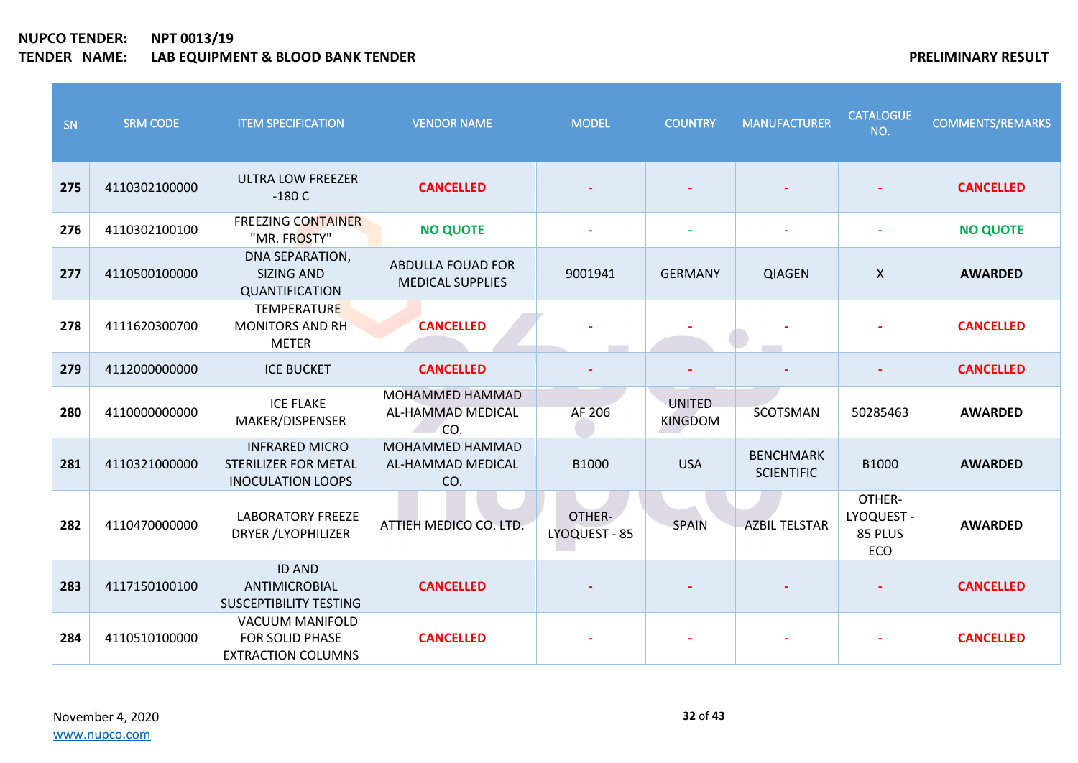| SN  | <b>SRM CODE</b> | <b>ITEM SPECIFICATION</b>                                                        | <b>VENDOR NAME</b>                                  | <b>MODEL</b>            | <b>COUNTRY</b>                  | <b>MANUFACTURER</b>                   | <b>CATALOGUE</b><br>NO.                | <b>COMMENTS/REMARKS</b> |
|-----|-----------------|----------------------------------------------------------------------------------|-----------------------------------------------------|-------------------------|---------------------------------|---------------------------------------|----------------------------------------|-------------------------|
| 275 | 4110302100000   | <b>ULTRA LOW FREEZER</b><br>$-180C$                                              | <b>CANCELLED</b>                                    |                         |                                 |                                       |                                        | <b>CANCELLED</b>        |
| 276 | 4110302100100   | <b>FREEZING CONTAINER</b><br>"MR. FROSTY"                                        | <b>NO QUOTE</b>                                     |                         |                                 |                                       |                                        | <b>NO QUOTE</b>         |
| 277 | 4110500100000   | DNA SEPARATION,<br><b>SIZING AND</b><br>QUANTIFICATION                           | <b>ABDULLA FOUAD FOR</b><br><b>MEDICAL SUPPLIES</b> | 9001941                 | <b>GERMANY</b>                  | <b>QIAGEN</b>                         | $\boldsymbol{\mathsf{X}}$              | <b>AWARDED</b>          |
| 278 | 4111620300700   | <b>TEMPERATURE</b><br><b>MONITORS AND RH</b><br><b>METER</b>                     | <b>CANCELLED</b>                                    |                         |                                 |                                       |                                        | <b>CANCELLED</b>        |
| 279 | 4112000000000   | <b>ICE BUCKET</b>                                                                | <b>CANCELLED</b>                                    |                         |                                 |                                       |                                        | <b>CANCELLED</b>        |
| 280 | 4110000000000   | <b>ICE FLAKE</b><br>MAKER/DISPENSER                                              | MOHAMMED HAMMAD<br>AL-HAMMAD MEDICAL<br>CO.         | AF 206                  | <b>UNITED</b><br><b>KINGDOM</b> | <b>SCOTSMAN</b>                       | 50285463                               | <b>AWARDED</b>          |
| 281 | 4110321000000   | <b>INFRARED MICRO</b><br><b>STERILIZER FOR METAL</b><br><b>INOCULATION LOOPS</b> | MOHAMMED HAMMAD<br>AL-HAMMAD MEDICAL<br>CO.         | B1000                   | <b>USA</b>                      | <b>BENCHMARK</b><br><b>SCIENTIFIC</b> | B1000                                  | <b>AWARDED</b>          |
| 282 | 4110470000000   | <b>LABORATORY FREEZE</b><br><b>DRYER /LYOPHILIZER</b>                            | ATTIEH MEDICO CO. LTD.                              | OTHER-<br>LYOQUEST - 85 | SPAIN                           | <b>AZBIL TELSTAR</b>                  | OTHER-<br>LYOQUEST -<br>85 PLUS<br>ECO | <b>AWARDED</b>          |
| 283 | 4117150100100   | <b>ID AND</b><br>ANTIMICROBIAL<br><b>SUSCEPTIBILITY TESTING</b>                  | <b>CANCELLED</b>                                    |                         |                                 |                                       |                                        | <b>CANCELLED</b>        |
| 284 | 4110510100000   | <b>VACUUM MANIFOLD</b><br>FOR SOLID PHASE<br><b>EXTRACTION COLUMNS</b>           | <b>CANCELLED</b>                                    |                         |                                 |                                       |                                        | <b>CANCELLED</b>        |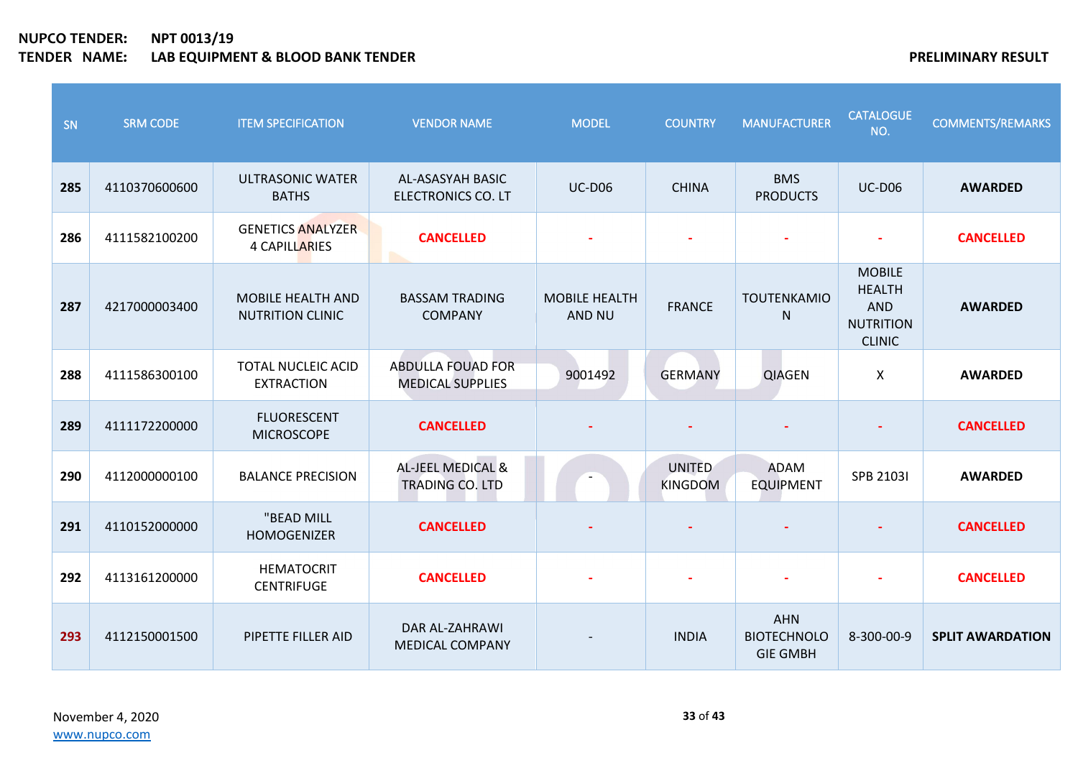| SN  | <b>SRM CODE</b> | <b>ITEM SPECIFICATION</b>                           | <b>VENDOR NAME</b>                                     | <b>MODEL</b>                   | <b>COUNTRY</b>                  | <b>MANUFACTURER</b>                                 | <b>CATALOGUE</b><br>NO.                                                           | <b>COMMENTS/REMARKS</b> |
|-----|-----------------|-----------------------------------------------------|--------------------------------------------------------|--------------------------------|---------------------------------|-----------------------------------------------------|-----------------------------------------------------------------------------------|-------------------------|
| 285 | 4110370600600   | <b>ULTRASONIC WATER</b><br><b>BATHS</b>             | AL-ASASYAH BASIC<br><b>ELECTRONICS CO. LT</b>          | <b>UC-D06</b>                  | <b>CHINA</b>                    | <b>BMS</b><br><b>PRODUCTS</b>                       | <b>UC-D06</b>                                                                     | <b>AWARDED</b>          |
| 286 | 4111582100200   | <b>GENETICS ANALYZER</b><br><b>4 CAPILLARIES</b>    | <b>CANCELLED</b>                                       |                                |                                 |                                                     |                                                                                   | <b>CANCELLED</b>        |
| 287 | 4217000003400   | <b>MOBILE HEALTH AND</b><br><b>NUTRITION CLINIC</b> | <b>BASSAM TRADING</b><br><b>COMPANY</b>                | <b>MOBILE HEALTH</b><br>AND NU | <b>FRANCE</b>                   | <b>TOUTENKAMIO</b><br>$\mathsf{N}$                  | <b>MOBILE</b><br><b>HEALTH</b><br><b>AND</b><br><b>NUTRITION</b><br><b>CLINIC</b> | <b>AWARDED</b>          |
| 288 | 4111586300100   | <b>TOTAL NUCLEIC ACID</b><br><b>EXTRACTION</b>      | <b>ABDULLA FOUAD FOR</b><br><b>MEDICAL SUPPLIES</b>    | 9001492                        | <b>GERMANY</b>                  | <b>QIAGEN</b>                                       | $\boldsymbol{\mathsf{X}}$                                                         | <b>AWARDED</b>          |
| 289 | 4111172200000   | <b>FLUORESCENT</b><br><b>MICROSCOPE</b>             | <b>CANCELLED</b>                                       |                                |                                 |                                                     |                                                                                   | <b>CANCELLED</b>        |
| 290 | 4112000000100   | <b>BALANCE PRECISION</b>                            | <b>AL-JEEL MEDICAL &amp;</b><br><b>TRADING CO. LTD</b> |                                | <b>UNITED</b><br><b>KINGDOM</b> | <b>ADAM</b><br><b>EQUIPMENT</b>                     | <b>SPB 21031</b>                                                                  | <b>AWARDED</b>          |
| 291 | 4110152000000   | "BEAD MILL<br><b>HOMOGENIZER</b>                    | <b>CANCELLED</b>                                       |                                |                                 |                                                     |                                                                                   | <b>CANCELLED</b>        |
| 292 | 4113161200000   | <b>HEMATOCRIT</b><br><b>CENTRIFUGE</b>              | <b>CANCELLED</b>                                       |                                |                                 |                                                     |                                                                                   | <b>CANCELLED</b>        |
| 293 | 4112150001500   | PIPETTE FILLER AID                                  | DAR AL-ZAHRAWI<br><b>MEDICAL COMPANY</b>               |                                | <b>INDIA</b>                    | <b>AHN</b><br><b>BIOTECHNOLO</b><br><b>GIE GMBH</b> | 8-300-00-9                                                                        | <b>SPLIT AWARDATION</b> |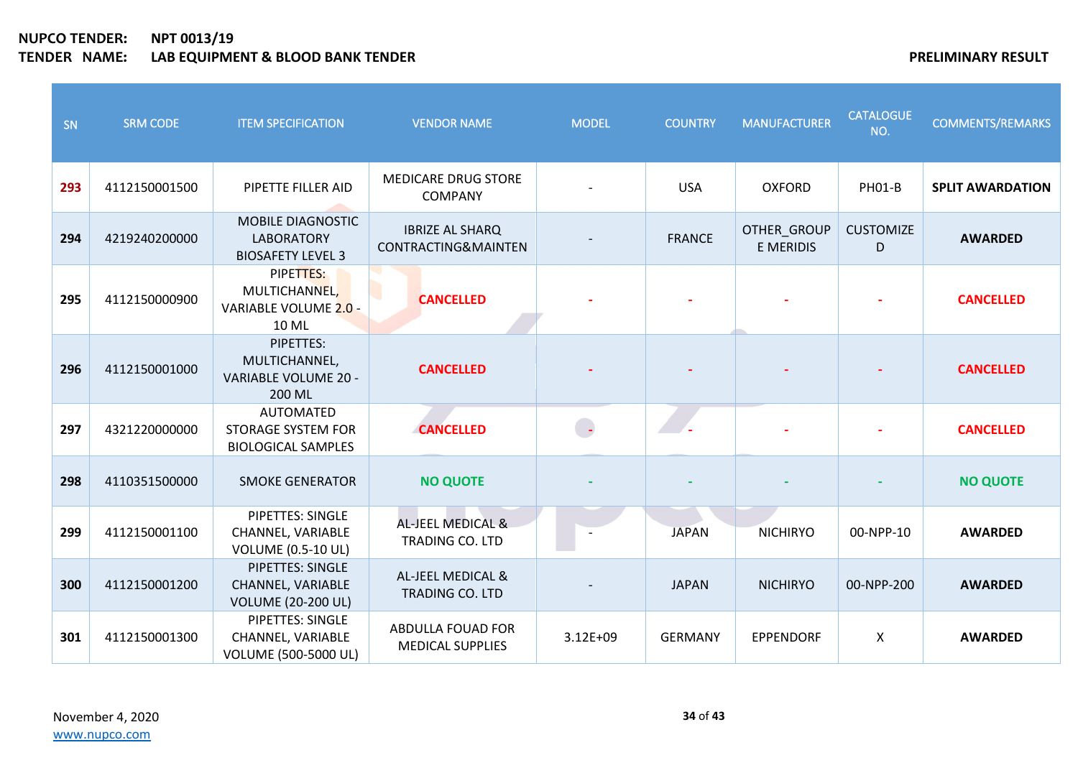| SN  | <b>SRM CODE</b> | <b>ITEM SPECIFICATION</b>                                                  | <b>VENDOR NAME</b>                            | <b>MODEL</b> | <b>COUNTRY</b> | <b>MANUFACTURER</b>      | <b>CATALOGUE</b><br>NO. | <b>COMMENTS/REMARKS</b> |
|-----|-----------------|----------------------------------------------------------------------------|-----------------------------------------------|--------------|----------------|--------------------------|-------------------------|-------------------------|
| 293 | 4112150001500   | PIPETTE FILLER AID                                                         | <b>MEDICARE DRUG STORE</b><br><b>COMPANY</b>  |              | <b>USA</b>     | <b>OXFORD</b>            | <b>PH01-B</b>           | <b>SPLIT AWARDATION</b> |
| 294 | 4219240200000   | MOBILE DIAGNOSTIC<br><b>LABORATORY</b><br><b>BIOSAFETY LEVEL 3</b>         | <b>IBRIZE AL SHARQ</b><br>CONTRACTING&MAINTEN |              | <b>FRANCE</b>  | OTHER_GROUP<br>E MERIDIS | <b>CUSTOMIZE</b><br>D   | <b>AWARDED</b>          |
| 295 | 4112150000900   | PIPETTES:<br>MULTICHANNEL,<br>VARIABLE VOLUME 2.0 -<br>10 ML               | <b>CANCELLED</b>                              |              |                |                          |                         | <b>CANCELLED</b>        |
| 296 | 4112150001000   | PIPETTES:<br>MULTICHANNEL,<br>VARIABLE VOLUME 20 -<br>200 ML               | <b>CANCELLED</b>                              |              |                |                          |                         | <b>CANCELLED</b>        |
| 297 | 4321220000000   | <b>AUTOMATED</b><br><b>STORAGE SYSTEM FOR</b><br><b>BIOLOGICAL SAMPLES</b> | <b>CANCELLED</b>                              | $\Box$       |                |                          |                         | <b>CANCELLED</b>        |
| 298 | 4110351500000   | <b>SMOKE GENERATOR</b>                                                     | <b>NO QUOTE</b>                               |              |                |                          |                         | <b>NO QUOTE</b>         |
| 299 | 4112150001100   | PIPETTES: SINGLE<br>CHANNEL, VARIABLE<br><b>VOLUME (0.5-10 UL)</b>         | AL-JEEL MEDICAL &<br>TRADING CO. LTD          |              | <b>JAPAN</b>   | <b>NICHIRYO</b>          | 00-NPP-10               | <b>AWARDED</b>          |
| 300 | 4112150001200   | <b>PIPETTES: SINGLE</b><br>CHANNEL, VARIABLE<br><b>VOLUME (20-200 UL)</b>  | AL-JEEL MEDICAL &<br>TRADING CO. LTD          |              | <b>JAPAN</b>   | <b>NICHIRYO</b>          | 00-NPP-200              | <b>AWARDED</b>          |
| 301 | 4112150001300   | PIPETTES: SINGLE<br>CHANNEL, VARIABLE<br>VOLUME (500-5000 UL)              | ABDULLA FOUAD FOR<br><b>MEDICAL SUPPLIES</b>  | 3.12E+09     | <b>GERMANY</b> | <b>EPPENDORF</b>         | $\pmb{\times}$          | <b>AWARDED</b>          |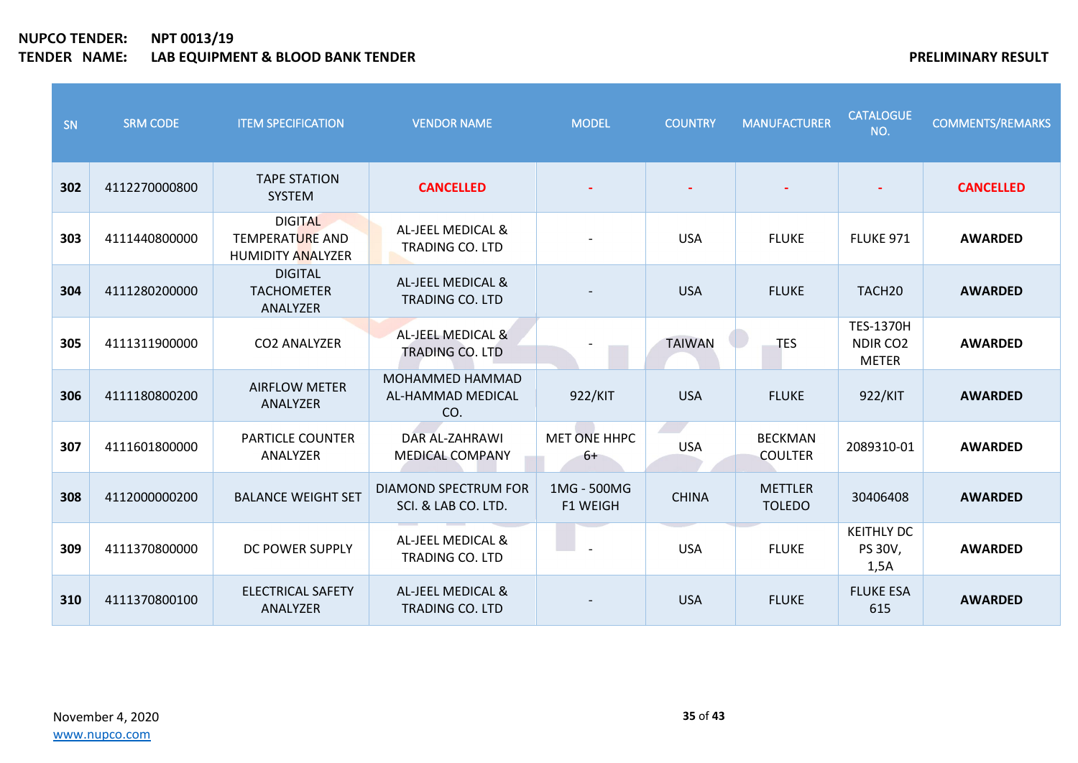| SN  | <b>SRM CODE</b> | <b>ITEM SPECIFICATION</b>                                            | <b>VENDOR NAME</b>                                 | <b>MODEL</b>                   | <b>COUNTRY</b> | <b>MANUFACTURER</b>              | <b>CATALOGUE</b><br>NO.                                  | <b>COMMENTS/REMARKS</b> |
|-----|-----------------|----------------------------------------------------------------------|----------------------------------------------------|--------------------------------|----------------|----------------------------------|----------------------------------------------------------|-------------------------|
| 302 | 4112270000800   | <b>TAPE STATION</b><br><b>SYSTEM</b>                                 | <b>CANCELLED</b>                                   |                                |                |                                  |                                                          | <b>CANCELLED</b>        |
| 303 | 4111440800000   | <b>DIGITAL</b><br><b>TEMPERATURE AND</b><br><b>HUMIDITY ANALYZER</b> | AL-JEEL MEDICAL &<br><b>TRADING CO. LTD</b>        |                                | <b>USA</b>     | <b>FLUKE</b>                     | <b>FLUKE 971</b>                                         | <b>AWARDED</b>          |
| 304 | 4111280200000   | <b>DIGITAL</b><br><b>TACHOMETER</b><br>ANALYZER                      | AL-JEEL MEDICAL &<br><b>TRADING CO. LTD</b>        |                                | <b>USA</b>     | <b>FLUKE</b>                     | TACH <sub>20</sub>                                       | <b>AWARDED</b>          |
| 305 | 4111311900000   | <b>CO2 ANALYZER</b>                                                  | AL-JEEL MEDICAL &<br>TRADING CO. LTD               |                                | <b>TAIWAN</b>  | <b>TES</b>                       | <b>TES-1370H</b><br>NDIR CO <sub>2</sub><br><b>METER</b> | <b>AWARDED</b>          |
| 306 | 4111180800200   | <b>AIRFLOW METER</b><br>ANALYZER                                     | <b>MOHAMMED HAMMAD</b><br>AL-HAMMAD MEDICAL<br>CO. | 922/KIT                        | <b>USA</b>     | <b>FLUKE</b>                     | 922/KIT                                                  | <b>AWARDED</b>          |
| 307 | 4111601800000   | <b>PARTICLE COUNTER</b><br>ANALYZER                                  | DAR AL-ZAHRAWI<br><b>MEDICAL COMPANY</b>           | <b>MET ONE HHPC</b><br>6+      | <b>USA</b>     | <b>BECKMAN</b><br><b>COULTER</b> | 2089310-01                                               | <b>AWARDED</b>          |
| 308 | 4112000000200   | <b>BALANCE WEIGHT SET</b>                                            | DIAMOND SPECTRUM FOR<br>SCI. & LAB CO. LTD.        | 1MG - 500MG<br><b>F1 WEIGH</b> | <b>CHINA</b>   | <b>METTLER</b><br><b>TOLEDO</b>  | 30406408                                                 | <b>AWARDED</b>          |
| 309 | 4111370800000   | DC POWER SUPPLY                                                      | AL-JEEL MEDICAL &<br><b>TRADING CO. LTD</b>        |                                | <b>USA</b>     | <b>FLUKE</b>                     | <b>KEITHLY DC</b><br>PS 30V,<br>1,5A                     | <b>AWARDED</b>          |
| 310 | 4111370800100   | <b>ELECTRICAL SAFETY</b><br>ANALYZER                                 | AL-JEEL MEDICAL &<br><b>TRADING CO. LTD</b>        |                                | <b>USA</b>     | <b>FLUKE</b>                     | <b>FLUKE ESA</b><br>615                                  | <b>AWARDED</b>          |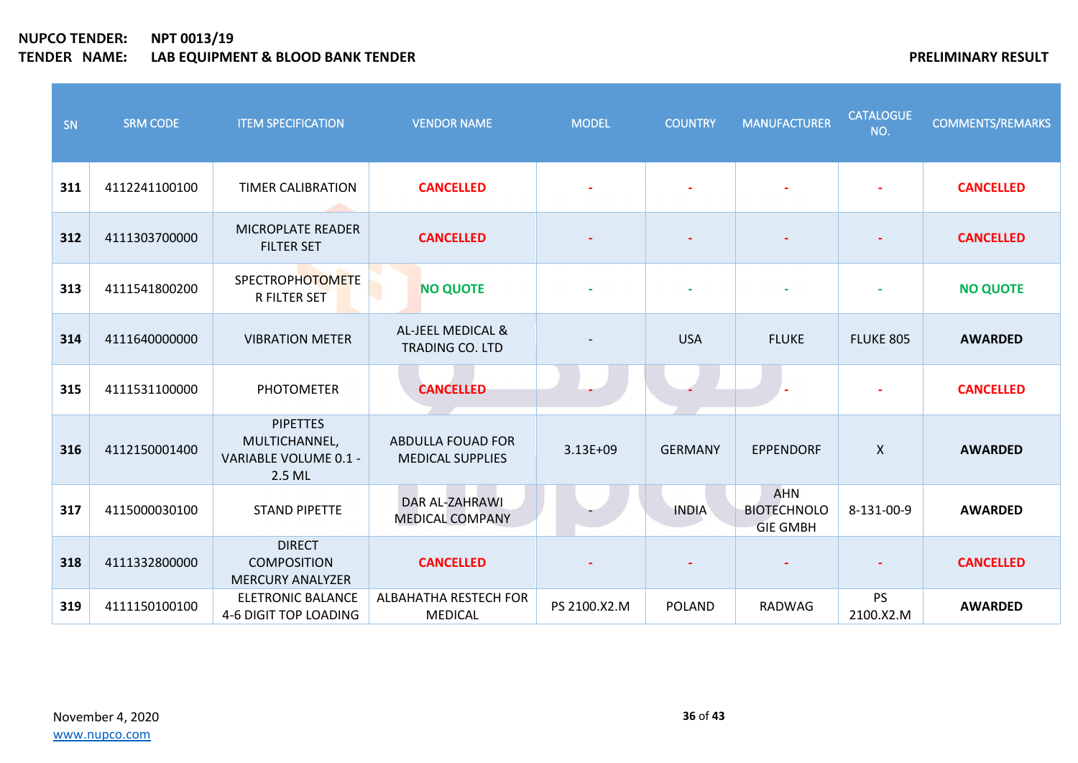| SN  | <b>SRM CODE</b> | <b>ITEM SPECIFICATION</b>                                           | <b>VENDOR NAME</b>                                  | <b>MODEL</b> | <b>COUNTRY</b> | <b>MANUFACTURER</b>                                 | <b>CATALOGUE</b><br>NO.   | <b>COMMENTS/REMARKS</b> |
|-----|-----------------|---------------------------------------------------------------------|-----------------------------------------------------|--------------|----------------|-----------------------------------------------------|---------------------------|-------------------------|
| 311 | 4112241100100   | <b>TIMER CALIBRATION</b>                                            | <b>CANCELLED</b>                                    |              |                |                                                     |                           | <b>CANCELLED</b>        |
| 312 | 4111303700000   | <b>MICROPLATE READER</b><br><b>FILTER SET</b>                       | <b>CANCELLED</b>                                    |              |                |                                                     |                           | <b>CANCELLED</b>        |
| 313 | 4111541800200   | <b>SPECTROPHOTOMETE</b><br><b>R FILTER SET</b>                      | <b>NO QUOTE</b>                                     |              | $\blacksquare$ | $\blacksquare$                                      | $\blacksquare$            | <b>NO QUOTE</b>         |
| 314 | 4111640000000   | <b>VIBRATION METER</b>                                              | AL-JEEL MEDICAL &<br>TRADING CO. LTD                |              | <b>USA</b>     | <b>FLUKE</b>                                        | FLUKE 805                 | <b>AWARDED</b>          |
| 315 | 4111531100000   | <b>PHOTOMETER</b>                                                   | <b>CANCELLED</b>                                    |              |                |                                                     |                           | <b>CANCELLED</b>        |
| 316 | 4112150001400   | <b>PIPETTES</b><br>MULTICHANNEL,<br>VARIABLE VOLUME 0.1 -<br>2.5 ML | <b>ABDULLA FOUAD FOR</b><br><b>MEDICAL SUPPLIES</b> | $3.13E + 09$ | <b>GERMANY</b> | <b>EPPENDORF</b>                                    | $\boldsymbol{\mathsf{X}}$ | <b>AWARDED</b>          |
| 317 | 4115000030100   | <b>STAND PIPETTE</b>                                                | DAR AL-ZAHRAWI<br><b>MEDICAL COMPANY</b>            |              | <b>INDIA</b>   | <b>AHN</b><br><b>BIOTECHNOLO</b><br><b>GIE GMBH</b> | 8-131-00-9                | <b>AWARDED</b>          |
| 318 | 4111332800000   | <b>DIRECT</b><br><b>COMPOSITION</b><br><b>MERCURY ANALYZER</b>      | <b>CANCELLED</b>                                    |              |                |                                                     |                           | <b>CANCELLED</b>        |
| 319 | 4111150100100   | <b>ELETRONIC BALANCE</b><br>4-6 DIGIT TOP LOADING                   | ALBAHATHA RESTECH FOR<br><b>MEDICAL</b>             | PS 2100.X2.M | <b>POLAND</b>  | RADWAG                                              | <b>PS</b><br>2100.X2.M    | <b>AWARDED</b>          |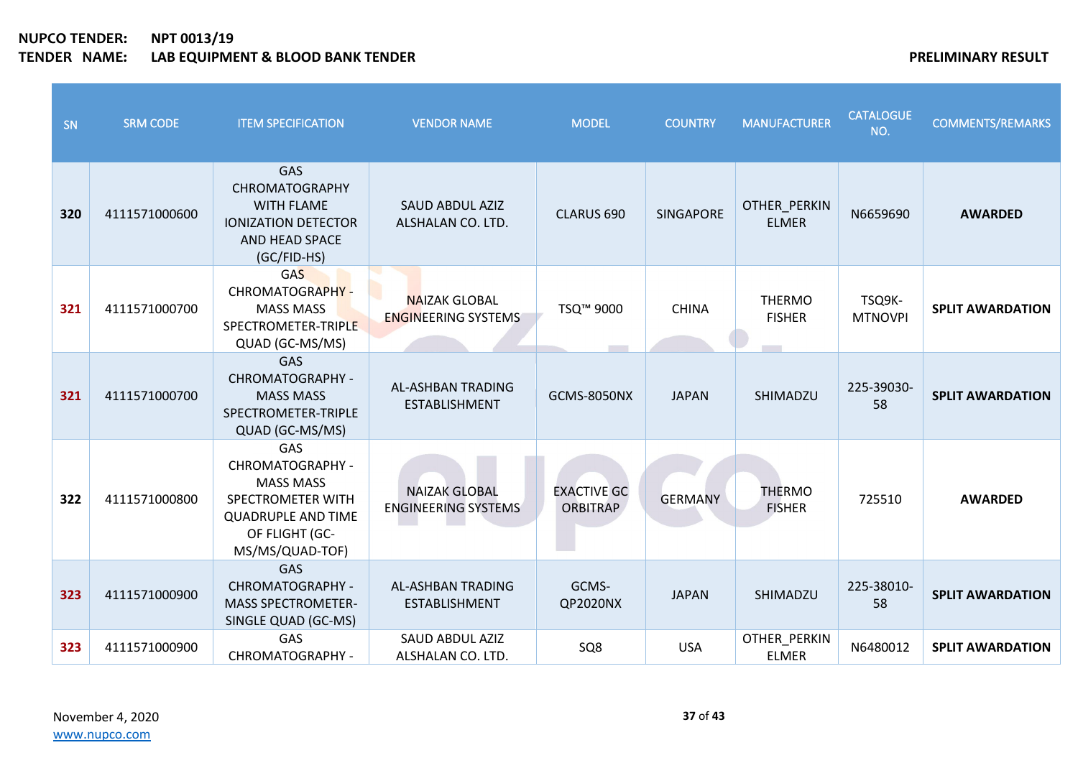| SN  | <b>SRM CODE</b> | <b>ITEM SPECIFICATION</b>                                                                                                          | <b>VENDOR NAME</b>                                 | <b>MODEL</b>                          | <b>COUNTRY</b>   | <b>MANUFACTURER</b>            | <b>CATALOGUE</b><br>NO.  | <b>COMMENTS/REMARKS</b> |
|-----|-----------------|------------------------------------------------------------------------------------------------------------------------------------|----------------------------------------------------|---------------------------------------|------------------|--------------------------------|--------------------------|-------------------------|
| 320 | 4111571000600   | GAS<br><b>CHROMATOGRAPHY</b><br><b>WITH FLAME</b><br><b>IONIZATION DETECTOR</b><br>AND HEAD SPACE<br>(GC/FID-HS)                   | <b>SAUD ABDUL AZIZ</b><br>ALSHALAN CO. LTD.        | CLARUS 690                            | <b>SINGAPORE</b> | OTHER PERKIN<br><b>ELMER</b>   | N6659690                 | <b>AWARDED</b>          |
| 321 | 4111571000700   | <b>GAS</b><br>CHROMATOGRAPHY -<br><b>MASS MASS</b><br>SPECTROMETER-TRIPLE<br>QUAD (GC-MS/MS)                                       | <b>NAIZAK GLOBAL</b><br><b>ENGINEERING SYSTEMS</b> | TSQ <sup>™</sup> 9000                 | <b>CHINA</b>     | <b>THERMO</b><br><b>FISHER</b> | TSQ9K-<br><b>MTNOVPI</b> | <b>SPLIT AWARDATION</b> |
| 321 | 4111571000700   | <b>GAS</b><br>CHROMATOGRAPHY -<br><b>MASS MASS</b><br>SPECTROMETER-TRIPLE<br>QUAD (GC-MS/MS)                                       | AL-ASHBAN TRADING<br><b>ESTABLISHMENT</b>          | <b>GCMS-8050NX</b>                    | <b>JAPAN</b>     | SHIMADZU                       | 225-39030-<br>58         | <b>SPLIT AWARDATION</b> |
| 322 | 4111571000800   | GAS<br>CHROMATOGRAPHY -<br><b>MASS MASS</b><br>SPECTROMETER WITH<br><b>QUADRUPLE AND TIME</b><br>OF FLIGHT (GC-<br>MS/MS/QUAD-TOF) | <b>NAIZAK GLOBAL</b><br><b>ENGINEERING SYSTEMS</b> | <b>EXACTIVE GC</b><br><b>ORBITRAP</b> | <b>GERMANY</b>   | <b>THERMO</b><br><b>FISHER</b> | 725510                   | <b>AWARDED</b>          |
| 323 | 4111571000900   | GAS<br>CHROMATOGRAPHY -<br><b>MASS SPECTROMETER-</b><br>SINGLE QUAD (GC-MS)                                                        | AL-ASHBAN TRADING<br><b>ESTABLISHMENT</b>          | GCMS-<br>QP2020NX                     | <b>JAPAN</b>     | SHIMADZU                       | 225-38010-<br>58         | <b>SPLIT AWARDATION</b> |
| 323 | 4111571000900   | GAS<br>CHROMATOGRAPHY -                                                                                                            | <b>SAUD ABDUL AZIZ</b><br>ALSHALAN CO. LTD.        | SQ8                                   | <b>USA</b>       | OTHER_PERKIN<br><b>ELMER</b>   | N6480012                 | <b>SPLIT AWARDATION</b> |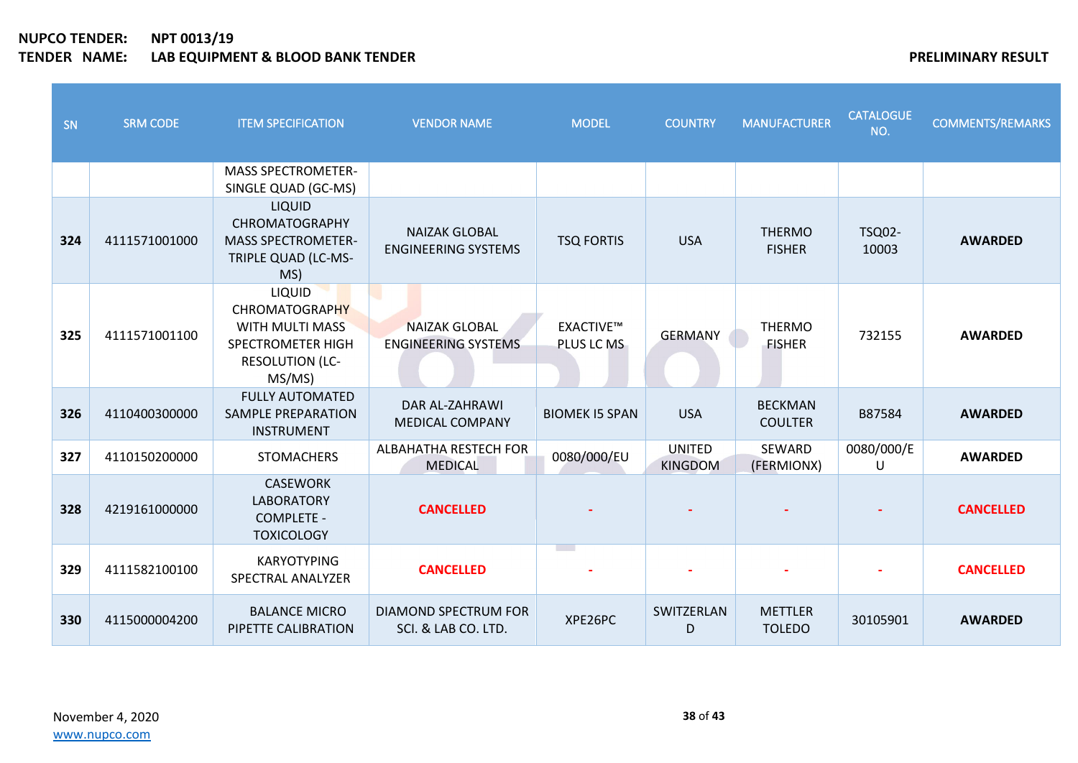| SN  | <b>SRM CODE</b> | <b>ITEM SPECIFICATION</b>                                                                                          | <b>VENDOR NAME</b>                                 | <b>MODEL</b>                   | <b>COUNTRY</b>                  | <b>MANUFACTURER</b>              | <b>CATALOGUE</b><br>NO. | <b>COMMENTS/REMARKS</b> |
|-----|-----------------|--------------------------------------------------------------------------------------------------------------------|----------------------------------------------------|--------------------------------|---------------------------------|----------------------------------|-------------------------|-------------------------|
|     |                 | <b>MASS SPECTROMETER-</b><br>SINGLE QUAD (GC-MS)                                                                   |                                                    |                                |                                 |                                  |                         |                         |
| 324 | 4111571001000   | LIQUID<br><b>CHROMATOGRAPHY</b><br><b>MASS SPECTROMETER-</b><br>TRIPLE QUAD (LC-MS-<br>MS)                         | <b>NAIZAK GLOBAL</b><br><b>ENGINEERING SYSTEMS</b> | <b>TSQ FORTIS</b>              | <b>USA</b>                      | <b>THERMO</b><br><b>FISHER</b>   | <b>TSQ02-</b><br>10003  | <b>AWARDED</b>          |
| 325 | 4111571001100   | LIQUID<br><b>CHROMATOGRAPHY</b><br>WITH MULTI MASS<br><b>SPECTROMETER HIGH</b><br><b>RESOLUTION (LC-</b><br>MS/MS) | <b>NAIZAK GLOBAL</b><br><b>ENGINEERING SYSTEMS</b> | <b>EXACTIVE™</b><br>PLUS LC MS | <b>GERMANY</b>                  | <b>THERMO</b><br><b>FISHER</b>   | 732155                  | <b>AWARDED</b>          |
| 326 | 4110400300000   | <b>FULLY AUTOMATED</b><br><b>SAMPLE PREPARATION</b><br><b>INSTRUMENT</b>                                           | DAR AL-ZAHRAWI<br><b>MEDICAL COMPANY</b>           | <b>BIOMEK IS SPAN</b>          | <b>USA</b>                      | <b>BECKMAN</b><br><b>COULTER</b> | B87584                  | <b>AWARDED</b>          |
| 327 | 4110150200000   | <b>STOMACHERS</b>                                                                                                  | ALBAHATHA RESTECH FOR<br><b>MEDICAL</b>            | 0080/000/EU                    | <b>UNITED</b><br><b>KINGDOM</b> | SEWARD<br>(FERMIONX)             | 0080/000/E<br>$\cup$    | <b>AWARDED</b>          |
| 328 | 4219161000000   | <b>CASEWORK</b><br><b>LABORATORY</b><br><b>COMPLETE -</b><br><b>TOXICOLOGY</b>                                     | <b>CANCELLED</b>                                   |                                |                                 |                                  |                         | <b>CANCELLED</b>        |
| 329 | 4111582100100   | <b>KARYOTYPING</b><br>SPECTRAL ANALYZER                                                                            | <b>CANCELLED</b>                                   | <b>Contract</b>                |                                 |                                  |                         | <b>CANCELLED</b>        |
| 330 | 4115000004200   | <b>BALANCE MICRO</b><br>PIPETTE CALIBRATION                                                                        | <b>DIAMOND SPECTRUM FOR</b><br>SCI. & LAB CO. LTD. | XPE26PC                        | SWITZERLAN<br>D                 | <b>METTLER</b><br><b>TOLEDO</b>  | 30105901                | <b>AWARDED</b>          |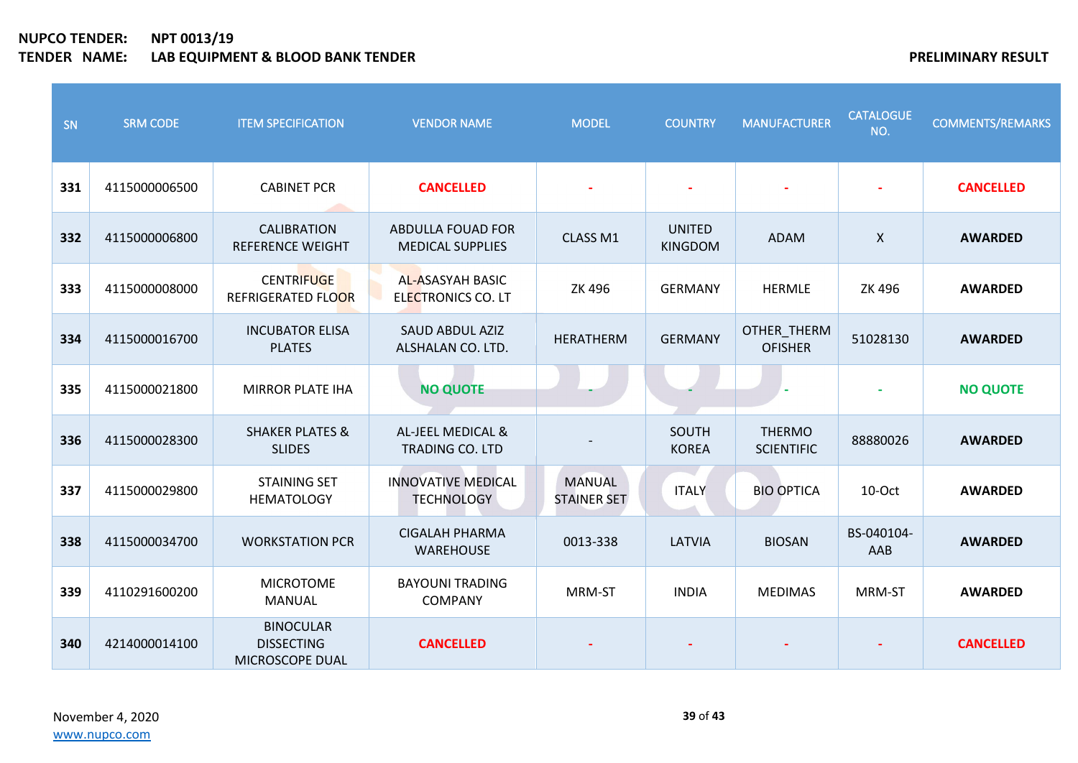| SN  | <b>SRM CODE</b> | <b>ITEM SPECIFICATION</b>                                | <b>VENDOR NAME</b>                                  | <b>MODEL</b>                        | <b>COUNTRY</b>                  | <b>MANUFACTURER</b>                | <b>CATALOGUE</b><br>NO.   | <b>COMMENTS/REMARKS</b> |
|-----|-----------------|----------------------------------------------------------|-----------------------------------------------------|-------------------------------------|---------------------------------|------------------------------------|---------------------------|-------------------------|
| 331 | 4115000006500   | <b>CABINET PCR</b>                                       | <b>CANCELLED</b>                                    |                                     |                                 |                                    |                           | <b>CANCELLED</b>        |
| 332 | 4115000006800   | <b>CALIBRATION</b><br><b>REFERENCE WEIGHT</b>            | <b>ABDULLA FOUAD FOR</b><br><b>MEDICAL SUPPLIES</b> | CLASS M1                            | <b>UNITED</b><br><b>KINGDOM</b> | <b>ADAM</b>                        | $\boldsymbol{\mathsf{X}}$ | <b>AWARDED</b>          |
| 333 | 4115000008000   | <b>CENTRIFUGE</b><br>REFRIGERATED FLOOR                  | <b>AL-ASASYAH BASIC</b><br>ELECTRONICS CO. LT       | ZK 496                              | <b>GERMANY</b>                  | <b>HERMLE</b>                      | ZK 496                    | <b>AWARDED</b>          |
| 334 | 4115000016700   | <b>INCUBATOR ELISA</b><br><b>PLATES</b>                  | <b>SAUD ABDUL AZIZ</b><br>ALSHALAN CO. LTD.         | <b>HERATHERM</b>                    | <b>GERMANY</b>                  | OTHER_THERM<br><b>OFISHER</b>      | 51028130                  | <b>AWARDED</b>          |
| 335 | 4115000021800   | <b>MIRROR PLATE IHA</b>                                  | <b>NO QUOTE</b>                                     |                                     |                                 |                                    |                           | <b>NO QUOTE</b>         |
| 336 | 4115000028300   | <b>SHAKER PLATES &amp;</b><br><b>SLIDES</b>              | AL-JEEL MEDICAL &<br><b>TRADING CO. LTD</b>         |                                     | SOUTH<br><b>KOREA</b>           | <b>THERMO</b><br><b>SCIENTIFIC</b> | 88880026                  | <b>AWARDED</b>          |
| 337 | 4115000029800   | <b>STAINING SET</b><br><b>HEMATOLOGY</b>                 | <b>INNOVATIVE MEDICAL</b><br><b>TECHNOLOGY</b>      | <b>MANUAL</b><br><b>STAINER SET</b> | <b>ITALY</b>                    | <b>BIO OPTICA</b>                  | 10-Oct                    | <b>AWARDED</b>          |
| 338 | 4115000034700   | <b>WORKSTATION PCR</b>                                   | <b>CIGALAH PHARMA</b><br><b>WAREHOUSE</b>           | 0013-338                            | LATVIA                          | <b>BIOSAN</b>                      | BS-040104-<br>AAB         | <b>AWARDED</b>          |
| 339 | 4110291600200   | <b>MICROTOME</b><br><b>MANUAL</b>                        | <b>BAYOUNI TRADING</b><br><b>COMPANY</b>            | MRM-ST                              | <b>INDIA</b>                    | <b>MEDIMAS</b>                     | MRM-ST                    | <b>AWARDED</b>          |
| 340 | 4214000014100   | <b>BINOCULAR</b><br><b>DISSECTING</b><br>MICROSCOPE DUAL | <b>CANCELLED</b>                                    |                                     |                                 |                                    |                           | <b>CANCELLED</b>        |

November 4, 2020 [www.nupco.com](http://www.nupco.com/)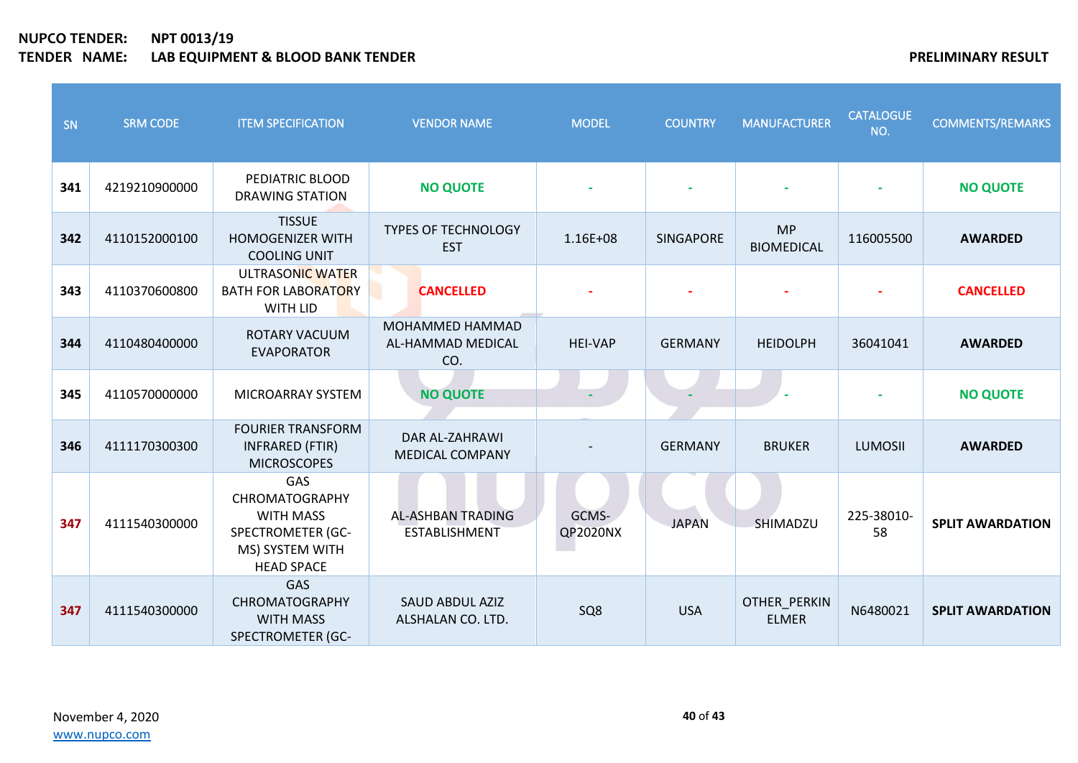| SN  | <b>SRM CODE</b> | <b>ITEM SPECIFICATION</b>                                                                                                   | <b>VENDOR NAME</b>                               | <b>MODEL</b>             | <b>COUNTRY</b> | <b>MANUFACTURER</b>            | <b>CATALOGUE</b><br>NO. | <b>COMMENTS/REMARKS</b> |
|-----|-----------------|-----------------------------------------------------------------------------------------------------------------------------|--------------------------------------------------|--------------------------|----------------|--------------------------------|-------------------------|-------------------------|
| 341 | 4219210900000   | PEDIATRIC BLOOD<br><b>DRAWING STATION</b>                                                                                   | <b>NO QUOTE</b>                                  |                          |                |                                |                         | <b>NO QUOTE</b>         |
| 342 | 4110152000100   | <b>TISSUE</b><br><b>HOMOGENIZER WITH</b><br><b>COOLING UNIT</b>                                                             | <b>TYPES OF TECHNOLOGY</b><br><b>EST</b>         | 1.16E+08                 | SINGAPORE      | <b>MP</b><br><b>BIOMEDICAL</b> | 116005500               | <b>AWARDED</b>          |
| 343 | 4110370600800   | ULTRASONIC WATER<br><b>BATH FOR LABORATORY</b><br>WITH LID                                                                  | <b>CANCELLED</b>                                 |                          |                |                                |                         | <b>CANCELLED</b>        |
| 344 | 4110480400000   | ROTARY VACUUM<br><b>EVAPORATOR</b>                                                                                          | MOHAMMED HAMMAD<br>AL-HAMMAD MEDICAL<br>CO.      | <b>HEI-VAP</b>           | <b>GERMANY</b> | <b>HEIDOLPH</b>                | 36041041                | <b>AWARDED</b>          |
| 345 | 4110570000000   | MICROARRAY SYSTEM                                                                                                           | <b>NO QUOTE</b>                                  |                          |                |                                |                         | <b>NO QUOTE</b>         |
| 346 | 4111170300300   | <b>FOURIER TRANSFORM</b><br><b>INFRARED (FTIR)</b><br><b>MICROSCOPES</b>                                                    | <b>DAR AL-ZAHRAWI</b><br><b>MEDICAL COMPANY</b>  |                          | <b>GERMANY</b> | <b>BRUKER</b>                  | <b>LUMOSII</b>          | <b>AWARDED</b>          |
| 347 | 4111540300000   | <b>GAS</b><br><b>CHROMATOGRAPHY</b><br><b>WITH MASS</b><br><b>SPECTROMETER (GC-</b><br>MS) SYSTEM WITH<br><b>HEAD SPACE</b> | <b>AL-ASHBAN TRADING</b><br><b>ESTABLISHMENT</b> | GCMS-<br><b>QP2020NX</b> | <b>JAPAN</b>   | SHIMADZU                       | 225-38010-<br>58        | <b>SPLIT AWARDATION</b> |
| 347 | 4111540300000   | <b>GAS</b><br>CHROMATOGRAPHY<br><b>WITH MASS</b><br><b>SPECTROMETER (GC-</b>                                                | <b>SAUD ABDUL AZIZ</b><br>ALSHALAN CO. LTD.      | SQ <sub>8</sub>          | <b>USA</b>     | OTHER_PERKIN<br><b>ELMER</b>   | N6480021                | <b>SPLIT AWARDATION</b> |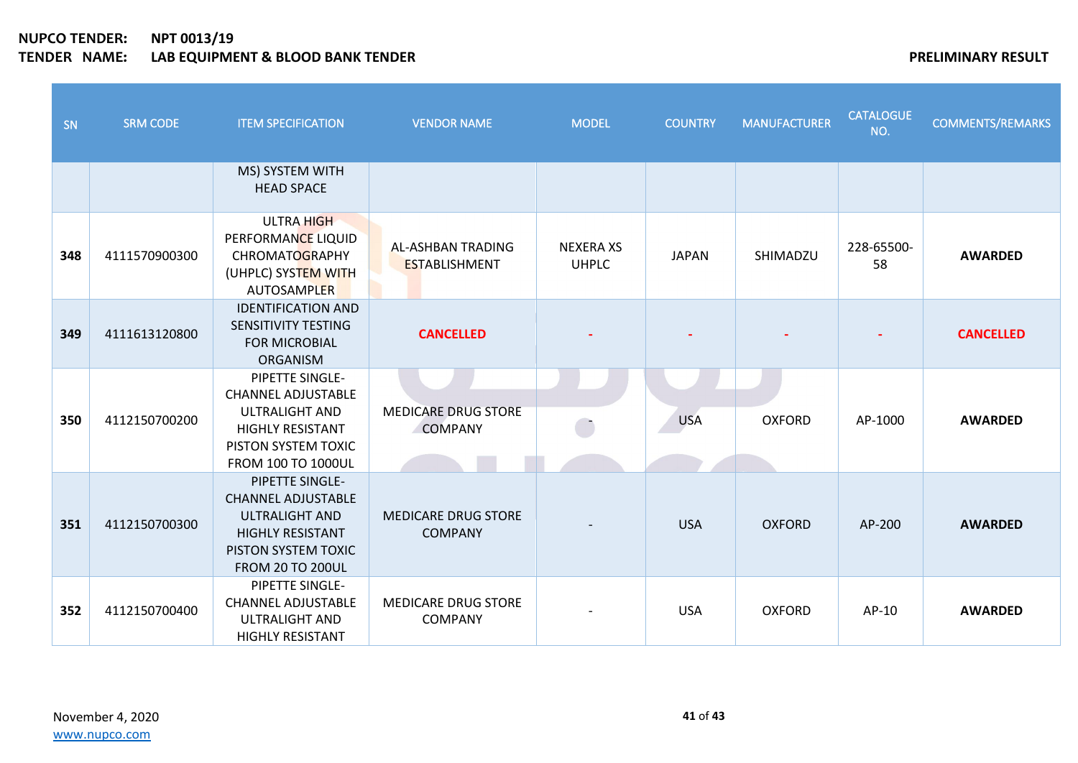| SN  | <b>SRM CODE</b> | <b>ITEM SPECIFICATION</b>                                                                                                                            | <b>VENDOR NAME</b>                               | <b>MODEL</b>                     | <b>COUNTRY</b> | <b>MANUFACTURER</b> | <b>CATALOGUE</b><br>NO. | <b>COMMENTS/REMARKS</b> |
|-----|-----------------|------------------------------------------------------------------------------------------------------------------------------------------------------|--------------------------------------------------|----------------------------------|----------------|---------------------|-------------------------|-------------------------|
|     |                 | MS) SYSTEM WITH<br><b>HEAD SPACE</b>                                                                                                                 |                                                  |                                  |                |                     |                         |                         |
| 348 | 4111570900300   | <b>ULTRA HIGH</b><br>PERFORMANCE LIQUID<br><b>CHROMATOGRAPHY</b><br>(UHPLC) SYSTEM WITH<br>AUTOSAMPLER                                               | <b>AL-ASHBAN TRADING</b><br><b>ESTABLISHMENT</b> | <b>NEXERA XS</b><br><b>UHPLC</b> | <b>JAPAN</b>   | SHIMADZU            | 228-65500-<br>58        | <b>AWARDED</b>          |
| 349 | 4111613120800   | <b>IDENTIFICATION AND</b><br>SENSITIVITY TESTING<br><b>FOR MICROBIAL</b><br><b>ORGANISM</b>                                                          | <b>CANCELLED</b>                                 |                                  |                |                     |                         | <b>CANCELLED</b>        |
| 350 | 4112150700200   | PIPETTE SINGLE-<br><b>CHANNEL ADJUSTABLE</b><br><b>ULTRALIGHT AND</b><br><b>HIGHLY RESISTANT</b><br>PISTON SYSTEM TOXIC<br><b>FROM 100 TO 1000UL</b> | <b>MEDICARE DRUG STORE</b><br><b>COMPANY</b>     |                                  | <b>USA</b>     | <b>OXFORD</b>       | AP-1000                 | <b>AWARDED</b>          |
| 351 | 4112150700300   | PIPETTE SINGLE-<br><b>CHANNEL ADJUSTABLE</b><br><b>ULTRALIGHT AND</b><br><b>HIGHLY RESISTANT</b><br>PISTON SYSTEM TOXIC<br><b>FROM 20 TO 200UL</b>   | <b>MEDICARE DRUG STORE</b><br><b>COMPANY</b>     |                                  | <b>USA</b>     | <b>OXFORD</b>       | AP-200                  | <b>AWARDED</b>          |
| 352 | 4112150700400   | PIPETTE SINGLE-<br><b>CHANNEL ADJUSTABLE</b><br><b>ULTRALIGHT AND</b><br><b>HIGHLY RESISTANT</b>                                                     | <b>MEDICARE DRUG STORE</b><br><b>COMPANY</b>     |                                  | <b>USA</b>     | <b>OXFORD</b>       | AP-10                   | <b>AWARDED</b>          |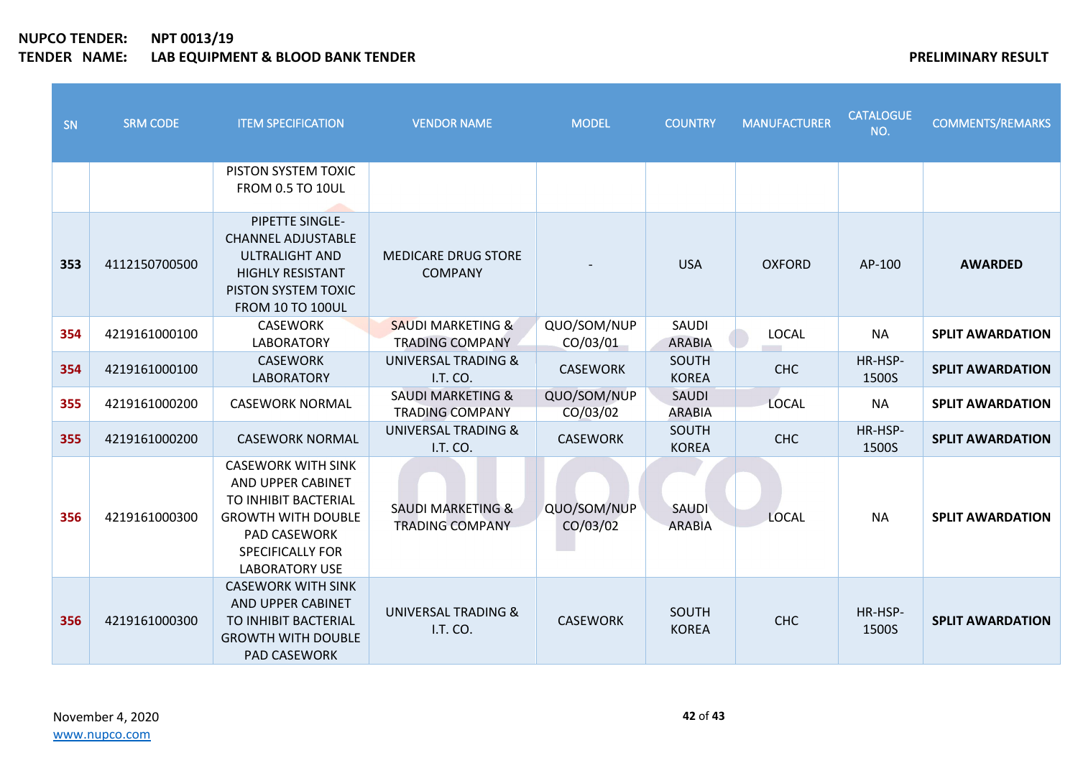| SN  | <b>SRM CODE</b> | <b>ITEM SPECIFICATION</b>                                                                                                                                                      | <b>VENDOR NAME</b>                                     | <b>MODEL</b>            | <b>COUNTRY</b>                | <b>MANUFACTURER</b> | <b>CATALOGUE</b><br>NO. | <b>COMMENTS/REMARKS</b> |
|-----|-----------------|--------------------------------------------------------------------------------------------------------------------------------------------------------------------------------|--------------------------------------------------------|-------------------------|-------------------------------|---------------------|-------------------------|-------------------------|
|     |                 | PISTON SYSTEM TOXIC<br><b>FROM 0.5 TO 10UL</b>                                                                                                                                 |                                                        |                         |                               |                     |                         |                         |
| 353 | 4112150700500   | PIPETTE SINGLE-<br><b>CHANNEL ADJUSTABLE</b><br><b>ULTRALIGHT AND</b><br><b>HIGHLY RESISTANT</b><br>PISTON SYSTEM TOXIC<br><b>FROM 10 TO 100UL</b>                             | <b>MEDICARE DRUG STORE</b><br><b>COMPANY</b>           |                         | <b>USA</b>                    | <b>OXFORD</b>       | AP-100                  | <b>AWARDED</b>          |
| 354 | 4219161000100   | <b>CASEWORK</b><br><b>LABORATORY</b>                                                                                                                                           | <b>SAUDI MARKETING &amp;</b><br><b>TRADING COMPANY</b> | QUO/SOM/NUP<br>CO/03/01 | SAUDI<br><b>ARABIA</b>        | <b>LOCAL</b>        | <b>NA</b>               | <b>SPLIT AWARDATION</b> |
| 354 | 4219161000100   | <b>CASEWORK</b><br><b>LABORATORY</b>                                                                                                                                           | <b>UNIVERSAL TRADING &amp;</b><br>I.T. CO.             | <b>CASEWORK</b>         | SOUTH<br><b>KOREA</b>         | <b>CHC</b>          | HR-HSP-<br>1500S        | <b>SPLIT AWARDATION</b> |
| 355 | 4219161000200   | <b>CASEWORK NORMAL</b>                                                                                                                                                         | <b>SAUDI MARKETING &amp;</b><br><b>TRADING COMPANY</b> | QUO/SOM/NUP<br>CO/03/02 | <b>SAUDI</b><br><b>ARABIA</b> | <b>LOCAL</b>        | <b>NA</b>               | <b>SPLIT AWARDATION</b> |
| 355 | 4219161000200   | <b>CASEWORK NORMAL</b>                                                                                                                                                         | <b>UNIVERSAL TRADING &amp;</b><br>I.T. CO.             | <b>CASEWORK</b>         | SOUTH<br><b>KOREA</b>         | <b>CHC</b>          | HR-HSP-<br>1500S        | <b>SPLIT AWARDATION</b> |
| 356 | 4219161000300   | <b>CASEWORK WITH SINK</b><br>AND UPPER CABINET<br>TO INHIBIT BACTERIAL<br><b>GROWTH WITH DOUBLE</b><br><b>PAD CASEWORK</b><br><b>SPECIFICALLY FOR</b><br><b>LABORATORY USE</b> | <b>SAUDI MARKETING &amp;</b><br><b>TRADING COMPANY</b> | QUO/SOM/NUP<br>CO/03/02 | SAUDI<br><b>ARABIA</b>        | LOCAL               | <b>NA</b>               | <b>SPLIT AWARDATION</b> |
| 356 | 4219161000300   | <b>CASEWORK WITH SINK</b><br>AND UPPER CABINET<br>TO INHIBIT BACTERIAL<br><b>GROWTH WITH DOUBLE</b><br>PAD CASEWORK                                                            | <b>UNIVERSAL TRADING &amp;</b><br>I.T. CO.             | <b>CASEWORK</b>         | <b>SOUTH</b><br><b>KOREA</b>  | <b>CHC</b>          | HR-HSP-<br>1500S        | <b>SPLIT AWARDATION</b> |